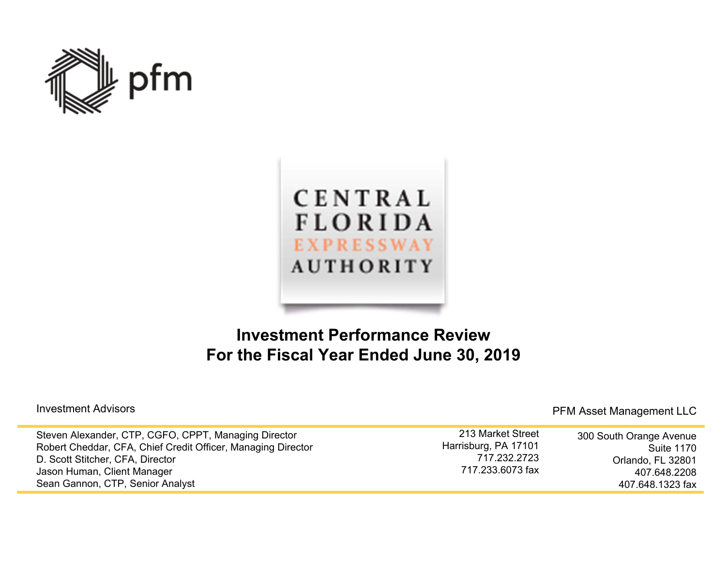



## **Investment Performance Review For the Fiscal Year Ended June 30, 2019**

| Steven Alexander, CTP, CGFO, CPPT, Managing Director         | 213 Market Street    | 300 South Orange Avenue |
|--------------------------------------------------------------|----------------------|-------------------------|
| Robert Cheddar, CFA, Chief Credit Officer, Managing Director | Harrisburg, PA 17101 | Suite 1170              |
| D. Scott Stitcher, CFA, Director                             | 717.232.2723         | Orlando, FL 32801       |
| Jason Human, Client Manager                                  | 717.233.6073 fax     | 407.648.2208            |
| Sean Gannon, CTP, Senior Analyst                             |                      | 407.648.1323 fax        |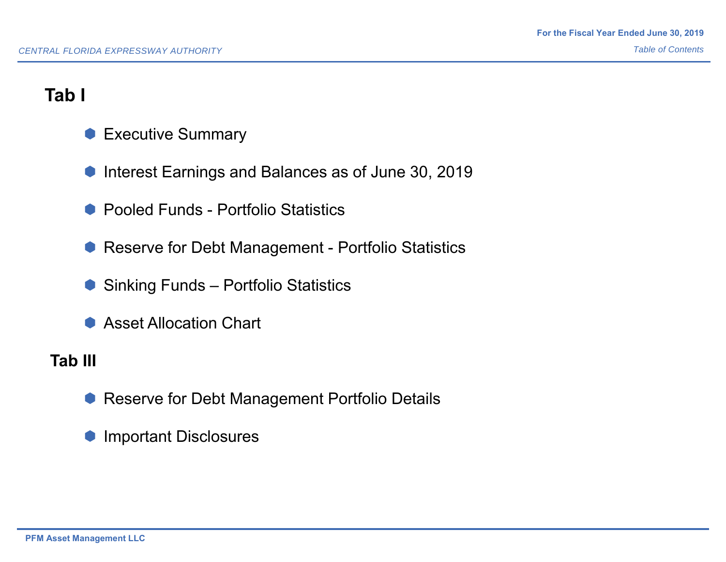# **Tab I**

- **Executive Summary**
- **Interest Earnings and Balances as of June 30, 2019**
- Pooled Funds Portfolio Statistics
- **Reserve for Debt Management Portfolio Statistics**
- Sinking Funds Portfolio Statistics
- **Asset Allocation Chart**

## **Tab III**

- **Reserve for Debt Management Portfolio Details**
- **Important Disclosures**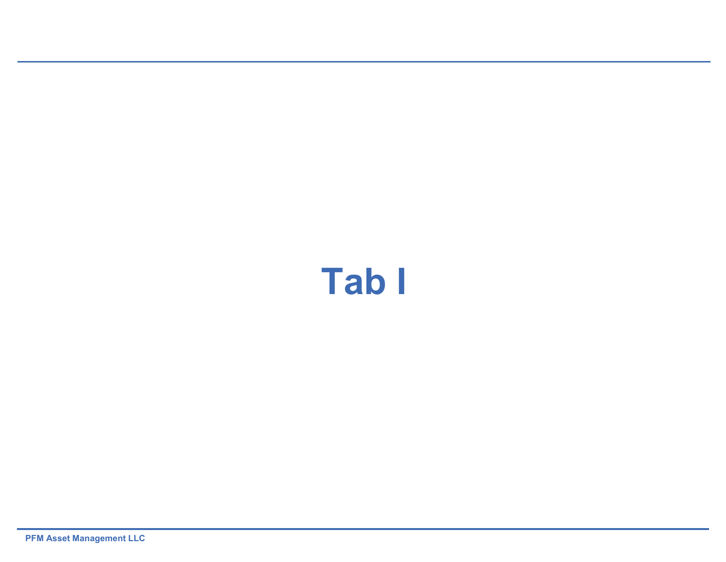# **Tab I**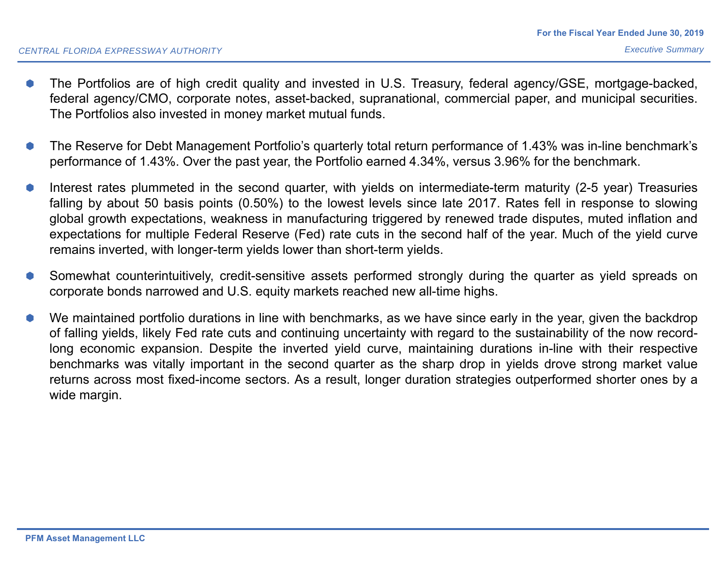- ▲ The Portfolios are of high credit quality and invested in U.S. Treasury, federal agency/GSE, mortgage-backed, federal agency/CMO, corporate notes, asset-backed, supranational, commercial paper, and municipal securities. The Portfolios also invested in money market mutual funds.
- 0 The Reserve for Debt Management Portfolio's quarterly total return performance of 1.43% was in-line benchmark's performance of 1.43%. Over the past year, the Portfolio earned 4.34%, versus 3.96% for the benchmark.
- 0 Interest rates plummeted in the second quarter, with yields on intermediate-term maturity (2-5 year) Treasuries falling by about 50 basis points (0.50%) to the lowest levels since late 2017. Rates fell in response to slowing global growth expectations, weakness in manufacturing triggered by renewed trade disputes, muted inflation and expectations for multiple Federal Reserve (Fed) rate cuts in the second half of the year. Much of the yield curve remains inverted, with longer-term yields lower than short-term yields.
- 0 Somewhat counterintuitively, credit-sensitive assets performed strongly during the quarter as yield spreads on corporate bonds narrowed and U.S. equity markets reached new all-time highs.
- 0 We maintained portfolio durations in line with benchmarks, as we have since early in the year, given the backdrop of falling yields, likely Fed rate cuts and continuing uncertainty with regard to the sustainability of the now recordlong economic expansion. Despite the inverted yield curve, maintaining durations in-line with their respective benchmarks was vitally important in the second quarter as the sharp drop in yields drove strong market value returns across most fixed-income sectors. As <sup>a</sup> result, longer duration strategies outperformed shorter ones by <sup>a</sup> wide margin.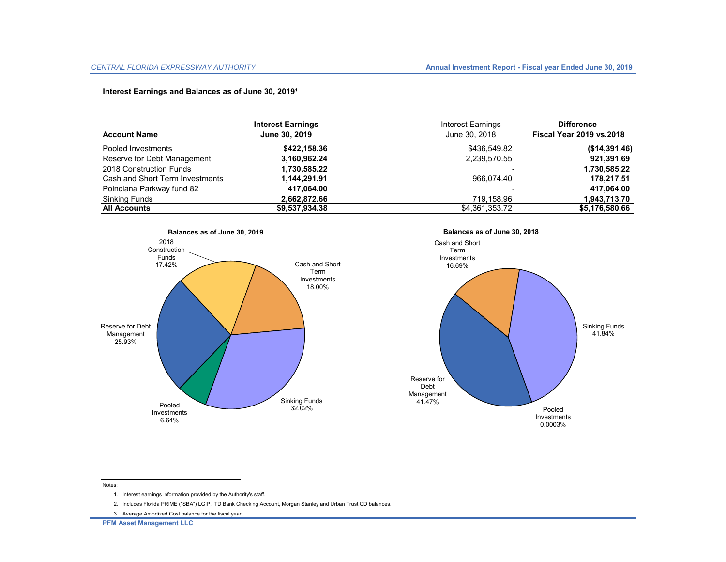#### **Interest Earnings and Balances as of June 30, 2019<sup>1</sup>**

|                                 | <b>Interest Earnings</b> | Interest Earnings | <b>Difference</b>               |
|---------------------------------|--------------------------|-------------------|---------------------------------|
| <b>Account Name</b>             | June 30, 2019            | June 30, 2018     | <b>Fiscal Year 2019 vs.2018</b> |
| Pooled Investments              | \$422,158.36             | \$436,549.82      | (\$14,391.46)                   |
| Reserve for Debt Management     | 3,160,962.24             | 2,239,570.55      | 921,391.69                      |
| 2018 Construction Funds         | 1,730,585.22             |                   | 1,730,585.22                    |
| Cash and Short Term Investments | 1,144,291.91             | 966.074.40        | 178,217.51                      |
| Poinciana Parkway fund 82       | 417,064.00               |                   | 417,064.00                      |
| Sinking Funds                   | 2,662,872.66             | 719.158.96        | 1,943,713.70                    |
| <b>All Accounts</b>             | \$9,537,934.38           | \$4,361,353.72    | \$5,176,580.66                  |







#### Notes:

- 1. Interest earnings information provided by the Authority's staff.
- 2. Includes Florida PRIME ("SBA") LGIP, TD Bank Checking Account, Morgan Stanley and Urban Trust CD balances.
- 3. Average Amortized Cost balance for the fiscal year.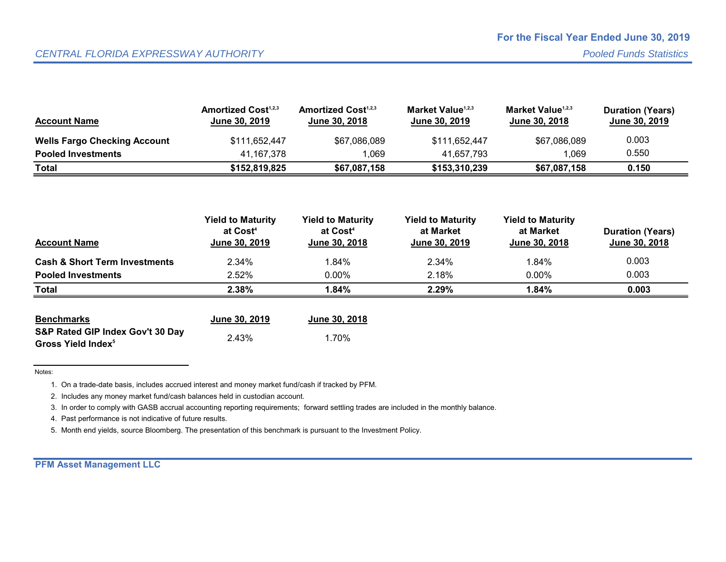| <b>Account Name</b>                 | <b>Amortized Cost</b> <sup>1,2,3</sup><br><b>June 30, 2019</b> | <b>Amortized Cost</b> <sup>1,2,3</sup><br><b>June 30, 2018</b> | Market Value <sup>1,2,3</sup><br><b>June 30, 2019</b> | Market Value <sup>1,2,3</sup><br><b>June 30, 2018</b> | <b>Duration (Years)</b><br><b>June 30, 2019</b> |
|-------------------------------------|----------------------------------------------------------------|----------------------------------------------------------------|-------------------------------------------------------|-------------------------------------------------------|-------------------------------------------------|
| <b>Wells Fargo Checking Account</b> | \$111,652,447                                                  | \$67,086,089                                                   | \$111,652,447                                         | \$67,086,089                                          | 0.003                                           |
| <b>Pooled Investments</b>           | 41.167.378                                                     | 1.069                                                          | 41.657.793                                            | 069                                                   | 0.550                                           |
| <b>Total</b>                        | \$152.819.825                                                  | \$67,087,158                                                   | \$153,310,239                                         | \$67,087,158                                          | 0.150                                           |

| <b>Account Name</b>                      | <b>Yield to Maturity</b><br>at Cost <sup>4</sup><br>June 30, 2019 | <b>Yield to Maturity</b><br>at Cost <sup>4</sup><br>June 30, 2018 | <b>Yield to Maturity</b><br>at Market<br>June 30, 2019 | <b>Yield to Maturity</b><br>at Market<br>June 30, 2018 | <b>Duration (Years)</b><br>June 30, 2018 |
|------------------------------------------|-------------------------------------------------------------------|-------------------------------------------------------------------|--------------------------------------------------------|--------------------------------------------------------|------------------------------------------|
| <b>Cash &amp; Short Term Investments</b> | 2.34%                                                             | 1.84%                                                             | 2.34%                                                  | 1.84%                                                  | 0.003                                    |
| <b>Pooled Investments</b>                | 2.52%                                                             | $0.00\%$                                                          | 2.18%                                                  | $0.00\%$                                               | 0.003                                    |
| <b>Total</b>                             | 2.38%                                                             | 1.84%                                                             | 2.29%                                                  | 1.84%                                                  | 0.003                                    |

| <b>Benchmarks</b>                | June 30, 2019 | June 30, 2018 |  |
|----------------------------------|---------------|---------------|--|
| S&P Rated GIP Index Gov't 30 Day |               |               |  |
| Gross Yield Index <sup>5</sup>   | 2.43%         | 1.70%         |  |

Notes:

1. On a trade-date basis, includes accrued interest and money market fund/cash if tracked by PFM.

2. Includes any money market fund/cash balances held in custodian account.

3. In order to comply with GASB accrual accounting reporting requirements; forward settling trades are included in the monthly balance.

4. Past performance is not indicative of future results.

5. Month end yields, source Bloomberg. The presentation of this benchmark is pursuant to the Investment Policy.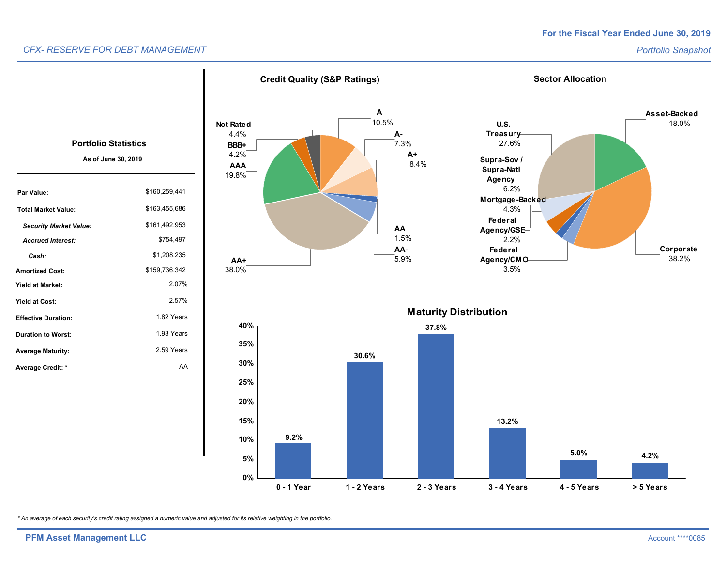#### *CFX- RESERVE FOR DEBT MANAGEMENT*

#### *Portfolio Snapshot*



*\* An average of each security's credit rating assigned a numeric value and adjusted for its relative weighting in the portfolio.*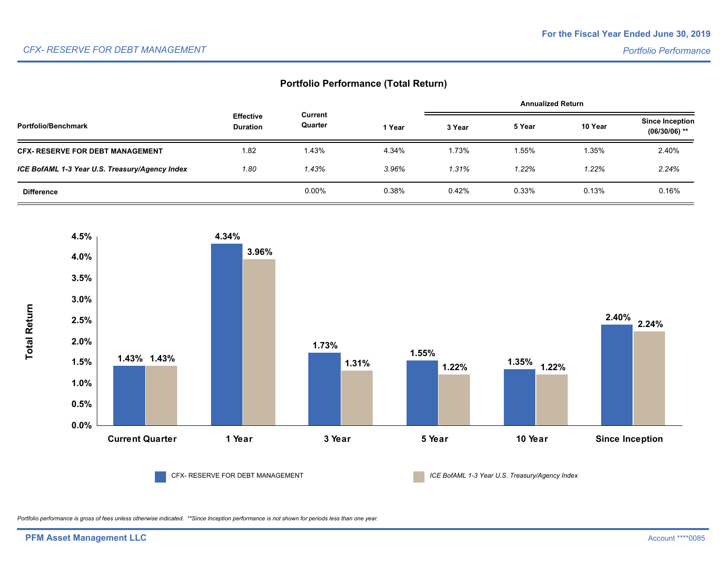#### **Portfolio Performance (Total Return)**

|                                                |                                     |                    |        | <b>Annualized Return</b> |        |         |                                           |
|------------------------------------------------|-------------------------------------|--------------------|--------|--------------------------|--------|---------|-------------------------------------------|
| Portfolio/Benchmark                            | <b>Effective</b><br><b>Duration</b> | Current<br>Quarter | 1 Year | 3 Year                   | 5 Year | 10 Year | <b>Since Inception</b><br>$(06/30/06)$ ** |
| <b>CFX- RESERVE FOR DEBT MANAGEMENT</b>        | 1.82                                | 1.43%              | 4.34%  | 1.73%                    | 1.55%  | 1.35%   | 2.40%                                     |
| ICE BofAML 1-3 Year U.S. Treasury/Agency Index | 1.80                                | 1.43%              | 3.96%  | 1.31%                    | 1.22%  | 1.22%   | 2.24%                                     |
| <b>Difference</b>                              |                                     | $0.00\%$           | 0.38%  | 0.42%                    | 0.33%  | 0.13%   | 0.16%                                     |



CFX- RESERVE FOR DEBT MANAGEMENT *ICE BofAML 1-3 Year U.S. Treasury/Agency Index*

*Portfolio performance is gross of fees unless otherwise indicated. \*\*Since Inception performance is not shown for periods less than one year.*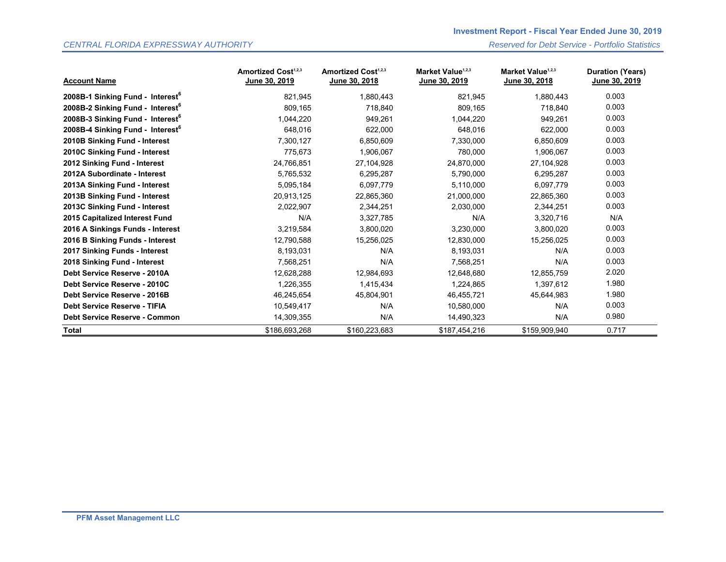#### *CENTRAL FLORIDA EXPRESSWAY AUTHORITY Reserved for Debt Service - Portfolio Statistics*

| <b>Account Name</b>                          | Amortized Cost <sup>1,2,3</sup><br>June 30, 2019 | <b>Amortized Cost1,2,3</b><br>June 30, 2018 | Market Value <sup>1,2,3</sup><br>June 30, 2019 | Market Value <sup>1,2,3</sup><br>June 30, 2018 | <b>Duration (Years)</b><br><u>June 30, 2019</u> |
|----------------------------------------------|--------------------------------------------------|---------------------------------------------|------------------------------------------------|------------------------------------------------|-------------------------------------------------|
| 2008B-1 Sinking Fund - Interest <sup>6</sup> | 821,945                                          | 1,880,443                                   | 821,945                                        | 1,880,443                                      | 0.003                                           |
| 2008B-2 Sinking Fund - Interest <sup>6</sup> | 809,165                                          | 718,840                                     | 809,165                                        | 718,840                                        | 0.003                                           |
| 2008B-3 Sinking Fund - Interest <sup>6</sup> | 1,044,220                                        | 949,261                                     | 1,044,220                                      | 949,261                                        | 0.003                                           |
| 2008B-4 Sinking Fund - Interest <sup>6</sup> | 648,016                                          | 622,000                                     | 648,016                                        | 622,000                                        | 0.003                                           |
| 2010B Sinking Fund - Interest                | 7,300,127                                        | 6,850,609                                   | 7,330,000                                      | 6,850,609                                      | 0.003                                           |
| 2010C Sinking Fund - Interest                | 775,673                                          | 1,906,067                                   | 780,000                                        | 1,906,067                                      | 0.003                                           |
| 2012 Sinking Fund - Interest                 | 24,766,851                                       | 27,104,928                                  | 24,870,000                                     | 27,104,928                                     | 0.003                                           |
| 2012A Subordinate - Interest                 | 5,765,532                                        | 6,295,287                                   | 5,790,000                                      | 6,295,287                                      | 0.003                                           |
| 2013A Sinking Fund - Interest                | 5,095,184                                        | 6,097,779                                   | 5,110,000                                      | 6,097,779                                      | 0.003                                           |
| 2013B Sinking Fund - Interest                | 20,913,125                                       | 22,865,360                                  | 21,000,000                                     | 22,865,360                                     | 0.003                                           |
| 2013C Sinking Fund - Interest                | 2,022,907                                        | 2,344,251                                   | 2,030,000                                      | 2,344,251                                      | 0.003                                           |
| 2015 Capitalized Interest Fund               | N/A                                              | 3,327,785                                   | N/A                                            | 3,320,716                                      | N/A                                             |
| 2016 A Sinkings Funds - Interest             | 3,219,584                                        | 3,800,020                                   | 3,230,000                                      | 3,800,020                                      | 0.003                                           |
| 2016 B Sinking Funds - Interest              | 12,790,588                                       | 15,256,025                                  | 12,830,000                                     | 15,256,025                                     | 0.003                                           |
| 2017 Sinking Funds - Interest                | 8,193,031                                        | N/A                                         | 8,193,031                                      | N/A                                            | 0.003                                           |
| 2018 Sinking Fund - Interest                 | 7,568,251                                        | N/A                                         | 7,568,251                                      | N/A                                            | 0.003                                           |
| Debt Service Reserve - 2010A                 | 12,628,288                                       | 12,984,693                                  | 12,648,680                                     | 12,855,759                                     | 2.020                                           |
| Debt Service Reserve - 2010C                 | 1,226,355                                        | 1,415,434                                   | 1,224,865                                      | 1,397,612                                      | 1.980                                           |
| Debt Service Reserve - 2016B                 | 46,245,654                                       | 45,804,901                                  | 46,455,721                                     | 45,644,983                                     | 1.980                                           |
| Debt Service Reserve - TIFIA                 | 10,549,417                                       | N/A                                         | 10,580,000                                     | N/A                                            | 0.003                                           |
| <b>Debt Service Reserve - Common</b>         | 14,309,355                                       | N/A                                         | 14,490,323                                     | N/A                                            | 0.980                                           |
| Total                                        | \$186,693,268                                    | \$160,223,683                               | \$187,454,216                                  | \$159,909,940                                  | 0.717                                           |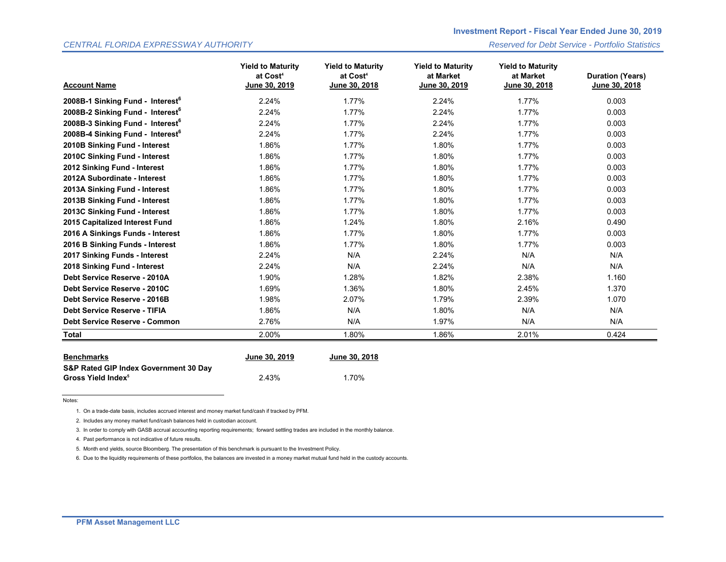#### *CENTRAL FLORIDA EXPRESSWAY AUTHORITY Reserved for Debt Service - Portfolio Statistics*

| <b>Account Name</b>                          | <b>Yield to Maturity</b><br>at Cost <sup>4</sup><br>June 30, 2019 | <b>Yield to Maturity</b><br>at Cost <sup>4</sup><br>June 30, 2018 | <b>Yield to Maturity</b><br>at Market<br>June 30, 2019 | <b>Yield to Maturity</b><br>at Market<br>June 30, 2018 | <b>Duration (Years)</b><br>June 30, 2018 |
|----------------------------------------------|-------------------------------------------------------------------|-------------------------------------------------------------------|--------------------------------------------------------|--------------------------------------------------------|------------------------------------------|
| 2008B-1 Sinking Fund - Interest <sup>6</sup> | 2.24%                                                             | 1.77%                                                             | 2.24%                                                  | 1.77%                                                  | 0.003                                    |
| 2008B-2 Sinking Fund - Interest <sup>6</sup> | 2.24%                                                             | 1.77%                                                             | 2.24%                                                  | 1.77%                                                  | 0.003                                    |
| 2008B-3 Sinking Fund - Interest <sup>6</sup> | 2.24%                                                             | 1.77%                                                             | 2.24%                                                  | 1.77%                                                  | 0.003                                    |
| 2008B-4 Sinking Fund - Interest <sup>6</sup> | 2.24%                                                             | 1.77%                                                             | 2.24%                                                  | 1.77%                                                  | 0.003                                    |
| 2010B Sinking Fund - Interest                | 1.86%                                                             | 1.77%                                                             | 1.80%                                                  | 1.77%                                                  | 0.003                                    |
| 2010C Sinking Fund - Interest                | 1.86%                                                             | 1.77%                                                             | 1.80%                                                  | 1.77%                                                  | 0.003                                    |
| 2012 Sinking Fund - Interest                 | 1.86%                                                             | 1.77%                                                             | 1.80%                                                  | 1.77%                                                  | 0.003                                    |
| 2012A Subordinate - Interest                 | 1.86%                                                             | 1.77%                                                             | 1.80%                                                  | 1.77%                                                  | 0.003                                    |
| 2013A Sinking Fund - Interest                | 1.86%                                                             | 1.77%                                                             | 1.80%                                                  | 1.77%                                                  | 0.003                                    |
| 2013B Sinking Fund - Interest                | 1.86%                                                             | 1.77%                                                             | 1.80%                                                  | 1.77%                                                  | 0.003                                    |
| 2013C Sinking Fund - Interest                | 1.86%                                                             | 1.77%                                                             | 1.80%                                                  | 1.77%                                                  | 0.003                                    |
| 2015 Capitalized Interest Fund               | 1.86%                                                             | 1.24%                                                             | 1.80%                                                  | 2.16%                                                  | 0.490                                    |
| 2016 A Sinkings Funds - Interest             | 1.86%                                                             | 1.77%                                                             | 1.80%                                                  | 1.77%                                                  | 0.003                                    |
| 2016 B Sinking Funds - Interest              | 1.86%                                                             | 1.77%                                                             | 1.80%                                                  | 1.77%                                                  | 0.003                                    |
| 2017 Sinking Funds - Interest                | 2.24%                                                             | N/A                                                               | 2.24%                                                  | N/A                                                    | N/A                                      |
| 2018 Sinking Fund - Interest                 | 2.24%                                                             | N/A                                                               | 2.24%                                                  | N/A                                                    | N/A                                      |
| Debt Service Reserve - 2010A                 | 1.90%                                                             | 1.28%                                                             | 1.82%                                                  | 2.38%                                                  | 1.160                                    |
| Debt Service Reserve - 2010C                 | 1.69%                                                             | 1.36%                                                             | 1.80%                                                  | 2.45%                                                  | 1.370                                    |
| Debt Service Reserve - 2016B                 | 1.98%                                                             | 2.07%                                                             | 1.79%                                                  | 2.39%                                                  | 1.070                                    |
| <b>Debt Service Reserve - TIFIA</b>          | 1.86%                                                             | N/A                                                               | 1.80%                                                  | N/A                                                    | N/A                                      |
| Debt Service Reserve - Common                | 2.76%                                                             | N/A                                                               | 1.97%                                                  | N/A                                                    | N/A                                      |
| <b>Total</b>                                 | 2.00%                                                             | 1.80%                                                             | 1.86%                                                  | 2.01%                                                  | 0.424                                    |

| <b>Benchmarks</b>                     | June 30, 2019 | June 30, 2018 |  |  |
|---------------------------------------|---------------|---------------|--|--|
| S&P Rated GIP Index Government 30 Day |               |               |  |  |
| Gross Yield Index <sup>5</sup>        | 2.43%         | 1.70%         |  |  |

Notes:

1. On a trade-date basis, includes accrued interest and money market fund/cash if tracked by PFM.

2. Includes any money market fund/cash balances held in custodian account.

3. In order to comply with GASB accrual accounting reporting requirements; forward settling trades are included in the monthly balance.

4. Past performance is not indicative of future results.

5. Month end yields, source Bloomberg. The presentation of this benchmark is pursuant to the Investment Policy.

6. Due to the liquidity requirements of these portfolios, the balances are invested in a money market mutual fund held in the custody accounts.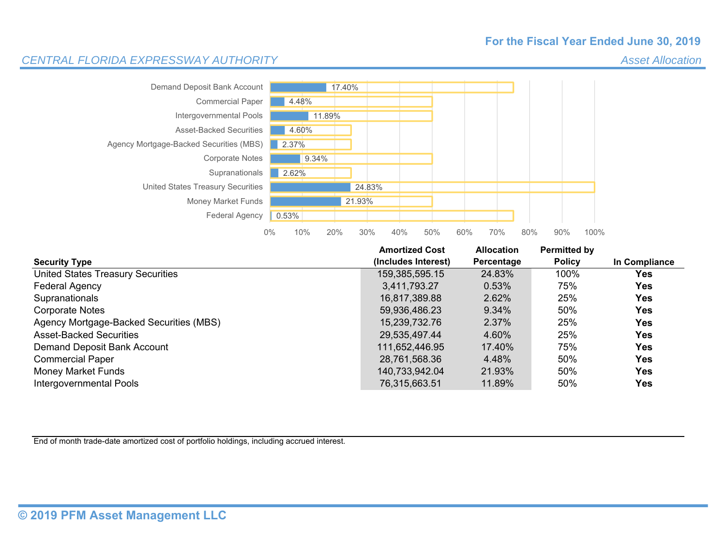#### **For the Fiscal Year Ended June 30, 2019**

*Asset Allocation*

#### *CENTRAL FLORIDA EXPRESSWAY AUTHORITY*



|                                          | <b>Amortized Cost</b> | <b>Allocation</b> | Permitted by  |               |
|------------------------------------------|-----------------------|-------------------|---------------|---------------|
| <b>Security Type</b>                     | (Includes Interest)   | Percentage        | <b>Policy</b> | In Compliance |
| <b>United States Treasury Securities</b> | 159,385,595.15        | 24.83%            | 100%          | Yes           |
| Federal Agency                           | 3.411.793.27          | 0.53%             | 75%           | Yes           |
| Supranationals                           | 16,817,389.88         | 2.62%             | 25%           | Yes           |
| Corporate Notes                          | 59,936,486.23         | 9.34%             | 50%           | <b>Yes</b>    |
| Agency Mortgage-Backed Securities (MBS)  | 15,239,732.76         | 2.37%             | 25%           | <b>Yes</b>    |
| <b>Asset-Backed Securities</b>           | 29,535,497.44         | 4.60%             | 25%           | <b>Yes</b>    |
| Demand Deposit Bank Account              | 111.652.446.95        | 17.40%            | 75%           | <b>Yes</b>    |
| <b>Commercial Paper</b>                  | 28,761,568.36         | 4.48%             | 50%           | Yes           |
| <b>Money Market Funds</b>                | 140.733.942.04        | 21.93%            | 50%           | <b>Yes</b>    |
| Intergovernmental Pools                  | 76,315,663.51         | 11.89%            | 50%           | Yes           |

End of month trade-date amortized cost of portfolio holdings, including accrued interest.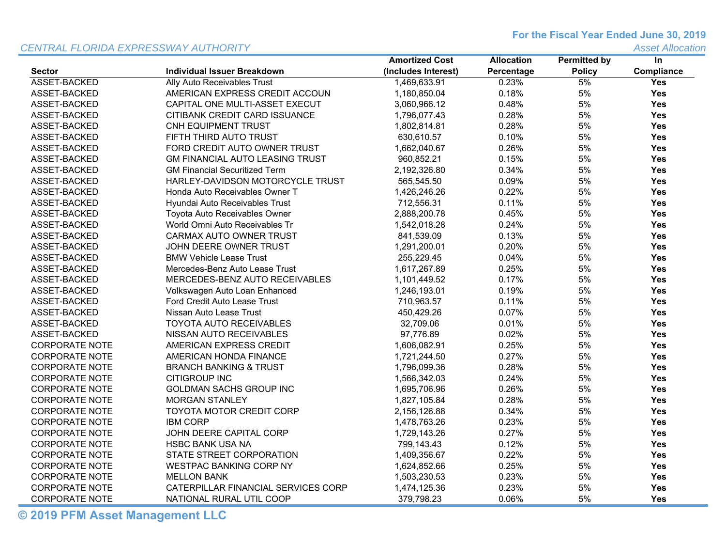#### *CENTRAL FLORIDA EXPRESSWAY AUTHORITY*

**For the Fiscal Year Ended June 30, 2019**

*Asset Allocation*

|                       |                                        | <b>Amortized Cost</b> | <b>Allocation</b> | <b>Permitted by</b> | In         |
|-----------------------|----------------------------------------|-----------------------|-------------------|---------------------|------------|
| <b>Sector</b>         | <b>Individual Issuer Breakdown</b>     | (Includes Interest)   | Percentage        | <b>Policy</b>       | Compliance |
| ASSET-BACKED          | Ally Auto Receivables Trust            | 1,469,633.91          | 0.23%             | 5%                  | Yes        |
| ASSET-BACKED          | AMERICAN EXPRESS CREDIT ACCOUN         | 1,180,850.04          | 0.18%             | 5%                  | <b>Yes</b> |
| ASSET-BACKED          | CAPITAL ONE MULTI-ASSET EXECUT         | 3,060,966.12          | 0.48%             | 5%                  | Yes        |
| ASSET-BACKED          | CITIBANK CREDIT CARD ISSUANCE          | 1,796,077.43          | 0.28%             | 5%                  | Yes        |
| ASSET-BACKED          | CNH EQUIPMENT TRUST                    | 1,802,814.81          | 0.28%             | 5%                  | <b>Yes</b> |
| ASSET-BACKED          | FIFTH THIRD AUTO TRUST                 | 630,610.57            | 0.10%             | 5%                  | <b>Yes</b> |
| ASSET-BACKED          | FORD CREDIT AUTO OWNER TRUST           | 1,662,040.67          | 0.26%             | 5%                  | <b>Yes</b> |
| ASSET-BACKED          | <b>GM FINANCIAL AUTO LEASING TRUST</b> | 960,852.21            | 0.15%             | 5%                  | <b>Yes</b> |
| ASSET-BACKED          | <b>GM Financial Securitized Term</b>   | 2,192,326.80          | 0.34%             | 5%                  | Yes        |
| ASSET-BACKED          | HARLEY-DAVIDSON MOTORCYCLE TRUST       | 565,545.50            | 0.09%             | 5%                  | <b>Yes</b> |
| ASSET-BACKED          | Honda Auto Receivables Owner T         | 1,426,246.26          | 0.22%             | 5%                  | <b>Yes</b> |
| ASSET-BACKED          | Hyundai Auto Receivables Trust         | 712,556.31            | 0.11%             | 5%                  | <b>Yes</b> |
| ASSET-BACKED          | Toyota Auto Receivables Owner          | 2,888,200.78          | 0.45%             | 5%                  | <b>Yes</b> |
| ASSET-BACKED          | World Omni Auto Receivables Tr         | 1,542,018.28          | 0.24%             | 5%                  | Yes        |
| ASSET-BACKED          | CARMAX AUTO OWNER TRUST                | 841,539.09            | 0.13%             | 5%                  | Yes        |
| ASSET-BACKED          | JOHN DEERE OWNER TRUST                 | 1,291,200.01          | 0.20%             | 5%                  | Yes        |
| ASSET-BACKED          | <b>BMW Vehicle Lease Trust</b>         | 255,229.45            | 0.04%             | 5%                  | <b>Yes</b> |
| ASSET-BACKED          | Mercedes-Benz Auto Lease Trust         | 1,617,267.89          | 0.25%             | 5%                  | <b>Yes</b> |
| ASSET-BACKED          | MERCEDES-BENZ AUTO RECEIVABLES         | 1,101,449.52          | 0.17%             | 5%                  | <b>Yes</b> |
| ASSET-BACKED          | Volkswagen Auto Loan Enhanced          | 1,246,193.01          | 0.19%             | 5%                  | <b>Yes</b> |
| ASSET-BACKED          | Ford Credit Auto Lease Trust           | 710,963.57            | 0.11%             | 5%                  | <b>Yes</b> |
| ASSET-BACKED          | Nissan Auto Lease Trust                | 450,429.26            | 0.07%             | 5%                  | Yes        |
| ASSET-BACKED          | TOYOTA AUTO RECEIVABLES                | 32,709.06             | 0.01%             | 5%                  | Yes        |
| ASSET-BACKED          | NISSAN AUTO RECEIVABLES                | 97,776.89             | 0.02%             | 5%                  | Yes        |
| <b>CORPORATE NOTE</b> | AMERICAN EXPRESS CREDIT                | 1,606,082.91          | 0.25%             | 5%                  | <b>Yes</b> |
| <b>CORPORATE NOTE</b> | AMERICAN HONDA FINANCE                 | 1,721,244.50          | 0.27%             | 5%                  | Yes        |
| <b>CORPORATE NOTE</b> | <b>BRANCH BANKING &amp; TRUST</b>      | 1,796,099.36          | 0.28%             | 5%                  | Yes        |
| <b>CORPORATE NOTE</b> | <b>CITIGROUP INC</b>                   | 1,566,342.03          | 0.24%             | 5%                  | <b>Yes</b> |
| <b>CORPORATE NOTE</b> | <b>GOLDMAN SACHS GROUP INC</b>         | 1,695,706.96          | 0.26%             | 5%                  | Yes        |
| <b>CORPORATE NOTE</b> | <b>MORGAN STANLEY</b>                  | 1,827,105.84          | 0.28%             | 5%                  | <b>Yes</b> |
| <b>CORPORATE NOTE</b> | TOYOTA MOTOR CREDIT CORP               | 2,156,126.88          | 0.34%             | 5%                  | <b>Yes</b> |
| <b>CORPORATE NOTE</b> | <b>IBM CORP</b>                        | 1,478,763.26          | 0.23%             | 5%                  | <b>Yes</b> |
| <b>CORPORATE NOTE</b> | JOHN DEERE CAPITAL CORP                | 1,729,143.26          | 0.27%             | 5%                  | Yes        |
| <b>CORPORATE NOTE</b> | HSBC BANK USA NA                       | 799,143.43            | 0.12%             | 5%                  | <b>Yes</b> |
| <b>CORPORATE NOTE</b> | STATE STREET CORPORATION               | 1,409,356.67          | 0.22%             | 5%                  | Yes        |
| <b>CORPORATE NOTE</b> | <b>WESTPAC BANKING CORP NY</b>         | 1,624,852.66          | 0.25%             | 5%                  | <b>Yes</b> |
| <b>CORPORATE NOTE</b> | <b>MELLON BANK</b>                     | 1,503,230.53          | 0.23%             | 5%                  | <b>Yes</b> |
| <b>CORPORATE NOTE</b> | CATERPILLAR FINANCIAL SERVICES CORP    | 1,474,125.36          | 0.23%             | 5%                  | Yes        |
| <b>CORPORATE NOTE</b> | NATIONAL RURAL UTIL COOP               | 379,798.23            | 0.06%             | 5%                  | <b>Yes</b> |

**© 2019 PFM Asset Management LLC**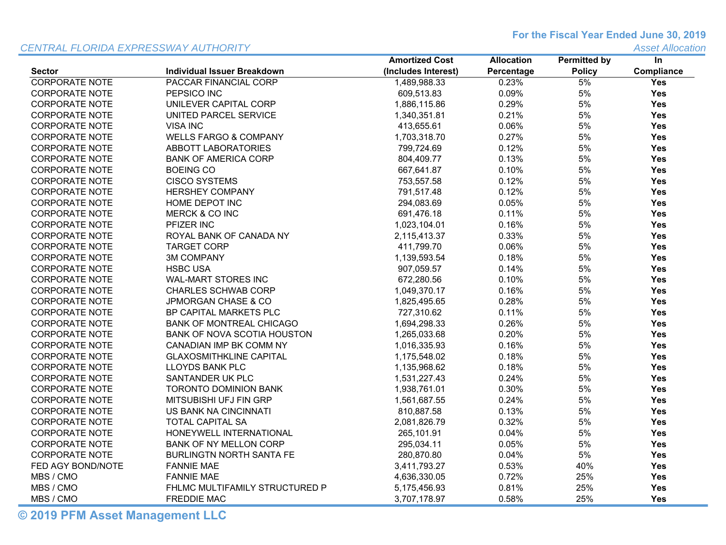#### *CENTRAL FLORIDA EXPRESSWAY AUTHORITY*

**For the Fiscal Year Ended June 30, 2019**

*Asset Allocation*

|                       |                                    | <b>Amortized Cost</b> | <b>Allocation</b> | <b>Permitted by</b> | $\ln$      |
|-----------------------|------------------------------------|-----------------------|-------------------|---------------------|------------|
| <b>Sector</b>         | <b>Individual Issuer Breakdown</b> | (Includes Interest)   | Percentage        | <b>Policy</b>       | Compliance |
| <b>CORPORATE NOTE</b> | PACCAR FINANCIAL CORP              | 1,489,988.33          | 0.23%             | 5%                  | Yes        |
| <b>CORPORATE NOTE</b> | PEPSICO INC                        | 609,513.83            | 0.09%             | 5%                  | Yes        |
| <b>CORPORATE NOTE</b> | UNILEVER CAPITAL CORP              | 1,886,115.86          | 0.29%             | 5%                  | Yes        |
| <b>CORPORATE NOTE</b> | UNITED PARCEL SERVICE              | 1,340,351.81          | 0.21%             | 5%                  | Yes        |
| <b>CORPORATE NOTE</b> | <b>VISA INC</b>                    | 413,655.61            | 0.06%             | 5%                  | Yes        |
| <b>CORPORATE NOTE</b> | <b>WELLS FARGO &amp; COMPANY</b>   | 1,703,318.70          | 0.27%             | 5%                  | Yes        |
| <b>CORPORATE NOTE</b> | <b>ABBOTT LABORATORIES</b>         | 799.724.69            | 0.12%             | 5%                  | <b>Yes</b> |
| <b>CORPORATE NOTE</b> | <b>BANK OF AMERICA CORP</b>        | 804,409.77            | 0.13%             | 5%                  | Yes        |
| <b>CORPORATE NOTE</b> | <b>BOEING CO</b>                   | 667,641.87            | 0.10%             | 5%                  | Yes        |
| <b>CORPORATE NOTE</b> | <b>CISCO SYSTEMS</b>               | 753,557.58            | 0.12%             | 5%                  | Yes        |
| <b>CORPORATE NOTE</b> | <b>HERSHEY COMPANY</b>             | 791,517.48            | 0.12%             | 5%                  | Yes        |
| <b>CORPORATE NOTE</b> | HOME DEPOT INC                     | 294,083.69            | 0.05%             | 5%                  | Yes        |
| <b>CORPORATE NOTE</b> | <b>MERCK &amp; CO INC</b>          | 691,476.18            | 0.11%             | 5%                  | <b>Yes</b> |
| <b>CORPORATE NOTE</b> | PFIZER INC                         | 1,023,104.01          | 0.16%             | 5%                  | Yes        |
| <b>CORPORATE NOTE</b> | ROYAL BANK OF CANADA NY            | 2,115,413.37          | 0.33%             | 5%                  | Yes        |
| <b>CORPORATE NOTE</b> | <b>TARGET CORP</b>                 | 411,799.70            | 0.06%             | 5%                  | Yes        |
| <b>CORPORATE NOTE</b> | <b>3M COMPANY</b>                  | 1,139,593.54          | 0.18%             | 5%                  | Yes        |
| <b>CORPORATE NOTE</b> | <b>HSBC USA</b>                    | 907,059.57            | 0.14%             | 5%                  | <b>Yes</b> |
| <b>CORPORATE NOTE</b> | <b>WAL-MART STORES INC</b>         | 672,280.56            | 0.10%             | 5%                  | <b>Yes</b> |
| <b>CORPORATE NOTE</b> | <b>CHARLES SCHWAB CORP</b>         | 1,049,370.17          | 0.16%             | 5%                  | Yes        |
| <b>CORPORATE NOTE</b> | JPMORGAN CHASE & CO                | 1,825,495.65          | 0.28%             | 5%                  | Yes        |
| <b>CORPORATE NOTE</b> | <b>BP CAPITAL MARKETS PLC</b>      | 727,310.62            | 0.11%             | 5%                  | Yes        |
| <b>CORPORATE NOTE</b> | <b>BANK OF MONTREAL CHICAGO</b>    | 1,694,298.33          | 0.26%             | 5%                  | Yes        |
| <b>CORPORATE NOTE</b> | BANK OF NOVA SCOTIA HOUSTON        | 1,265,033.68          | 0.20%             | 5%                  | Yes        |
| <b>CORPORATE NOTE</b> | CANADIAN IMP BK COMM NY            | 1,016,335.93          | 0.16%             | 5%                  | <b>Yes</b> |
| <b>CORPORATE NOTE</b> | <b>GLAXOSMITHKLINE CAPITAL</b>     | 1,175,548.02          | 0.18%             | 5%                  | Yes        |
| <b>CORPORATE NOTE</b> | LLOYDS BANK PLC                    | 1,135,968.62          | 0.18%             | 5%                  | Yes        |
| <b>CORPORATE NOTE</b> | SANTANDER UK PLC                   | 1,531,227.43          | 0.24%             | 5%                  | Yes        |
| <b>CORPORATE NOTE</b> | <b>TORONTO DOMINION BANK</b>       | 1,938,761.01          | 0.30%             | 5%                  | Yes        |
| <b>CORPORATE NOTE</b> | <b>MITSUBISHI UFJ FIN GRP</b>      | 1,561,687.55          | 0.24%             | 5%                  | Yes        |
| <b>CORPORATE NOTE</b> | US BANK NA CINCINNATI              | 810,887.58            | 0.13%             | 5%                  | <b>Yes</b> |
| <b>CORPORATE NOTE</b> | <b>TOTAL CAPITAL SA</b>            | 2,081,826.79          | 0.32%             | 5%                  | Yes        |
| <b>CORPORATE NOTE</b> | HONEYWELL INTERNATIONAL            | 265,101.91            | 0.04%             | 5%                  | Yes        |
| <b>CORPORATE NOTE</b> | <b>BANK OF NY MELLON CORP</b>      | 295,034.11            | 0.05%             | 5%                  | Yes        |
| <b>CORPORATE NOTE</b> | <b>BURLINGTN NORTH SANTA FE</b>    | 280,870.80            | 0.04%             | 5%                  | Yes        |
| FED AGY BOND/NOTE     | <b>FANNIE MAE</b>                  | 3,411,793.27          | 0.53%             | 40%                 | Yes        |
| MBS / CMO             | <b>FANNIE MAE</b>                  | 4,636,330.05          | 0.72%             | 25%                 | <b>Yes</b> |
| MBS / CMO             | FHLMC MULTIFAMILY STRUCTURED P     | 5,175,456.93          | 0.81%             | 25%                 | Yes        |
| MBS / CMO             | <b>FREDDIE MAC</b>                 | 3,707,178.97          | 0.58%             | 25%                 | Yes        |

**© 2019 PFM Asset Management LLC**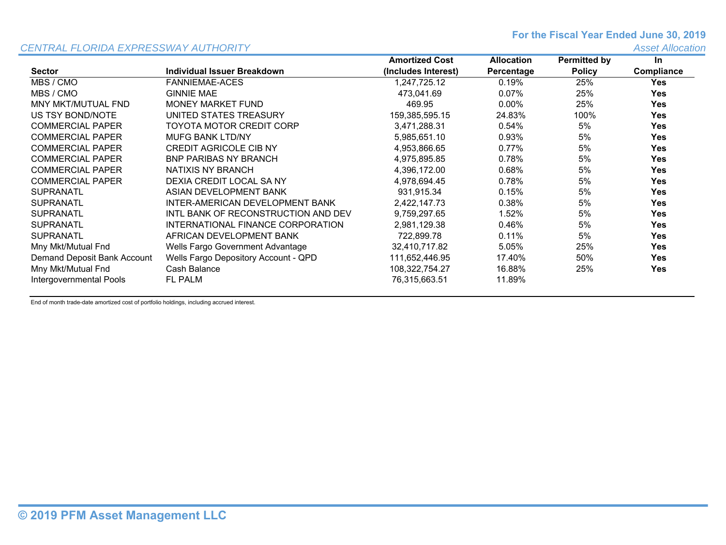#### **For the Fiscal Year Ended June 30, 2019**

#### *CENTRAL FLORIDA EXPRESSWAY AUTHORITY*

*Asset Allocation*

|                             |                                      | <b>Amortized Cost</b> | <b>Allocation</b> | <b>Permitted by</b> | In         |
|-----------------------------|--------------------------------------|-----------------------|-------------------|---------------------|------------|
| <b>Sector</b>               | Individual Issuer Breakdown          | (Includes Interest)   | Percentage        | <b>Policy</b>       | Compliance |
| MBS / CMO                   | <b>FANNIEMAE-ACES</b>                | 1.247.725.12          | 0.19%             | 25%                 | <b>Yes</b> |
| MBS / CMO                   | <b>GINNIE MAE</b>                    | 473,041.69            | 0.07%             | 25%                 | <b>Yes</b> |
| MNY MKT/MUTUAL FND          | MONEY MARKET FUND                    | 469.95                | $0.00\%$          | 25%                 | <b>Yes</b> |
| US TSY BOND/NOTE            | UNITED STATES TREASURY               | 159.385.595.15        | 24.83%            | 100%                | <b>Yes</b> |
| <b>COMMERCIAL PAPER</b>     | TOYOTA MOTOR CREDIT CORP             | 3.471.288.31          | $0.54\%$          | 5%                  | <b>Yes</b> |
| <b>COMMERCIAL PAPER</b>     | <b>MUFG BANK LTD/NY</b>              | 5,985,651.10          | 0.93%             | 5%                  | <b>Yes</b> |
| <b>COMMERCIAL PAPER</b>     | <b>CREDIT AGRICOLE CIB NY</b>        | 4.953.866.65          | $0.77\%$          | 5%                  | <b>Yes</b> |
| <b>COMMERCIAL PAPER</b>     | <b>BNP PARIBAS NY BRANCH</b>         | 4,975,895.85          | 0.78%             | 5%                  | <b>Yes</b> |
| <b>COMMERCIAL PAPER</b>     | NATIXIS NY BRANCH                    | 4,396,172.00          | 0.68%             | 5%                  | <b>Yes</b> |
| <b>COMMERCIAL PAPER</b>     | DEXIA CREDIT LOCAL SA NY             | 4,978,694.45          | 0.78%             | 5%                  | <b>Yes</b> |
| <b>SUPRANATL</b>            | ASIAN DEVELOPMENT BANK               | 931,915.34            | 0.15%             | 5%                  | <b>Yes</b> |
| <b>SUPRANATL</b>            | INTER-AMERICAN DEVELOPMENT BANK      | 2,422,147.73          | $0.38\%$          | 5%                  | <b>Yes</b> |
| <b>SUPRANATL</b>            | INTL BANK OF RECONSTRUCTION AND DEV  | 9,759,297.65          | 1.52%             | 5%                  | <b>Yes</b> |
| <b>SUPRANATL</b>            | INTERNATIONAL FINANCE CORPORATION    | 2,981,129.38          | 0.46%             | 5%                  | <b>Yes</b> |
| <b>SUPRANATL</b>            | AFRICAN DEVELOPMENT BANK             | 722.899.78            | 0.11%             | 5%                  | <b>Yes</b> |
| Mny Mkt/Mutual Fnd          | Wells Fargo Government Advantage     | 32,410,717.82         | 5.05%             | 25%                 | <b>Yes</b> |
| Demand Deposit Bank Account | Wells Fargo Depository Account - QPD | 111,652,446.95        | 17.40%            | 50%                 | <b>Yes</b> |
| Mny Mkt/Mutual Fnd          | Cash Balance                         | 108,322,754.27        | 16.88%            | 25%                 | <b>Yes</b> |
| Intergovernmental Pools     | <b>FL PALM</b>                       | 76,315,663.51         | 11.89%            |                     |            |

End of month trade-date amortized cost of portfolio holdings, including accrued interest.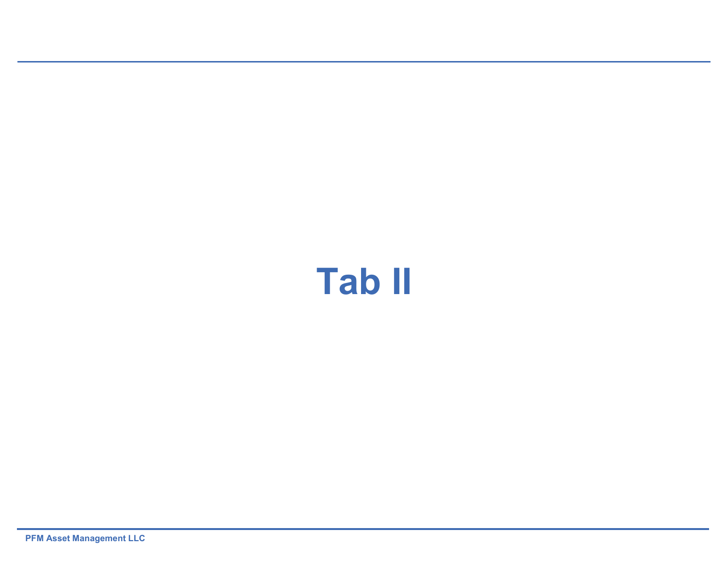# **Tab II**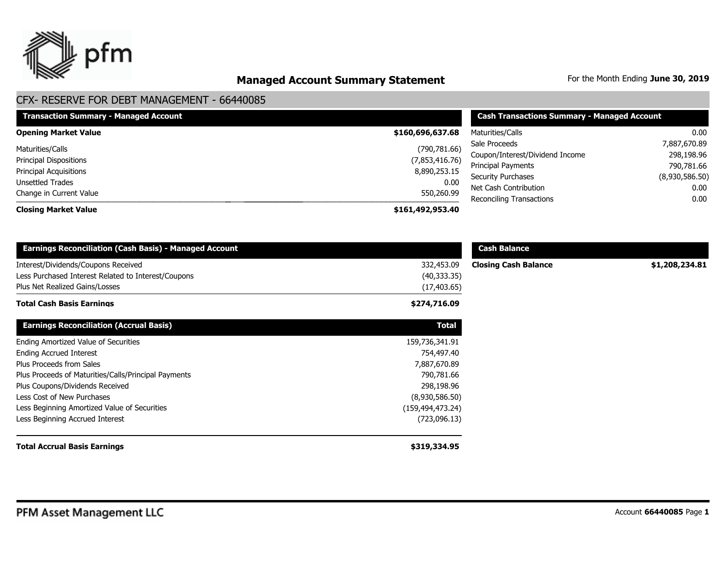

## **Managed Account Summary Statement** For the Month Ending June 30, 2019

| <b>Transaction Summary - Managed Account</b> | <b>Cash Transactions Summary - Managed Account</b> |                                 |                |
|----------------------------------------------|----------------------------------------------------|---------------------------------|----------------|
| <b>Opening Market Value</b>                  | \$160,696,637.68                                   | Maturities/Calls                | 0.00           |
| Maturities/Calls                             | (790, 781.66)                                      | Sale Proceeds                   | 7,887,670.89   |
| <b>Principal Dispositions</b>                | (7,853,416.76)                                     | Coupon/Interest/Dividend Income | 298,198.96     |
|                                              |                                                    | Principal Payments              | 790,781.66     |
| <b>Principal Acquisitions</b>                | 8,890,253.15                                       | <b>Security Purchases</b>       | (8,930,586.50) |
| Unsettled Trades                             | 0.00                                               | Net Cash Contribution           | 0.00           |
| Change in Current Value                      | 550,260.99                                         | <b>Reconciling Transactions</b> | 0.00           |
| <b>Closing Market Value</b>                  | \$161,492,953.40                                   |                                 |                |

| <b>Earnings Reconciliation (Cash Basis) - Managed Account</b>                                                                |                                            | <b>Cash Balance</b>         |                |  |
|------------------------------------------------------------------------------------------------------------------------------|--------------------------------------------|-----------------------------|----------------|--|
| Interest/Dividends/Coupons Received<br>Less Purchased Interest Related to Interest/Coupons<br>Plus Net Realized Gains/Losses | 332,453.09<br>(40, 333.35)<br>(17, 403.65) | <b>Closing Cash Balance</b> | \$1,208,234.81 |  |
| <b>Total Cash Basis Earnings</b>                                                                                             | \$274,716.09                               |                             |                |  |
| <b>Earnings Reconciliation (Accrual Basis)</b>                                                                               | <b>Total</b>                               |                             |                |  |
| Ending Amortized Value of Securities                                                                                         | 159,736,341.91                             |                             |                |  |
| <b>Ending Accrued Interest</b>                                                                                               | 754,497.40                                 |                             |                |  |
| Plus Proceeds from Sales                                                                                                     | 7,887,670.89                               |                             |                |  |
| Plus Proceeds of Maturities/Calls/Principal Payments                                                                         | 790,781.66                                 |                             |                |  |
| Plus Coupons/Dividends Received                                                                                              | 298,198.96                                 |                             |                |  |
| Less Cost of New Purchases                                                                                                   | (8,930,586.50)                             |                             |                |  |
| Less Beginning Amortized Value of Securities                                                                                 | (159,494,473.24)                           |                             |                |  |
| Less Beginning Accrued Interest                                                                                              | (723,096.13)                               |                             |                |  |
| <b>Total Accrual Basis Earnings</b>                                                                                          | \$319,334.95                               |                             |                |  |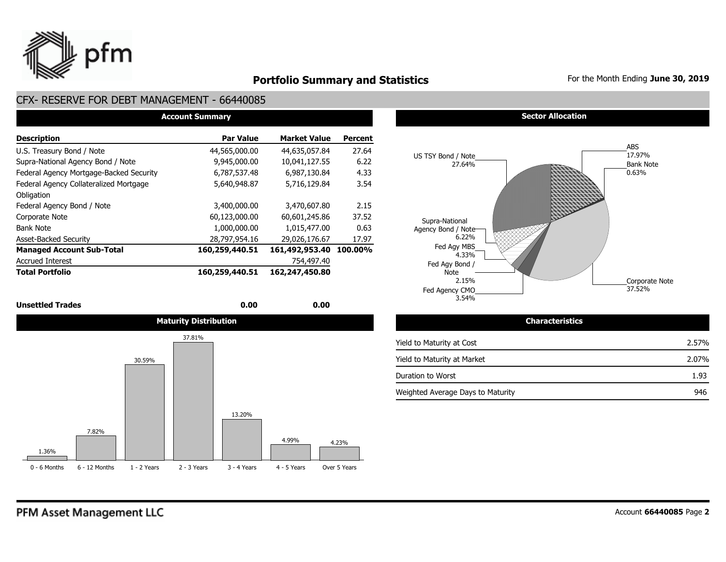

## **Portfolio Summary and Statistics** For the Month Ending June 30, 2019

#### CFX- RESERVE FOR DEBT MANAGEMENT - 66440085

| <b>Account Summary</b>                  |                |                     |         |  |  |  |  |  |  |  |
|-----------------------------------------|----------------|---------------------|---------|--|--|--|--|--|--|--|
| <b>Description</b>                      | Par Value      | <b>Market Value</b> | Percent |  |  |  |  |  |  |  |
| U.S. Treasury Bond / Note               | 44,565,000.00  | 44,635,057.84       | 27.64   |  |  |  |  |  |  |  |
| Supra-National Agency Bond / Note       | 9,945,000.00   | 10.041.127.55       | 6.22    |  |  |  |  |  |  |  |
| Federal Agency Mortgage-Backed Security | 6,787,537.48   | 6,987,130.84        | 4.33    |  |  |  |  |  |  |  |
| Federal Agency Collateralized Mortgage  | 5,640,948.87   | 5,716,129.84        | 3.54    |  |  |  |  |  |  |  |
| Obligation                              |                |                     |         |  |  |  |  |  |  |  |
| Federal Agency Bond / Note              | 3,400,000.00   | 3,470,607.80        | 2.15    |  |  |  |  |  |  |  |
| Corporate Note                          | 60,123,000.00  | 60,601,245.86       | 37.52   |  |  |  |  |  |  |  |
| <b>Bank Note</b>                        | 1,000,000.00   | 1.015.477.00        | 0.63    |  |  |  |  |  |  |  |
| <b>Asset-Backed Security</b>            | 28,797,954.16  | 29,026,176.67       | 17.97   |  |  |  |  |  |  |  |
| <b>Managed Account Sub-Total</b>        | 160,259,440.51 | 161,492,953.40      | 100.00% |  |  |  |  |  |  |  |
| <b>Accrued Interest</b>                 |                | 754,497.40          |         |  |  |  |  |  |  |  |
| <b>Total Portfolio</b>                  | 160,259,440.51 | 162,247,450.80      |         |  |  |  |  |  |  |  |

#### **Unsettled Trades** 0.00 **0.00** 0.00 **0.00**



#### **Sector Allocation**



| <b>Characteristics</b>            |       |  |  |  |  |  |
|-----------------------------------|-------|--|--|--|--|--|
| Yield to Maturity at Cost         | 2.57% |  |  |  |  |  |
| Yield to Maturity at Market       | 2.07% |  |  |  |  |  |
| Duration to Worst                 | 1.93  |  |  |  |  |  |
| Weighted Average Days to Maturity | 946   |  |  |  |  |  |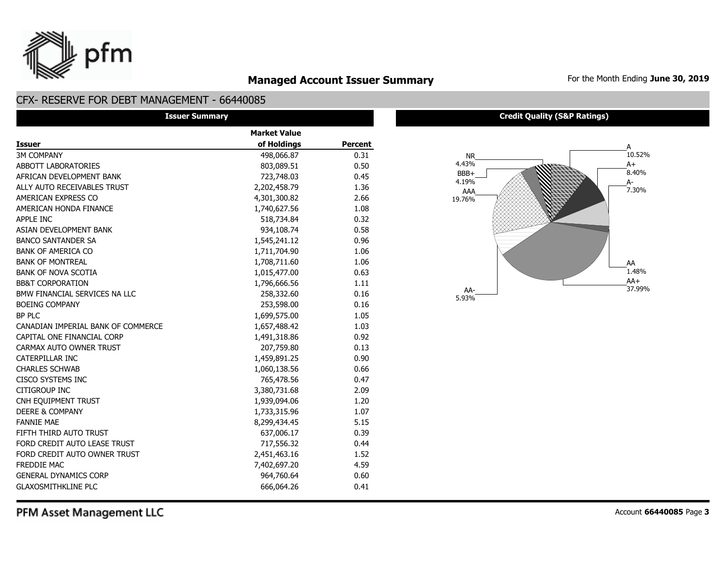

## **Managed Account Issuer Summary** For the Month Ending June 30, 2019

#### CFX- RESERVE FOR DEBT MANAGEMENT - 66440085

| <b>Issuer Summary</b>              |                     |         |  |  |  |  |  |
|------------------------------------|---------------------|---------|--|--|--|--|--|
|                                    | <b>Market Value</b> |         |  |  |  |  |  |
| <b>Issuer</b>                      | of Holdings         | Percent |  |  |  |  |  |
| <b>3M COMPANY</b>                  | 498,066.87          | 0.31    |  |  |  |  |  |
| ABBOTT LABORATORIES                | 803,089.51          | 0.50    |  |  |  |  |  |
| AFRICAN DEVELOPMENT BANK           | 723,748.03          | 0.45    |  |  |  |  |  |
| ALLY AUTO RECEIVABLES TRUST        | 2,202,458.79        | 1.36    |  |  |  |  |  |
| AMERICAN EXPRESS CO                | 4,301,300.82        | 2.66    |  |  |  |  |  |
| AMERICAN HONDA FINANCE             | 1,740,627.56        | 1.08    |  |  |  |  |  |
| APPLE INC                          | 518,734.84          | 0.32    |  |  |  |  |  |
| ASIAN DEVELOPMENT BANK             | 934,108.74          | 0.58    |  |  |  |  |  |
| <b>BANCO SANTANDER SA</b>          | 1,545,241.12        | 0.96    |  |  |  |  |  |
| <b>BANK OF AMERICA CO</b>          | 1,711,704.90        | 1.06    |  |  |  |  |  |
| <b>BANK OF MONTREAL</b>            | 1,708,711.60        | 1.06    |  |  |  |  |  |
| <b>BANK OF NOVA SCOTIA</b>         | 1,015,477.00        | 0.63    |  |  |  |  |  |
| <b>BB&amp;T CORPORATION</b>        | 1,796,666.56        | 1.11    |  |  |  |  |  |
| BMW FINANCIAL SERVICES NA LLC      | 258,332.60          | 0.16    |  |  |  |  |  |
| <b>BOEING COMPANY</b>              | 253,598.00          | 0.16    |  |  |  |  |  |
| <b>BP PLC</b>                      | 1,699,575.00        | 1.05    |  |  |  |  |  |
| CANADIAN IMPERIAL BANK OF COMMERCE | 1,657,488.42        | 1.03    |  |  |  |  |  |
| CAPITAL ONE FINANCIAL CORP         | 1,491,318.86        | 0.92    |  |  |  |  |  |
| CARMAX AUTO OWNER TRUST            | 207,759.80          | 0.13    |  |  |  |  |  |
| CATERPILLAR INC                    | 1,459,891.25        | 0.90    |  |  |  |  |  |
| <b>CHARLES SCHWAB</b>              | 1,060,138.56        | 0.66    |  |  |  |  |  |
| <b>CISCO SYSTEMS INC</b>           | 765,478.56          | 0.47    |  |  |  |  |  |
| CITIGROUP INC                      | 3,380,731.68        | 2.09    |  |  |  |  |  |
| CNH EQUIPMENT TRUST                | 1,939,094.06        | 1.20    |  |  |  |  |  |
| <b>DEERE &amp; COMPANY</b>         | 1,733,315.96        | 1.07    |  |  |  |  |  |
| <b>FANNIE MAE</b>                  | 8,299,434.45        | 5.15    |  |  |  |  |  |
| FIFTH THIRD AUTO TRUST             | 637,006.17          | 0.39    |  |  |  |  |  |
| FORD CREDIT AUTO LEASE TRUST       | 717,556.32          | 0.44    |  |  |  |  |  |
| FORD CREDIT AUTO OWNER TRUST       | 2,451,463.16        | 1.52    |  |  |  |  |  |
| <b>FREDDIE MAC</b>                 | 7,402,697.20        | 4.59    |  |  |  |  |  |
| <b>GENERAL DYNAMICS CORP</b>       | 964,760.64          | 0.60    |  |  |  |  |  |
| <b>GLAXOSMITHKLINE PLC</b>         | 666,064.26          | 0.41    |  |  |  |  |  |



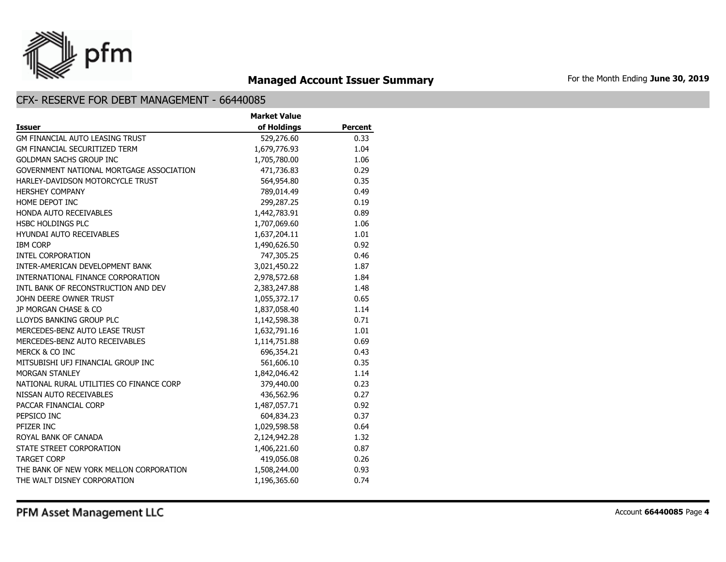

## **Managed Account Issuer Summary** For the Month Ending June 30, 2019

|                                          | <b>Market Value</b> |                |
|------------------------------------------|---------------------|----------------|
| <b>Issuer</b>                            | of Holdings         | <b>Percent</b> |
| <b>GM FINANCIAL AUTO LEASING TRUST</b>   | 529,276.60          | 0.33           |
| <b>GM FINANCIAL SECURITIZED TERM</b>     | 1,679,776.93        | 1.04           |
| <b>GOLDMAN SACHS GROUP INC</b>           | 1,705,780.00        | 1.06           |
| GOVERNMENT NATIONAL MORTGAGE ASSOCIATION | 471,736.83          | 0.29           |
| HARLEY-DAVIDSON MOTORCYCLE TRUST         | 564,954.80          | 0.35           |
| <b>HERSHEY COMPANY</b>                   | 789,014.49          | 0.49           |
| HOME DEPOT INC                           | 299,287.25          | 0.19           |
| <b>HONDA AUTO RECEIVABLES</b>            | 1,442,783.91        | 0.89           |
| <b>HSBC HOLDINGS PLC</b>                 | 1,707,069.60        | 1.06           |
| <b>HYUNDAI AUTO RECEIVABLES</b>          | 1,637,204.11        | 1.01           |
| <b>IBM CORP</b>                          | 1,490,626.50        | 0.92           |
| <b>INTEL CORPORATION</b>                 | 747,305.25          | 0.46           |
| INTER-AMERICAN DEVELOPMENT BANK          | 3,021,450.22        | 1.87           |
| INTERNATIONAL FINANCE CORPORATION        | 2,978,572.68        | 1.84           |
| INTL BANK OF RECONSTRUCTION AND DEV      | 2,383,247.88        | 1.48           |
| JOHN DEERE OWNER TRUST                   | 1,055,372.17        | 0.65           |
| JP MORGAN CHASE & CO                     | 1,837,058.40        | 1.14           |
| LLOYDS BANKING GROUP PLC                 | 1,142,598.38        | 0.71           |
| MERCEDES-BENZ AUTO LEASE TRUST           | 1,632,791.16        | 1.01           |
| MERCEDES-BENZ AUTO RECEIVABLES           | 1,114,751.88        | 0.69           |
| MERCK & CO INC                           | 696,354.21          | 0.43           |
| MITSUBISHI UFJ FINANCIAL GROUP INC       | 561,606.10          | 0.35           |
| <b>MORGAN STANLEY</b>                    | 1,842,046.42        | 1.14           |
| NATIONAL RURAL UTILITIES CO FINANCE CORP | 379,440.00          | 0.23           |
| NISSAN AUTO RECEIVABLES                  | 436,562.96          | 0.27           |
| PACCAR FINANCIAL CORP                    | 1,487,057.71        | 0.92           |
| PEPSICO INC                              | 604,834.23          | 0.37           |
| PFIZER INC                               | 1,029,598.58        | 0.64           |
| ROYAL BANK OF CANADA                     | 2,124,942.28        | 1.32           |
| STATE STREET CORPORATION                 | 1,406,221.60        | 0.87           |
| <b>TARGET CORP</b>                       | 419,056.08          | 0.26           |
| THE BANK OF NEW YORK MELLON CORPORATION  | 1,508,244.00        | 0.93           |
| THE WALT DISNEY CORPORATION              | 1,196,365.60        | 0.74           |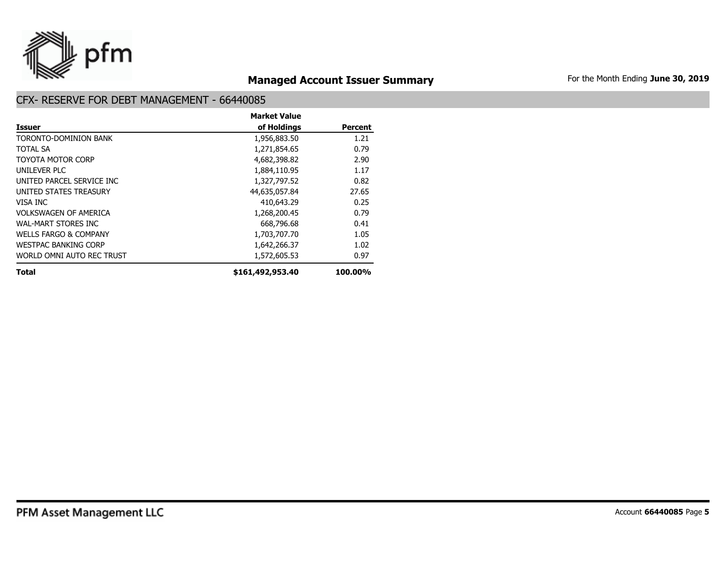

## **Managed Account Issuer Summary** For the Month Ending June 30, 2019

|                                  | <b>Market Value</b> |                |
|----------------------------------|---------------------|----------------|
| <b>Issuer</b>                    | of Holdings         | <b>Percent</b> |
| TORONTO-DOMINION BANK            | 1,956,883.50        | 1.21           |
| <b>TOTAL SA</b>                  | 1,271,854.65        | 0.79           |
| TOYOTA MOTOR CORP                | 4,682,398.82        | 2.90           |
| UNILFVER PLC                     | 1,884,110.95        | 1.17           |
| UNITED PARCEL SERVICE INC        | 1,327,797.52        | 0.82           |
| UNITED STATES TREASURY           | 44,635,057.84       | 27.65          |
| VISA INC                         | 410,643.29          | 0.25           |
| VOLKSWAGEN OF AMERICA            | 1,268,200.45        | 0.79           |
| WAL-MART STORES INC              | 668,796.68          | 0.41           |
| <b>WELLS FARGO &amp; COMPANY</b> | 1,703,707.70        | 1.05           |
| <b>WESTPAC BANKING CORP</b>      | 1,642,266.37        | 1.02           |
| WORLD OMNI AUTO REC TRUST        | 1,572,605.53        | 0.97           |
| <b>Total</b>                     | \$161,492,953.40    | 100.00%        |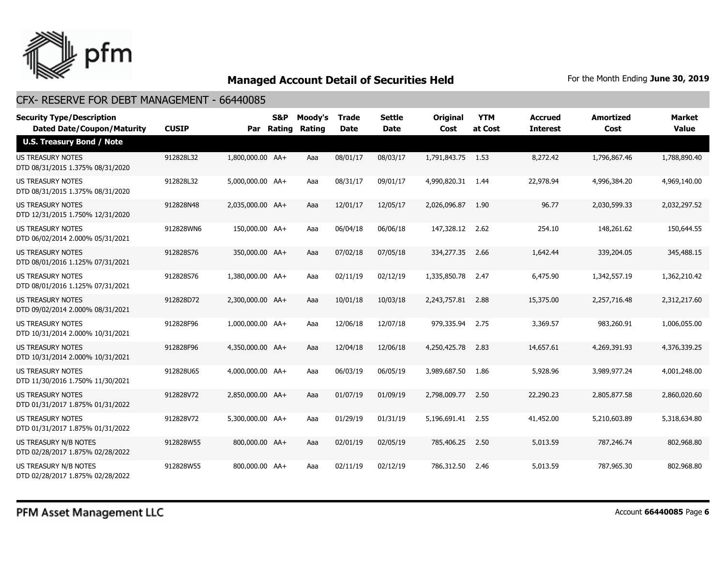

| <b>Security Type/Description</b><br><b>Dated Date/Coupon/Maturity</b> | <b>CUSIP</b> |                  | S&P<br>Par Rating | Moody's<br><b>Rating</b> | <b>Trade</b><br>Date | <b>Settle</b><br><b>Date</b> | <b>Original</b><br>Cost | <b>YTM</b><br>at Cost | <b>Accrued</b><br><b>Interest</b> | <b>Amortized</b><br>Cost | <b>Market</b><br><b>Value</b> |
|-----------------------------------------------------------------------|--------------|------------------|-------------------|--------------------------|----------------------|------------------------------|-------------------------|-----------------------|-----------------------------------|--------------------------|-------------------------------|
| <b>U.S. Treasury Bond / Note</b>                                      |              |                  |                   |                          |                      |                              |                         |                       |                                   |                          |                               |
| <b>US TREASURY NOTES</b><br>DTD 08/31/2015 1.375% 08/31/2020          | 912828L32    | 1,800,000.00 AA+ |                   | Aaa                      | 08/01/17             | 08/03/17                     | 1,791,843.75 1.53       |                       | 8,272.42                          | 1,796,867.46             | 1,788,890.40                  |
| <b>US TREASURY NOTES</b><br>DTD 08/31/2015 1.375% 08/31/2020          | 912828L32    | 5,000,000.00 AA+ |                   | Aaa                      | 08/31/17             | 09/01/17                     | 4,990,820.31            | 1.44                  | 22,978.94                         | 4,996,384.20             | 4,969,140.00                  |
| <b>US TREASURY NOTES</b><br>DTD 12/31/2015 1.750% 12/31/2020          | 912828N48    | 2,035,000.00 AA+ |                   | Aaa                      | 12/01/17             | 12/05/17                     | 2,026,096.87            | 1.90                  | 96.77                             | 2,030,599.33             | 2,032,297.52                  |
| US TREASURY NOTES<br>DTD 06/02/2014 2.000% 05/31/2021                 | 912828WN6    | 150,000.00 AA+   |                   | Aaa                      | 06/04/18             | 06/06/18                     | 147,328.12 2.62         |                       | 254.10                            | 148,261.62               | 150,644.55                    |
| <b>US TREASURY NOTES</b><br>DTD 08/01/2016 1.125% 07/31/2021          | 912828S76    | 350,000.00 AA+   |                   | Aaa                      | 07/02/18             | 07/05/18                     | 334,277.35              | 2.66                  | 1,642.44                          | 339,204.05               | 345,488.15                    |
| US TREASURY NOTES<br>DTD 08/01/2016 1.125% 07/31/2021                 | 912828S76    | 1,380,000.00 AA+ |                   | Aaa                      | 02/11/19             | 02/12/19                     | 1,335,850.78            | 2.47                  | 6,475.90                          | 1,342,557.19             | 1,362,210.42                  |
| US TREASURY NOTES<br>DTD 09/02/2014 2.000% 08/31/2021                 | 912828D72    | 2,300,000.00 AA+ |                   | Aaa                      | 10/01/18             | 10/03/18                     | 2,243,757.81            | 2.88                  | 15,375.00                         | 2,257,716.48             | 2,312,217.60                  |
| US TREASURY NOTES<br>DTD 10/31/2014 2.000% 10/31/2021                 | 912828F96    | 1,000,000.00 AA+ |                   | Aaa                      | 12/06/18             | 12/07/18                     | 979,335.94              | 2.75                  | 3,369.57                          | 983,260.91               | 1,006,055.00                  |
| US TREASURY NOTES<br>DTD 10/31/2014 2.000% 10/31/2021                 | 912828F96    | 4,350,000.00 AA+ |                   | Aaa                      | 12/04/18             | 12/06/18                     | 4,250,425.78            | 2.83                  | 14,657.61                         | 4,269,391.93             | 4,376,339.25                  |
| <b>US TREASURY NOTES</b><br>DTD 11/30/2016 1.750% 11/30/2021          | 912828U65    | 4,000,000.00 AA+ |                   | Aaa                      | 06/03/19             | 06/05/19                     | 3,989,687.50            | 1.86                  | 5,928.96                          | 3,989,977.24             | 4,001,248.00                  |
| <b>US TREASURY NOTES</b><br>DTD 01/31/2017 1.875% 01/31/2022          | 912828V72    | 2,850,000.00 AA+ |                   | Aaa                      | 01/07/19             | 01/09/19                     | 2,798,009,77            | 2.50                  | 22,290.23                         | 2,805,877.58             | 2,860,020,60                  |
| <b>US TREASURY NOTES</b><br>DTD 01/31/2017 1.875% 01/31/2022          | 912828V72    | 5,300,000.00 AA+ |                   | Aaa                      | 01/29/19             | 01/31/19                     | 5.196.691.41 2.55       |                       | 41,452.00                         | 5,210,603.89             | 5,318,634.80                  |
| <b>US TREASURY N/B NOTES</b><br>DTD 02/28/2017 1.875% 02/28/2022      | 912828W55    | 800,000.00 AA+   |                   | Aaa                      | 02/01/19             | 02/05/19                     | 785,406.25              | 2.50                  | 5,013.59                          | 787,246.74               | 802,968.80                    |
| US TREASURY N/B NOTES<br>DTD 02/28/2017 1.875% 02/28/2022             | 912828W55    | 800,000.00 AA+   |                   | Aaa                      | 02/11/19             | 02/12/19                     | 786,312.50              | 2.46                  | 5,013.59                          | 787,965.30               | 802,968.80                    |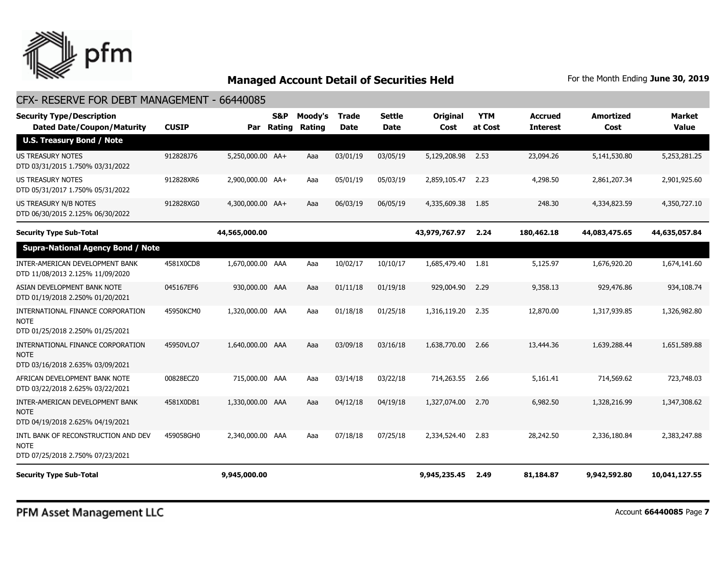

#### CFX- RESERVE FOR DEBT MANAGEMENT - 66440085

| <b>Security Type/Description</b><br><b>Dated Date/Coupon/Maturity</b>                  | <b>CUSIP</b> | Par              | <b>S&amp;P</b><br>Rating | Moody's<br>Rating | <b>Trade</b><br><b>Date</b> | <b>Settle</b><br>Date | Original<br>Cost | <b>YTM</b><br>at Cost | <b>Accrued</b><br><b>Interest</b> | <b>Amortized</b><br>Cost | <b>Market</b><br><b>Value</b> |
|----------------------------------------------------------------------------------------|--------------|------------------|--------------------------|-------------------|-----------------------------|-----------------------|------------------|-----------------------|-----------------------------------|--------------------------|-------------------------------|
| <b>U.S. Treasury Bond / Note</b>                                                       |              |                  |                          |                   |                             |                       |                  |                       |                                   |                          |                               |
| <b>US TREASURY NOTES</b><br>DTD 03/31/2015 1.750% 03/31/2022                           | 912828J76    | 5,250,000.00 AA+ |                          | Aaa               | 03/01/19                    | 03/05/19              | 5,129,208.98     | 2.53                  | 23,094.26                         | 5,141,530.80             | 5,253,281.25                  |
| US TREASURY NOTES<br>DTD 05/31/2017 1.750% 05/31/2022                                  | 912828XR6    | 2,900,000.00 AA+ |                          | Aaa               | 05/01/19                    | 05/03/19              | 2,859,105.47     | 2.23                  | 4,298.50                          | 2,861,207.34             | 2,901,925.60                  |
| US TREASURY N/B NOTES<br>DTD 06/30/2015 2.125% 06/30/2022                              | 912828XG0    | 4,300,000.00 AA+ |                          | Aaa               | 06/03/19                    | 06/05/19              | 4,335,609.38     | 1.85                  | 248.30                            | 4,334,823.59             | 4,350,727.10                  |
| <b>Security Type Sub-Total</b>                                                         |              | 44,565,000.00    |                          |                   |                             |                       | 43,979,767.97    | 2.24                  | 180,462.18                        | 44,083,475.65            | 44,635,057.84                 |
| <b>Supra-National Agency Bond / Note</b>                                               |              |                  |                          |                   |                             |                       |                  |                       |                                   |                          |                               |
| INTER-AMERICAN DEVELOPMENT BANK<br>DTD 11/08/2013 2.125% 11/09/2020                    | 4581X0CD8    | 1,670,000.00 AAA |                          | Aaa               | 10/02/17                    | 10/10/17              | 1,685,479.40     | 1.81                  | 5,125.97                          | 1,676,920.20             | 1,674,141.60                  |
| ASIAN DEVELOPMENT BANK NOTE<br>DTD 01/19/2018 2.250% 01/20/2021                        | 045167EF6    | 930,000.00 AAA   |                          | Aaa               | 01/11/18                    | 01/19/18              | 929,004.90       | 2.29                  | 9,358.13                          | 929,476.86               | 934,108.74                    |
| INTERNATIONAL FINANCE CORPORATION<br>NOTE<br>DTD 01/25/2018 2.250% 01/25/2021          | 45950KCM0    | 1,320,000.00 AAA |                          | Aaa               | 01/18/18                    | 01/25/18              | 1,316,119.20     | 2.35                  | 12,870.00                         | 1,317,939.85             | 1,326,982.80                  |
| INTERNATIONAL FINANCE CORPORATION<br><b>NOTE</b><br>DTD 03/16/2018 2.635% 03/09/2021   | 45950VLO7    | 1,640,000.00 AAA |                          | Aaa               | 03/09/18                    | 03/16/18              | 1,638,770.00     | 2.66                  | 13,444.36                         | 1,639,288,44             | 1,651,589.88                  |
| AFRICAN DEVELOPMENT BANK NOTE<br>DTD 03/22/2018 2.625% 03/22/2021                      | 00828ECZ0    | 715,000.00 AAA   |                          | Aaa               | 03/14/18                    | 03/22/18              | 714,263.55       | 2.66                  | 5,161.41                          | 714,569.62               | 723,748.03                    |
| INTER-AMERICAN DEVELOPMENT BANK<br><b>NOTE</b><br>DTD 04/19/2018 2.625% 04/19/2021     | 4581X0DB1    | 1,330,000.00 AAA |                          | Aaa               | 04/12/18                    | 04/19/18              | 1,327,074.00     | 2.70                  | 6,982.50                          | 1,328,216.99             | 1,347,308.62                  |
| INTL BANK OF RECONSTRUCTION AND DEV<br><b>NOTE</b><br>DTD 07/25/2018 2.750% 07/23/2021 | 459058GH0    | 2,340,000.00 AAA |                          | Aaa               | 07/18/18                    | 07/25/18              | 2,334,524.40     | 2.83                  | 28,242.50                         | 2,336,180.84             | 2,383,247.88                  |
| <b>Security Type Sub-Total</b>                                                         |              | 9,945,000.00     |                          |                   |                             |                       | 9,945,235.45     | 2.49                  | 81,184.87                         | 9,942,592.80             | 10,041,127.55                 |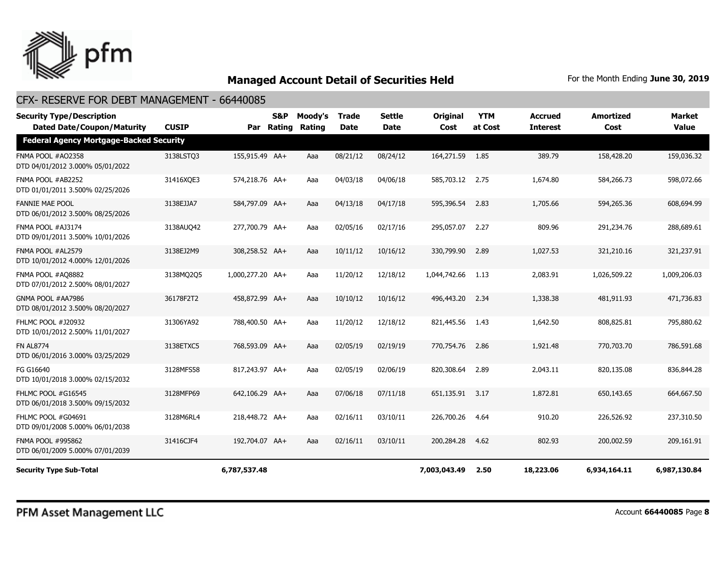

## CFX- RESERVE FOR DEBT MANAGEMENT - 66440085

| <b>Security Type/Description</b><br><b>Dated Date/Coupon/Maturity</b> | <b>CUSIP</b> |                  | <b>S&amp;P</b><br>Par Rating | Moody's<br><b>Rating</b> | <b>Trade</b><br><b>Date</b> | <b>Settle</b><br><b>Date</b> | <b>Original</b><br>Cost | <b>YTM</b><br>at Cost | <b>Accrued</b><br><b>Interest</b> | <b>Amortized</b><br>Cost | <b>Market</b><br><b>Value</b> |
|-----------------------------------------------------------------------|--------------|------------------|------------------------------|--------------------------|-----------------------------|------------------------------|-------------------------|-----------------------|-----------------------------------|--------------------------|-------------------------------|
| <b>Federal Agency Mortgage-Backed Security</b>                        |              |                  |                              |                          |                             |                              |                         |                       |                                   |                          |                               |
| FNMA POOL #AO2358<br>DTD 04/01/2012 3.000% 05/01/2022                 | 3138LSTQ3    | 155,915.49 AA+   |                              | Aaa                      | 08/21/12                    | 08/24/12                     | 164,271.59              | 1.85                  | 389.79                            | 158,428.20               | 159,036.32                    |
| FNMA POOL #AB2252<br>DTD 01/01/2011 3.500% 02/25/2026                 | 31416XQE3    | 574,218.76 AA+   |                              | Aaa                      | 04/03/18                    | 04/06/18                     | 585,703.12 2.75         |                       | 1,674.80                          | 584,266.73               | 598,072.66                    |
| <b>FANNIE MAE POOL</b><br>DTD 06/01/2012 3.500% 08/25/2026            | 3138EJJA7    | 584,797.09 AA+   |                              | Aaa                      | 04/13/18                    | 04/17/18                     | 595,396.54              | 2.83                  | 1,705.66                          | 594,265.36               | 608,694.99                    |
| FNMA POOL #AJ3174<br>DTD 09/01/2011 3.500% 10/01/2026                 | 3138AUQ42    | 277,700.79 AA+   |                              | Aaa                      | 02/05/16                    | 02/17/16                     | 295,057.07              | 2.27                  | 809.96                            | 291,234.76               | 288,689.61                    |
| FNMA POOL #AL2579<br>DTD 10/01/2012 4.000% 12/01/2026                 | 3138EJ2M9    | 308,258.52 AA+   |                              | Aaa                      | 10/11/12                    | 10/16/12                     | 330,799.90              | 2.89                  | 1,027.53                          | 321,210.16               | 321,237.91                    |
| FNMA POOL #AQ8882<br>DTD 07/01/2012 2.500% 08/01/2027                 | 3138MQ205    | 1,000,277.20 AA+ |                              | Aaa                      | 11/20/12                    | 12/18/12                     | 1,044,742.66            | 1.13                  | 2,083.91                          | 1,026,509.22             | 1,009,206.03                  |
| GNMA POOL #AA7986<br>DTD 08/01/2012 3.500% 08/20/2027                 | 36178F2T2    | 458,872.99 AA+   |                              | Aaa                      | 10/10/12                    | 10/16/12                     | 496,443.20              | 2.34                  | 1,338.38                          | 481,911.93               | 471,736.83                    |
| FHLMC POOL #J20932<br>DTD 10/01/2012 2.500% 11/01/2027                | 31306YA92    | 788,400.50 AA+   |                              | Aaa                      | 11/20/12                    | 12/18/12                     | 821,445.56              | 1.43                  | 1,642.50                          | 808,825.81               | 795,880.62                    |
| <b>FN AL8774</b><br>DTD 06/01/2016 3.000% 03/25/2029                  | 3138ETXC5    | 768,593.09 AA+   |                              | Aaa                      | 02/05/19                    | 02/19/19                     | 770,754.76              | 2.86                  | 1,921.48                          | 770,703.70               | 786,591.68                    |
| FG G16640<br>DTD 10/01/2018 3.000% 02/15/2032                         | 3128MFS58    | 817,243.97 AA+   |                              | Aaa                      | 02/05/19                    | 02/06/19                     | 820,308.64              | 2.89                  | 2,043.11                          | 820,135.08               | 836,844.28                    |
| FHLMC POOL #G16545<br>DTD 06/01/2018 3.500% 09/15/2032                | 3128MFP69    | 642,106.29 AA+   |                              | Aaa                      | 07/06/18                    | 07/11/18                     | 651,135.91              | 3.17                  | 1,872.81                          | 650,143.65               | 664,667.50                    |
| FHLMC POOL #G04691<br>DTD 09/01/2008 5.000% 06/01/2038                | 3128M6RL4    | 218,448.72 AA+   |                              | Aaa                      | 02/16/11                    | 03/10/11                     | 226,700.26              | 4.64                  | 910.20                            | 226,526.92               | 237,310.50                    |
| FNMA POOL #995862<br>DTD 06/01/2009 5.000% 07/01/2039                 | 31416CJF4    | 192,704.07 AA+   |                              | Aaa                      | 02/16/11                    | 03/10/11                     | 200,284.28              | 4.62                  | 802.93                            | 200,002.59               | 209,161.91                    |
| <b>Security Type Sub-Total</b>                                        |              | 6,787,537.48     |                              |                          |                             |                              | 7,003,043.49            | 2.50                  | 18,223.06                         | 6,934,164.11             | 6,987,130.84                  |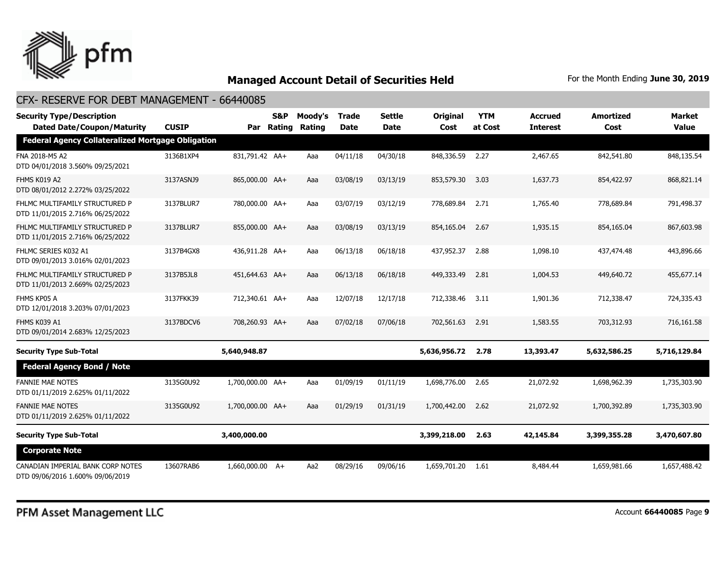

| <b>Security Type/Description</b><br><b>Dated Date/Coupon/Maturity</b> | <b>CUSIP</b> |                  | S&P<br>Par Rating | Moody's<br><b>Rating</b> | <b>Trade</b><br><b>Date</b> | <b>Settle</b><br>Date | <b>Original</b><br>Cost | <b>YTM</b><br>at Cost | <b>Accrued</b><br><b>Interest</b> | <b>Amortized</b><br>Cost | <b>Market</b><br><b>Value</b> |
|-----------------------------------------------------------------------|--------------|------------------|-------------------|--------------------------|-----------------------------|-----------------------|-------------------------|-----------------------|-----------------------------------|--------------------------|-------------------------------|
| <b>Federal Agency Collateralized Mortgage Obligation</b>              |              |                  |                   |                          |                             |                       |                         |                       |                                   |                          |                               |
| FNA 2018-M5 A2<br>DTD 04/01/2018 3.560% 09/25/2021                    | 3136B1XP4    | 831,791.42 AA+   |                   | Aaa                      | 04/11/18                    | 04/30/18              | 848,336.59              | 2.27                  | 2,467.65                          | 842,541.80               | 848,135.54                    |
| FHMS K019 A2<br>DTD 08/01/2012 2.272% 03/25/2022                      | 3137ASNJ9    | 865,000.00 AA+   |                   | Aaa                      | 03/08/19                    | 03/13/19              | 853,579.30              | 3.03                  | 1,637.73                          | 854,422.97               | 868,821.14                    |
| FHLMC MULTIFAMILY STRUCTURED P<br>DTD 11/01/2015 2.716% 06/25/2022    | 3137BLUR7    | 780,000.00 AA+   |                   | Aaa                      | 03/07/19                    | 03/12/19              | 778,689.84              | 2.71                  | 1,765.40                          | 778,689.84               | 791,498.37                    |
| FHLMC MULTIFAMILY STRUCTURED P<br>DTD 11/01/2015 2.716% 06/25/2022    | 3137BLUR7    | 855,000.00 AA+   |                   | Aaa                      | 03/08/19                    | 03/13/19              | 854,165.04              | 2.67                  | 1,935.15                          | 854,165.04               | 867,603.98                    |
| FHLMC SERIES K032 A1<br>DTD 09/01/2013 3.016% 02/01/2023              | 3137B4GX8    | 436,911.28 AA+   |                   | Aaa                      | 06/13/18                    | 06/18/18              | 437,952.37              | 2.88                  | 1,098.10                          | 437,474.48               | 443,896.66                    |
| FHLMC MULTIFAMILY STRUCTURED P<br>DTD 11/01/2013 2.669% 02/25/2023    | 3137B5JL8    | 451,644.63 AA+   |                   | Aaa                      | 06/13/18                    | 06/18/18              | 449,333,49              | 2.81                  | 1,004.53                          | 449,640,72               | 455,677.14                    |
| FHMS KP05 A<br>DTD 12/01/2018 3.203% 07/01/2023                       | 3137FKK39    | 712,340.61 AA+   |                   | Aaa                      | 12/07/18                    | 12/17/18              | 712,338.46              | 3.11                  | 1,901.36                          | 712,338.47               | 724,335.43                    |
| FHMS K039 A1<br>DTD 09/01/2014 2.683% 12/25/2023                      | 3137BDCV6    | 708,260.93 AA+   |                   | Aaa                      | 07/02/18                    | 07/06/18              | 702,561.63              | 2.91                  | 1,583.55                          | 703,312.93               | 716,161.58                    |
| <b>Security Type Sub-Total</b>                                        |              | 5,640,948.87     |                   |                          |                             |                       | 5,636,956.72            | 2.78                  | 13,393.47                         | 5,632,586.25             | 5,716,129.84                  |
| <b>Federal Agency Bond / Note</b>                                     |              |                  |                   |                          |                             |                       |                         |                       |                                   |                          |                               |
| <b>FANNIE MAE NOTES</b><br>DTD 01/11/2019 2.625% 01/11/2022           | 3135G0U92    | 1,700,000.00 AA+ |                   | Aaa                      | 01/09/19                    | 01/11/19              | 1,698,776.00            | 2.65                  | 21,072.92                         | 1,698,962.39             | 1,735,303.90                  |
| <b>FANNIE MAE NOTES</b><br>DTD 01/11/2019 2.625% 01/11/2022           | 3135G0U92    | 1,700,000.00 AA+ |                   | Aaa                      | 01/29/19                    | 01/31/19              | 1,700,442.00            | 2.62                  | 21,072.92                         | 1,700,392.89             | 1,735,303.90                  |
| <b>Security Type Sub-Total</b>                                        |              | 3,400,000.00     |                   |                          |                             |                       | 3,399,218.00            | 2.63                  | 42,145.84                         | 3,399,355.28             | 3,470,607.80                  |
| <b>Corporate Note</b>                                                 |              |                  |                   |                          |                             |                       |                         |                       |                                   |                          |                               |
| CANADIAN IMPERIAL BANK CORP NOTES<br>DTD 09/06/2016 1.600% 09/06/2019 | 13607RAB6    | 1,660,000,00 A+  |                   | Aa2                      | 08/29/16                    | 09/06/16              | 1,659,701.20            | 1.61                  | 8,484.44                          | 1,659,981.66             | 1,657,488.42                  |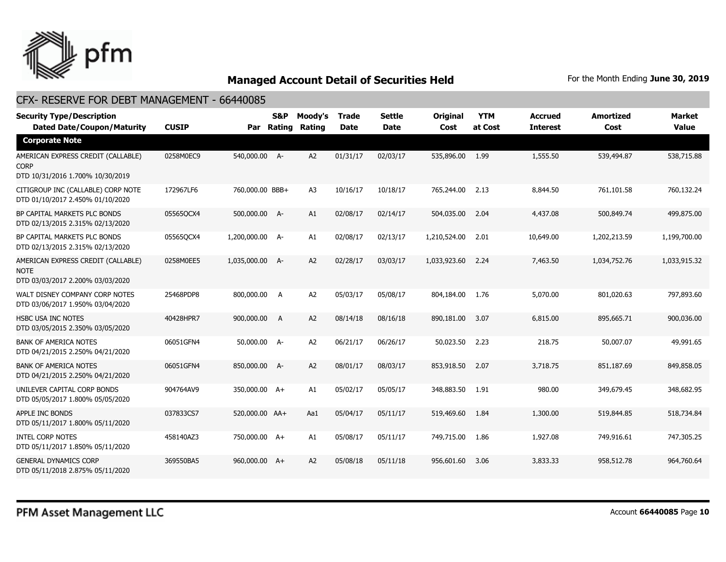

| <b>Security Type/Description</b><br><b>Dated Date/Coupon/Maturity</b>                 | <b>CUSIP</b> |                 | S&P<br>Par Rating | Moody's<br>Rating | <b>Trade</b><br>Date | <b>Settle</b><br><b>Date</b> | Original<br>Cost | <b>YTM</b><br>at Cost | <b>Accrued</b><br><b>Interest</b> | <b>Amortized</b><br>Cost | <b>Market</b><br><b>Value</b> |
|---------------------------------------------------------------------------------------|--------------|-----------------|-------------------|-------------------|----------------------|------------------------------|------------------|-----------------------|-----------------------------------|--------------------------|-------------------------------|
| <b>Corporate Note</b>                                                                 |              |                 |                   |                   |                      |                              |                  |                       |                                   |                          |                               |
| AMERICAN EXPRESS CREDIT (CALLABLE)<br><b>CORP</b><br>DTD 10/31/2016 1.700% 10/30/2019 | 0258M0EC9    | 540,000.00 A-   |                   | A2                | 01/31/17             | 02/03/17                     | 535,896.00       | 1.99                  | 1,555.50                          | 539,494.87               | 538,715.88                    |
| CITIGROUP INC (CALLABLE) CORP NOTE<br>DTD 01/10/2017 2.450% 01/10/2020                | 172967LF6    | 760,000.00 BBB+ |                   | A <sub>3</sub>    | 10/16/17             | 10/18/17                     | 765,244.00       | 2.13                  | 8,844.50                          | 761,101.58               | 760,132.24                    |
| BP CAPITAL MARKETS PLC BONDS<br>DTD 02/13/2015 2.315% 02/13/2020                      | 05565QCX4    | 500,000.00 A-   |                   | A1                | 02/08/17             | 02/14/17                     | 504,035.00       | 2.04                  | 4,437.08                          | 500,849.74               | 499,875.00                    |
| BP CAPITAL MARKETS PLC BONDS<br>DTD 02/13/2015 2.315% 02/13/2020                      | 05565QCX4    | 1,200,000.00 A- |                   | A1                | 02/08/17             | 02/13/17                     | 1,210,524.00     | 2.01                  | 10,649.00                         | 1,202,213.59             | 1,199,700.00                  |
| AMERICAN EXPRESS CREDIT (CALLABLE)<br><b>NOTE</b><br>DTD 03/03/2017 2.200% 03/03/2020 | 0258M0EE5    | 1,035,000.00    | $A-$              | A2                | 02/28/17             | 03/03/17                     | 1,033,923.60     | 2.24                  | 7,463.50                          | 1,034,752.76             | 1,033,915.32                  |
| WALT DISNEY COMPANY CORP NOTES<br>DTD 03/06/2017 1.950% 03/04/2020                    | 25468PDP8    | 800,000.00      | A                 | A2                | 05/03/17             | 05/08/17                     | 804,184.00       | 1.76                  | 5,070.00                          | 801,020.63               | 797,893.60                    |
| <b>HSBC USA INC NOTES</b><br>DTD 03/05/2015 2.350% 03/05/2020                         | 40428HPR7    | 900,000.00      | A                 | A2                | 08/14/18             | 08/16/18                     | 890,181.00       | 3.07                  | 6,815.00                          | 895,665.71               | 900,036.00                    |
| <b>BANK OF AMERICA NOTES</b><br>DTD 04/21/2015 2.250% 04/21/2020                      | 06051GFN4    | 50,000.00 A-    |                   | A <sub>2</sub>    | 06/21/17             | 06/26/17                     | 50,023.50        | 2.23                  | 218.75                            | 50,007.07                | 49,991.65                     |
| <b>BANK OF AMERICA NOTES</b><br>DTD 04/21/2015 2.250% 04/21/2020                      | 06051GFN4    | 850,000.00 A-   |                   | A <sub>2</sub>    | 08/01/17             | 08/03/17                     | 853,918.50       | 2.07                  | 3,718.75                          | 851,187.69               | 849,858.05                    |
| UNILEVER CAPITAL CORP BONDS<br>DTD 05/05/2017 1.800% 05/05/2020                       | 904764AV9    | 350,000.00 A+   |                   | A1                | 05/02/17             | 05/05/17                     | 348,883.50       | 1.91                  | 980.00                            | 349,679.45               | 348,682.95                    |
| APPLE INC BONDS<br>DTD 05/11/2017 1.800% 05/11/2020                                   | 037833CS7    | 520,000.00 AA+  |                   | Aa1               | 05/04/17             | 05/11/17                     | 519,469.60       | 1.84                  | 1,300.00                          | 519,844.85               | 518,734.84                    |
| <b>INTEL CORP NOTES</b><br>DTD 05/11/2017 1.850% 05/11/2020                           | 458140AZ3    | 750,000.00 A+   |                   | A1                | 05/08/17             | 05/11/17                     | 749,715.00       | 1.86                  | 1,927.08                          | 749,916.61               | 747,305.25                    |
| <b>GENERAL DYNAMICS CORP</b><br>DTD 05/11/2018 2.875% 05/11/2020                      | 369550BA5    | 960,000.00 A+   |                   | A <sub>2</sub>    | 05/08/18             | 05/11/18                     | 956,601.60       | 3.06                  | 3,833.33                          | 958,512.78               | 964,760.64                    |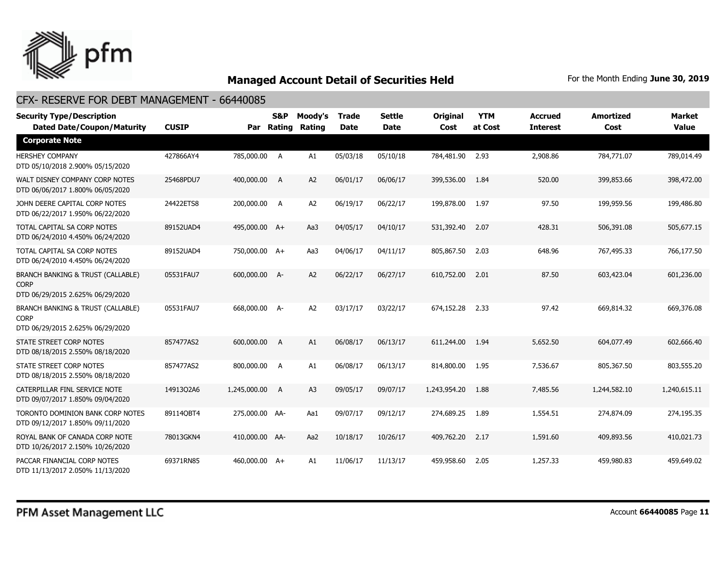

| <b>Security Type/Description</b><br><b>Dated Date/Coupon/Maturity</b>                           | <b>CUSIP</b> |                | S&P<br>Par Rating | Moody's<br>Rating | <b>Trade</b><br><b>Date</b> | <b>Settle</b><br><b>Date</b> | <b>Original</b><br>Cost | <b>YTM</b><br>at Cost | <b>Accrued</b><br><b>Interest</b> | <b>Amortized</b><br>Cost | Market<br><b>Value</b> |
|-------------------------------------------------------------------------------------------------|--------------|----------------|-------------------|-------------------|-----------------------------|------------------------------|-------------------------|-----------------------|-----------------------------------|--------------------------|------------------------|
| <b>Corporate Note</b>                                                                           |              |                |                   |                   |                             |                              |                         |                       |                                   |                          |                        |
| <b>HERSHEY COMPANY</b><br>DTD 05/10/2018 2.900% 05/15/2020                                      | 427866AY4    | 785,000.00 A   |                   | A1                | 05/03/18                    | 05/10/18                     | 784,481.90              | 2.93                  | 2,908.86                          | 784,771.07               | 789,014.49             |
| WALT DISNEY COMPANY CORP NOTES<br>DTD 06/06/2017 1.800% 06/05/2020                              | 25468PDU7    | 400,000.00     | <b>A</b>          | A <sub>2</sub>    | 06/01/17                    | 06/06/17                     | 399,536.00              | 1.84                  | 520.00                            | 399,853.66               | 398,472.00             |
| JOHN DEERE CAPITAL CORP NOTES<br>DTD 06/22/2017 1.950% 06/22/2020                               | 24422ETS8    | 200,000.00 A   |                   | A <sub>2</sub>    | 06/19/17                    | 06/22/17                     | 199,878.00              | 1.97                  | 97.50                             | 199,959.56               | 199,486.80             |
| TOTAL CAPITAL SA CORP NOTES<br>DTD 06/24/2010 4.450% 06/24/2020                                 | 89152UAD4    | 495,000.00 A+  |                   | Aa3               | 04/05/17                    | 04/10/17                     | 531,392.40              | 2.07                  | 428.31                            | 506,391.08               | 505,677.15             |
| TOTAL CAPITAL SA CORP NOTES<br>DTD 06/24/2010 4.450% 06/24/2020                                 | 89152UAD4    | 750,000.00 A+  |                   | Aa3               | 04/06/17                    | 04/11/17                     | 805,867.50              | 2.03                  | 648.96                            | 767,495.33               | 766,177.50             |
| <b>BRANCH BANKING &amp; TRUST (CALLABLE)</b><br><b>CORP</b><br>DTD 06/29/2015 2.625% 06/29/2020 | 05531FAU7    | 600,000.00 A-  |                   | A <sub>2</sub>    | 06/22/17                    | 06/27/17                     | 610,752.00              | 2.01                  | 87.50                             | 603,423.04               | 601,236.00             |
| <b>BRANCH BANKING &amp; TRUST (CALLABLE)</b><br><b>CORP</b><br>DTD 06/29/2015 2.625% 06/29/2020 | 05531FAU7    | 668,000.00 A-  |                   | A2                | 03/17/17                    | 03/22/17                     | 674,152.28              | 2.33                  | 97.42                             | 669,814.32               | 669,376.08             |
| STATE STREET CORP NOTES<br>DTD 08/18/2015 2.550% 08/18/2020                                     | 857477AS2    | 600,000.00     | $\overline{A}$    | A1                | 06/08/17                    | 06/13/17                     | 611,244.00              | 1.94                  | 5,652.50                          | 604,077.49               | 602,666.40             |
| STATE STREET CORP NOTES<br>DTD 08/18/2015 2.550% 08/18/2020                                     | 857477AS2    | 800,000.00 A   |                   | A1                | 06/08/17                    | 06/13/17                     | 814,800.00              | 1.95                  | 7,536.67                          | 805,367.50               | 803,555.20             |
| CATERPILLAR FINL SERVICE NOTE<br>DTD 09/07/2017 1.850% 09/04/2020                               | 14913Q2A6    | 1,245,000.00 A |                   | A3                | 09/05/17                    | 09/07/17                     | 1,243,954.20            | 1.88                  | 7,485.56                          | 1,244,582.10             | 1,240,615.11           |
| TORONTO DOMINION BANK CORP NOTES<br>DTD 09/12/2017 1.850% 09/11/2020                            | 891140BT4    | 275,000.00 AA- |                   | Aa1               | 09/07/17                    | 09/12/17                     | 274,689.25              | 1.89                  | 1,554.51                          | 274,874.09               | 274,195.35             |
| ROYAL BANK OF CANADA CORP NOTE<br>DTD 10/26/2017 2.150% 10/26/2020                              | 78013GKN4    | 410,000.00 AA- |                   | Aa2               | 10/18/17                    | 10/26/17                     | 409,762.20              | 2.17                  | 1,591.60                          | 409,893.56               | 410,021.73             |
| PACCAR FINANCIAL CORP NOTES<br>DTD 11/13/2017 2.050% 11/13/2020                                 | 69371RN85    | 460,000.00 A+  |                   | A1                | 11/06/17                    | 11/13/17                     | 459,958.60              | 2.05                  | 1,257.33                          | 459,980.83               | 459,649.02             |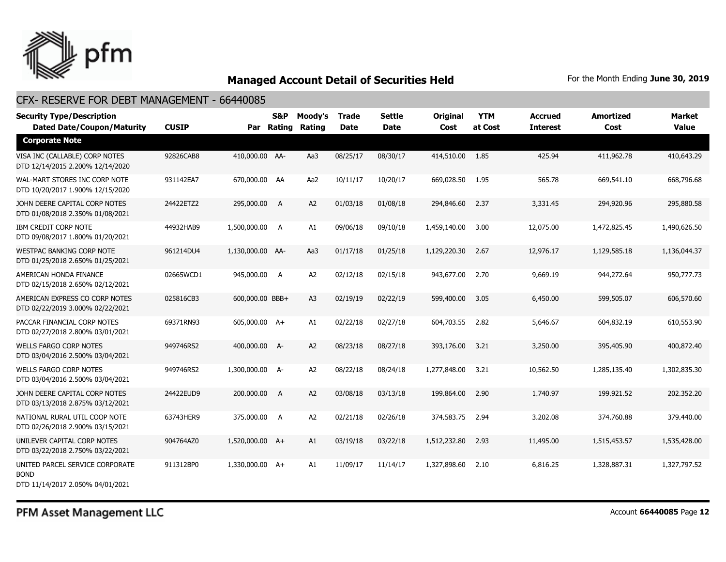

#### CFX- RESERVE FOR DEBT MANAGEMENT - 66440085

| <b>Security Type/Description</b><br><b>Dated Date/Coupon/Maturity</b>       | <b>CUSIP</b> |                  | <b>S&amp;P</b><br>Par Rating | Moody's<br>Rating | <b>Trade</b><br>Date | <b>Settle</b><br><b>Date</b> | <b>Original</b><br>Cost | <b>YTM</b><br>at Cost | <b>Accrued</b><br><b>Interest</b> | <b>Amortized</b><br>Cost | <b>Market</b><br><b>Value</b> |
|-----------------------------------------------------------------------------|--------------|------------------|------------------------------|-------------------|----------------------|------------------------------|-------------------------|-----------------------|-----------------------------------|--------------------------|-------------------------------|
| <b>Corporate Note</b>                                                       |              |                  |                              |                   |                      |                              |                         |                       |                                   |                          |                               |
| VISA INC (CALLABLE) CORP NOTES<br>DTD 12/14/2015 2.200% 12/14/2020          | 92826CAB8    | 410,000.00 AA-   |                              | Aa3               | 08/25/17             | 08/30/17                     | 414,510.00              | - 1.85                | 425.94                            | 411,962.78               | 410,643.29                    |
| WAL-MART STORES INC CORP NOTE<br>DTD 10/20/2017 1.900% 12/15/2020           | 931142EA7    | 670,000.00 AA    |                              | Aa2               | 10/11/17             | 10/20/17                     | 669,028.50              | 1.95                  | 565.78                            | 669,541.10               | 668,796.68                    |
| JOHN DEERE CAPITAL CORP NOTES<br>DTD 01/08/2018 2.350% 01/08/2021           | 24422ETZ2    | 295,000.00       | $\overline{A}$               | A2                | 01/03/18             | 01/08/18                     | 294,846.60              | 2.37                  | 3,331.45                          | 294,920.96               | 295,880.58                    |
| IBM CREDIT CORP NOTE<br>DTD 09/08/2017 1.800% 01/20/2021                    | 44932HAB9    | 1,500,000.00 A   |                              | A1                | 09/06/18             | 09/10/18                     | 1,459,140.00            | 3.00                  | 12,075.00                         | 1,472,825.45             | 1,490,626.50                  |
| <b>WESTPAC BANKING CORP NOTE</b><br>DTD 01/25/2018 2.650% 01/25/2021        | 961214DU4    | 1,130,000.00 AA- |                              | Aa3               | 01/17/18             | 01/25/18                     | 1,129,220.30            | 2.67                  | 12,976.17                         | 1,129,585.18             | 1,136,044.37                  |
| AMERICAN HONDA FINANCE<br>DTD 02/15/2018 2.650% 02/12/2021                  | 02665WCD1    | 945,000.00 A     |                              | A2                | 02/12/18             | 02/15/18                     | 943,677.00              | 2.70                  | 9,669.19                          | 944,272.64               | 950,777.73                    |
| AMERICAN EXPRESS CO CORP NOTES<br>DTD 02/22/2019 3.000% 02/22/2021          | 025816CB3    | 600,000.00 BBB+  |                              | A <sub>3</sub>    | 02/19/19             | 02/22/19                     | 599,400.00              | 3.05                  | 6,450.00                          | 599,505.07               | 606,570.60                    |
| PACCAR FINANCIAL CORP NOTES<br>DTD 02/27/2018 2.800% 03/01/2021             | 69371RN93    | 605,000.00 A+    |                              | A1                | 02/22/18             | 02/27/18                     | 604,703.55              | 2.82                  | 5,646.67                          | 604,832.19               | 610,553.90                    |
| <b>WELLS FARGO CORP NOTES</b><br>DTD 03/04/2016 2.500% 03/04/2021           | 949746RS2    | 400,000.00 A-    |                              | A2                | 08/23/18             | 08/27/18                     | 393,176.00              | 3.21                  | 3,250.00                          | 395,405.90               | 400,872.40                    |
| <b>WELLS FARGO CORP NOTES</b><br>DTD 03/04/2016 2.500% 03/04/2021           | 949746RS2    | 1,300,000.00 A-  |                              | A <sub>2</sub>    | 08/22/18             | 08/24/18                     | 1,277,848.00            | 3.21                  | 10,562.50                         | 1,285,135.40             | 1,302,835.30                  |
| JOHN DEERE CAPITAL CORP NOTES<br>DTD 03/13/2018 2.875% 03/12/2021           | 24422EUD9    | 200,000.00       | A                            | A <sub>2</sub>    | 03/08/18             | 03/13/18                     | 199,864.00              | 2.90                  | 1,740.97                          | 199,921.52               | 202,352.20                    |
| NATIONAL RURAL UTIL COOP NOTE<br>DTD 02/26/2018 2.900% 03/15/2021           | 63743HER9    | 375,000.00 A     |                              | A2                | 02/21/18             | 02/26/18                     | 374,583.75              | 2.94                  | 3,202.08                          | 374,760.88               | 379,440.00                    |
| UNILEVER CAPITAL CORP NOTES<br>DTD 03/22/2018 2.750% 03/22/2021             | 904764AZ0    | 1,520,000.00 A+  |                              | A1                | 03/19/18             | 03/22/18                     | 1,512,232.80            | 2.93                  | 11,495.00                         | 1,515,453.57             | 1,535,428.00                  |
| UNITED PARCEL SERVICE CORPORATE<br>BOND<br>DTD 11/14/2017 2.050% 04/01/2021 | 911312BP0    | 1,330,000.00 A+  |                              | A1                | 11/09/17             | 11/14/17                     | 1,327,898.60            | 2.10                  | 6,816.25                          | 1,328,887.31             | 1,327,797.52                  |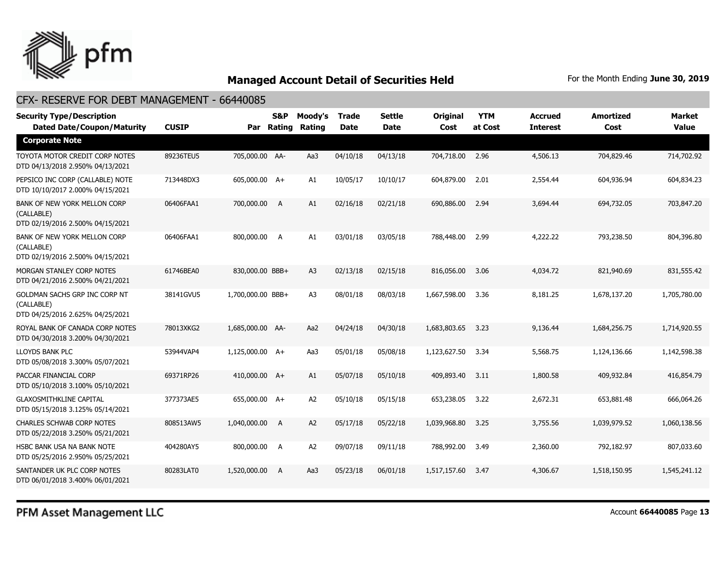

## CFX- RESERVE FOR DEBT MANAGEMENT - 66440085

| <b>Security Type/Description</b><br><b>Dated Date/Coupon/Maturity</b>           | <b>CUSIP</b> |                   | <b>S&amp;P</b><br>Par Rating | Moody's<br>Rating | <b>Trade</b><br><b>Date</b> | <b>Settle</b><br><b>Date</b> | <b>Original</b><br>Cost | <b>YTM</b><br>at Cost | Accrued<br><b>Interest</b> | <b>Amortized</b><br>Cost | Market<br><b>Value</b> |
|---------------------------------------------------------------------------------|--------------|-------------------|------------------------------|-------------------|-----------------------------|------------------------------|-------------------------|-----------------------|----------------------------|--------------------------|------------------------|
| <b>Corporate Note</b>                                                           |              |                   |                              |                   |                             |                              |                         |                       |                            |                          |                        |
| TOYOTA MOTOR CREDIT CORP NOTES<br>DTD 04/13/2018 2.950% 04/13/2021              | 89236TEU5    | 705,000.00 AA-    |                              | Aa3               | 04/10/18                    | 04/13/18                     | 704,718.00              | 2.96                  | 4,506.13                   | 704,829.46               | 714,702.92             |
| PEPSICO INC CORP (CALLABLE) NOTE<br>DTD 10/10/2017 2.000% 04/15/2021            | 713448DX3    | 605,000.00 A+     |                              | A1                | 10/05/17                    | 10/10/17                     | 604,879.00              | 2.01                  | 2,554.44                   | 604,936.94               | 604,834.23             |
| BANK OF NEW YORK MELLON CORP<br>(CALLABLE)<br>DTD 02/19/2016 2.500% 04/15/2021  | 06406FAA1    | 700,000.00 A      |                              | A1                | 02/16/18                    | 02/21/18                     | 690,886.00              | 2.94                  | 3,694.44                   | 694,732.05               | 703,847,20             |
| BANK OF NEW YORK MELLON CORP<br>(CALLABLE)<br>DTD 02/19/2016 2.500% 04/15/2021  | 06406FAA1    | 800,000.00 A      |                              | A1                | 03/01/18                    | 03/05/18                     | 788,448.00              | 2.99                  | 4,222.22                   | 793,238.50               | 804,396.80             |
| MORGAN STANLEY CORP NOTES<br>DTD 04/21/2016 2.500% 04/21/2021                   | 61746BEA0    | 830,000.00 BBB+   |                              | A3                | 02/13/18                    | 02/15/18                     | 816,056.00              | 3.06                  | 4,034.72                   | 821,940.69               | 831,555.42             |
| GOLDMAN SACHS GRP INC CORP NT<br>(CALLABLE)<br>DTD 04/25/2016 2.625% 04/25/2021 | 38141GVU5    | 1,700,000.00 BBB+ |                              | A <sub>3</sub>    | 08/01/18                    | 08/03/18                     | 1,667,598,00            | 3.36                  | 8,181.25                   | 1,678,137.20             | 1,705,780.00           |
| ROYAL BANK OF CANADA CORP NOTES<br>DTD 04/30/2018 3.200% 04/30/2021             | 78013XKG2    | 1,685,000.00 AA-  |                              | Aa2               | 04/24/18                    | 04/30/18                     | 1,683,803.65            | 3.23                  | 9,136.44                   | 1,684,256.75             | 1,714,920.55           |
| LLOYDS BANK PLC<br>DTD 05/08/2018 3.300% 05/07/2021                             | 53944VAP4    | 1,125,000.00 A+   |                              | Aa3               | 05/01/18                    | 05/08/18                     | 1,123,627.50            | 3.34                  | 5,568.75                   | 1,124,136.66             | 1,142,598.38           |
| PACCAR FINANCIAL CORP<br>DTD 05/10/2018 3.100% 05/10/2021                       | 69371RP26    | 410,000.00 A+     |                              | A1                | 05/07/18                    | 05/10/18                     | 409,893,40              | 3.11                  | 1,800.58                   | 409,932.84               | 416,854.79             |
| <b>GLAXOSMITHKLINE CAPITAL</b><br>DTD 05/15/2018 3.125% 05/14/2021              | 377373AE5    | 655,000.00 A+     |                              | A <sub>2</sub>    | 05/10/18                    | 05/15/18                     | 653,238.05              | 3.22                  | 2,672.31                   | 653,881.48               | 666,064.26             |
| <b>CHARLES SCHWAB CORP NOTES</b><br>DTD 05/22/2018 3.250% 05/21/2021            | 808513AW5    | 1,040,000.00      | A                            | A <sub>2</sub>    | 05/17/18                    | 05/22/18                     | 1,039,968.80            | 3.25                  | 3,755.56                   | 1,039,979.52             | 1,060,138.56           |
| HSBC BANK USA NA BANK NOTE<br>DTD 05/25/2016 2.950% 05/25/2021                  | 404280AY5    | 800,000.00        | A                            | A <sub>2</sub>    | 09/07/18                    | 09/11/18                     | 788,992.00              | 3.49                  | 2,360,00                   | 792,182.97               | 807,033.60             |
| SANTANDER UK PLC CORP NOTES<br>DTD 06/01/2018 3.400% 06/01/2021                 | 80283LAT0    | 1,520,000.00      | A                            | Aa3               | 05/23/18                    | 06/01/18                     | 1,517,157,60            | 3.47                  | 4,306.67                   | 1,518,150.95             | 1,545,241.12           |

PFM Asset Management LLC

Account **66440085** Page **13**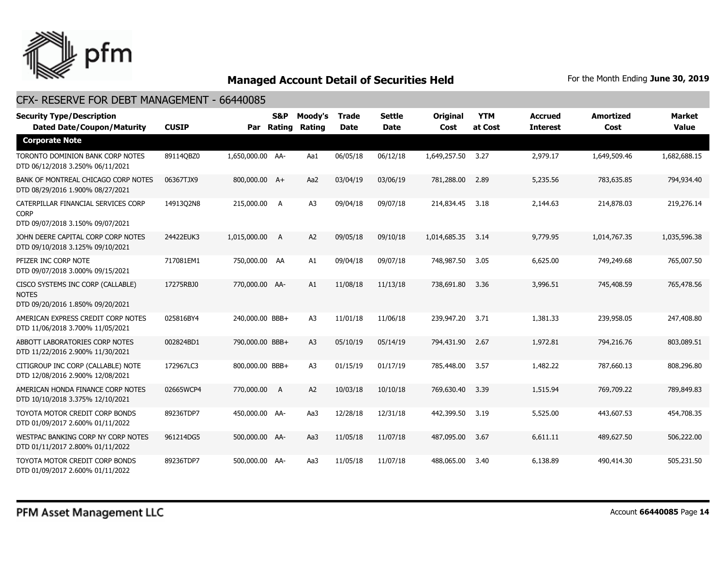

| <b>Security Type/Description</b><br><b>Dated Date/Coupon/Maturity</b>                  | <b>CUSIP</b> | Par              | <b>S&amp;P</b><br>Rating | Moody's<br><b>Rating</b> | <b>Trade</b><br><b>Date</b> | <b>Settle</b><br><b>Date</b> | <b>Original</b><br>Cost | <b>YTM</b><br>at Cost | <b>Accrued</b><br><b>Interest</b> | <b>Amortized</b><br>Cost | <b>Market</b><br><b>Value</b> |
|----------------------------------------------------------------------------------------|--------------|------------------|--------------------------|--------------------------|-----------------------------|------------------------------|-------------------------|-----------------------|-----------------------------------|--------------------------|-------------------------------|
| <b>Corporate Note</b>                                                                  |              |                  |                          |                          |                             |                              |                         |                       |                                   |                          |                               |
| TORONTO DOMINION BANK CORP NOTES<br>DTD 06/12/2018 3.250% 06/11/2021                   | 89114QBZ0    | 1,650,000.00 AA- |                          | Aa1                      | 06/05/18                    | 06/12/18                     | 1,649,257.50            | 3.27                  | 2,979.17                          | 1,649,509.46             | 1,682,688.15                  |
| BANK OF MONTREAL CHICAGO CORP NOTES<br>DTD 08/29/2016 1.900% 08/27/2021                | 06367TJX9    | 800,000.00 A+    |                          | Aa2                      | 03/04/19                    | 03/06/19                     | 781,288.00              | 2.89                  | 5,235.56                          | 783,635.85               | 794,934.40                    |
| CATERPILLAR FINANCIAL SERVICES CORP<br><b>CORP</b><br>DTD 09/07/2018 3.150% 09/07/2021 | 14913Q2N8    | 215,000.00 A     |                          | A <sub>3</sub>           | 09/04/18                    | 09/07/18                     | 214,834.45              | 3.18                  | 2,144.63                          | 214,878.03               | 219,276.14                    |
| JOHN DEERE CAPITAL CORP CORP NOTES<br>DTD 09/10/2018 3.125% 09/10/2021                 | 24422EUK3    | 1,015,000.00     | A                        | A <sub>2</sub>           | 09/05/18                    | 09/10/18                     | 1,014,685.35            | 3.14                  | 9,779.95                          | 1,014,767.35             | 1,035,596.38                  |
| PFIZER INC CORP NOTE<br>DTD 09/07/2018 3.000% 09/15/2021                               | 717081EM1    | 750,000.00 AA    |                          | A1                       | 09/04/18                    | 09/07/18                     | 748,987.50              | 3.05                  | 6,625.00                          | 749,249.68               | 765,007.50                    |
| CISCO SYSTEMS INC CORP (CALLABLE)<br><b>NOTES</b><br>DTD 09/20/2016 1.850% 09/20/2021  | 17275RBJ0    | 770,000.00 AA-   |                          | A1                       | 11/08/18                    | 11/13/18                     | 738,691.80              | 3.36                  | 3,996.51                          | 745,408.59               | 765,478.56                    |
| AMERICAN EXPRESS CREDIT CORP NOTES<br>DTD 11/06/2018 3.700% 11/05/2021                 | 025816BY4    | 240,000.00 BBB+  |                          | A <sub>3</sub>           | 11/01/18                    | 11/06/18                     | 239,947.20              | 3.71                  | 1,381.33                          | 239,958.05               | 247,408.80                    |
| ABBOTT LABORATORIES CORP NOTES<br>DTD 11/22/2016 2.900% 11/30/2021                     | 002824BD1    | 790,000.00 BBB+  |                          | A <sub>3</sub>           | 05/10/19                    | 05/14/19                     | 794,431.90              | 2.67                  | 1,972.81                          | 794,216.76               | 803,089.51                    |
| CITIGROUP INC CORP (CALLABLE) NOTE<br>DTD 12/08/2016 2.900% 12/08/2021                 | 172967LC3    | 800,000.00 BBB+  |                          | A <sub>3</sub>           | 01/15/19                    | 01/17/19                     | 785,448.00              | 3.57                  | 1,482.22                          | 787,660.13               | 808,296.80                    |
| AMERICAN HONDA FINANCE CORP NOTES<br>DTD 10/10/2018 3.375% 12/10/2021                  | 02665WCP4    | 770,000.00 A     |                          | A <sub>2</sub>           | 10/03/18                    | 10/10/18                     | 769,630.40              | 3.39                  | 1,515.94                          | 769,709.22               | 789,849.83                    |
| TOYOTA MOTOR CREDIT CORP BONDS<br>DTD 01/09/2017 2.600% 01/11/2022                     | 89236TDP7    | 450,000.00 AA-   |                          | Aa3                      | 12/28/18                    | 12/31/18                     | 442,399.50              | 3.19                  | 5,525.00                          | 443,607.53               | 454,708.35                    |
| WESTPAC BANKING CORP NY CORP NOTES<br>DTD 01/11/2017 2.800% 01/11/2022                 | 961214DG5    | 500,000.00 AA-   |                          | Aa3                      | 11/05/18                    | 11/07/18                     | 487,095.00              | 3.67                  | 6,611.11                          | 489,627.50               | 506,222.00                    |
| TOYOTA MOTOR CREDIT CORP BONDS<br>DTD 01/09/2017 2.600% 01/11/2022                     | 89236TDP7    | 500,000.00 AA-   |                          | Aa3                      | 11/05/18                    | 11/07/18                     | 488,065.00              | 3.40                  | 6,138.89                          | 490,414.30               | 505,231.50                    |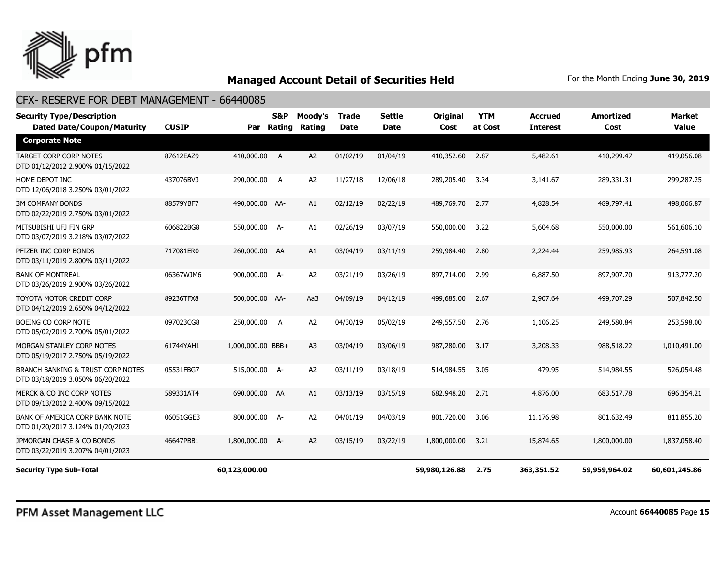

## CFX- RESERVE FOR DEBT MANAGEMENT - 66440085

| <b>Security Type/Description</b><br><b>Dated Date/Coupon/Maturity</b>            | <b>CUSIP</b> |                   | <b>S&amp;P</b><br>Par Rating | Moody's<br><b>Rating</b> | <b>Trade</b><br><b>Date</b> | <b>Settle</b><br><b>Date</b> | <b>Original</b><br>Cost | <b>YTM</b><br>at Cost | <b>Accrued</b><br><b>Interest</b> | <b>Amortized</b><br>Cost | Market<br><b>Value</b> |
|----------------------------------------------------------------------------------|--------------|-------------------|------------------------------|--------------------------|-----------------------------|------------------------------|-------------------------|-----------------------|-----------------------------------|--------------------------|------------------------|
| <b>Corporate Note</b>                                                            |              |                   |                              |                          |                             |                              |                         |                       |                                   |                          |                        |
| <b>TARGET CORP CORP NOTES</b><br>DTD 01/12/2012 2.900% 01/15/2022                | 87612EAZ9    | 410,000.00 A      |                              | A <sub>2</sub>           | 01/02/19                    | 01/04/19                     | 410,352.60              | 2.87                  | 5,482.61                          | 410,299.47               | 419,056.08             |
| HOME DEPOT INC<br>DTD 12/06/2018 3.250% 03/01/2022                               | 437076BV3    | 290,000.00 A      |                              | A <sub>2</sub>           | 11/27/18                    | 12/06/18                     | 289,205.40              | 3.34                  | 3,141.67                          | 289,331.31               | 299,287.25             |
| <b>3M COMPANY BONDS</b><br>DTD 02/22/2019 2.750% 03/01/2022                      | 88579YBF7    | 490,000.00 AA-    |                              | A1                       | 02/12/19                    | 02/22/19                     | 489,769.70              | 2.77                  | 4,828.54                          | 489,797.41               | 498,066.87             |
| MITSUBISHI UFJ FIN GRP<br>DTD 03/07/2019 3.218% 03/07/2022                       | 606822BG8    | 550,000.00 A-     |                              | A1                       | 02/26/19                    | 03/07/19                     | 550,000.00              | 3.22                  | 5,604.68                          | 550,000.00               | 561,606.10             |
| PFIZER INC CORP BONDS<br>DTD 03/11/2019 2.800% 03/11/2022                        | 717081ER0    | 260,000.00 AA     |                              | A1                       | 03/04/19                    | 03/11/19                     | 259,984.40              | 2.80                  | 2,224.44                          | 259,985.93               | 264,591.08             |
| <b>BANK OF MONTREAL</b><br>DTD 03/26/2019 2.900% 03/26/2022                      | 06367WJM6    | 900,000.00 A-     |                              | A <sub>2</sub>           | 03/21/19                    | 03/26/19                     | 897,714.00              | 2.99                  | 6,887.50                          | 897,907.70               | 913,777.20             |
| TOYOTA MOTOR CREDIT CORP<br>DTD 04/12/2019 2.650% 04/12/2022                     | 89236TFX8    | 500,000.00 AA-    |                              | Aa3                      | 04/09/19                    | 04/12/19                     | 499,685.00              | 2.67                  | 2,907.64                          | 499,707.29               | 507.842.50             |
| BOEING CO CORP NOTE<br>DTD 05/02/2019 2.700% 05/01/2022                          | 097023CG8    | 250,000.00 A      |                              | A2                       | 04/30/19                    | 05/02/19                     | 249,557.50              | 2.76                  | 1,106.25                          | 249,580.84               | 253,598.00             |
| MORGAN STANLEY CORP NOTES<br>DTD 05/19/2017 2.750% 05/19/2022                    | 61744YAH1    | 1,000,000.00 BBB+ |                              | A <sub>3</sub>           | 03/04/19                    | 03/06/19                     | 987,280.00              | 3.17                  | 3,208.33                          | 988,518.22               | 1,010,491,00           |
| <b>BRANCH BANKING &amp; TRUST CORP NOTES</b><br>DTD 03/18/2019 3.050% 06/20/2022 | 05531FBG7    | 515,000.00 A-     |                              | A2                       | 03/11/19                    | 03/18/19                     | 514,984.55              | 3.05                  | 479.95                            | 514,984.55               | 526,054.48             |
| MERCK & CO INC CORP NOTES<br>DTD 09/13/2012 2.400% 09/15/2022                    | 589331AT4    | 690,000.00 AA     |                              | A1                       | 03/13/19                    | 03/15/19                     | 682,948.20              | 2.71                  | 4,876.00                          | 683,517.78               | 696,354.21             |
| BANK OF AMERICA CORP BANK NOTE<br>DTD 01/20/2017 3.124% 01/20/2023               | 06051GGE3    | 800,000.00 A-     |                              | A <sub>2</sub>           | 04/01/19                    | 04/03/19                     | 801,720,00              | 3.06                  | 11,176.98                         | 801,632.49               | 811,855.20             |
| JPMORGAN CHASE & CO BONDS<br>DTD 03/22/2019 3.207% 04/01/2023                    | 46647PBB1    | 1,800,000.00 A-   |                              | A2                       | 03/15/19                    | 03/22/19                     | 1,800,000.00            | 3.21                  | 15,874.65                         | 1,800,000.00             | 1,837,058,40           |
| <b>Security Type Sub-Total</b>                                                   |              | 60,123,000.00     |                              |                          |                             |                              | 59,980,126.88           | 2.75                  | 363,351.52                        | 59,959,964.02            | 60,601,245.86          |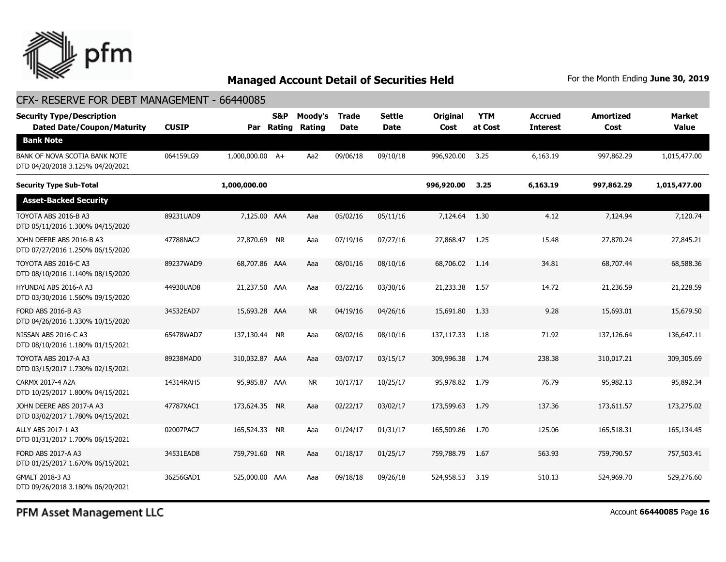

| CFX- RESERVE FOR DEBT MANAGEMENT - 66440085                           |              |                 |                   |                   |                             |                       |                         |                       |                                   |                          |                        |
|-----------------------------------------------------------------------|--------------|-----------------|-------------------|-------------------|-----------------------------|-----------------------|-------------------------|-----------------------|-----------------------------------|--------------------------|------------------------|
| <b>Security Type/Description</b><br><b>Dated Date/Coupon/Maturity</b> | <b>CUSIP</b> |                 | S&P<br>Par Rating | Moody's<br>Rating | <b>Trade</b><br><b>Date</b> | <b>Settle</b><br>Date | <b>Original</b><br>Cost | <b>YTM</b><br>at Cost | <b>Accrued</b><br><b>Interest</b> | <b>Amortized</b><br>Cost | Market<br><b>Value</b> |
| <b>Bank Note</b>                                                      |              |                 |                   |                   |                             |                       |                         |                       |                                   |                          |                        |
| BANK OF NOVA SCOTIA BANK NOTE<br>DTD 04/20/2018 3.125% 04/20/2021     | 064159LG9    | 1,000,000.00 A+ |                   | Aa2               | 09/06/18                    | 09/10/18              | 996,920.00              | 3.25                  | 6,163.19                          | 997,862.29               | 1,015,477.00           |
| <b>Security Type Sub-Total</b>                                        |              | 1,000,000.00    |                   |                   |                             |                       | 996,920.00              | 3.25                  | 6,163.19                          | 997,862.29               | 1,015,477.00           |
| <b>Asset-Backed Security</b>                                          |              |                 |                   |                   |                             |                       |                         |                       |                                   |                          |                        |
| TOYOTA ABS 2016-B A3<br>DTD 05/11/2016 1.300% 04/15/2020              | 89231UAD9    | 7,125.00 AAA    |                   | Aaa               | 05/02/16                    | 05/11/16              | 7,124.64                | 1.30                  | 4.12                              | 7,124.94                 | 7,120.74               |
| JOHN DEERE ABS 2016-B A3<br>DTD 07/27/2016 1.250% 06/15/2020          | 47788NAC2    | 27,870.69 NR    |                   | Aaa               | 07/19/16                    | 07/27/16              | 27,868.47               | 1.25                  | 15.48                             | 27,870.24                | 27,845.21              |
| TOYOTA ABS 2016-C A3<br>DTD 08/10/2016 1.140% 08/15/2020              | 89237WAD9    | 68,707.86 AAA   |                   | Aaa               | 08/01/16                    | 08/10/16              | 68,706.02 1.14          |                       | 34.81                             | 68,707.44                | 68,588.36              |
| HYUNDAI ABS 2016-A A3<br>DTD 03/30/2016 1.560% 09/15/2020             | 44930UAD8    | 21,237.50 AAA   |                   | Aaa               | 03/22/16                    | 03/30/16              | 21,233.38               | 1.57                  | 14.72                             | 21,236.59                | 21,228.59              |
| FORD ABS 2016-B A3<br>DTD 04/26/2016 1.330% 10/15/2020                | 34532EAD7    | 15,693.28 AAA   |                   | <b>NR</b>         | 04/19/16                    | 04/26/16              | 15,691.80               | 1.33                  | 9.28                              | 15,693.01                | 15,679.50              |
| NISSAN ABS 2016-C A3<br>DTD 08/10/2016 1.180% 01/15/2021              | 65478WAD7    | 137,130.44 NR   |                   | Aaa               | 08/02/16                    | 08/10/16              | 137,117.33              | 1.18                  | 71.92                             | 137,126.64               | 136,647.11             |
| TOYOTA ABS 2017-A A3<br>DTD 03/15/2017 1.730% 02/15/2021              | 89238MAD0    | 310,032.87 AAA  |                   | Aaa               | 03/07/17                    | 03/15/17              | 309,996.38              | 1.74                  | 238.38                            | 310,017.21               | 309,305.69             |
| CARMX 2017-4 A2A<br>DTD 10/25/2017 1.800% 04/15/2021                  | 14314RAH5    | 95,985.87 AAA   |                   | <b>NR</b>         | 10/17/17                    | 10/25/17              | 95,978.82               | 1.79                  | 76.79                             | 95,982.13                | 95,892.34              |
| JOHN DEERE ABS 2017-A A3<br>DTD 03/02/2017 1.780% 04/15/2021          | 47787XAC1    | 173,624.35 NR   |                   | Aaa               | 02/22/17                    | 03/02/17              | 173,599.63              | 1.79                  | 137.36                            | 173,611.57               | 173,275.02             |
| ALLY ABS 2017-1 A3<br>DTD 01/31/2017 1.700% 06/15/2021                | 02007PAC7    | 165,524.33 NR   |                   | Aaa               | 01/24/17                    | 01/31/17              | 165,509.86              | 1.70                  | 125.06                            | 165,518.31               | 165,134.45             |
| FORD ABS 2017-A A3<br>DTD 01/25/2017 1.670% 06/15/2021                | 34531EAD8    | 759,791.60 NR   |                   | Aaa               | 01/18/17                    | 01/25/17              | 759,788.79              | 1.67                  | 563.93                            | 759,790.57               | 757,503.41             |
| GMALT 2018-3 A3<br>DTD 09/26/2018 3.180% 06/20/2021                   | 36256GAD1    | 525,000.00 AAA  |                   | Aaa               | 09/18/18                    | 09/26/18              | 524,958.53              | 3.19                  | 510.13                            | 524,969.70               | 529,276.60             |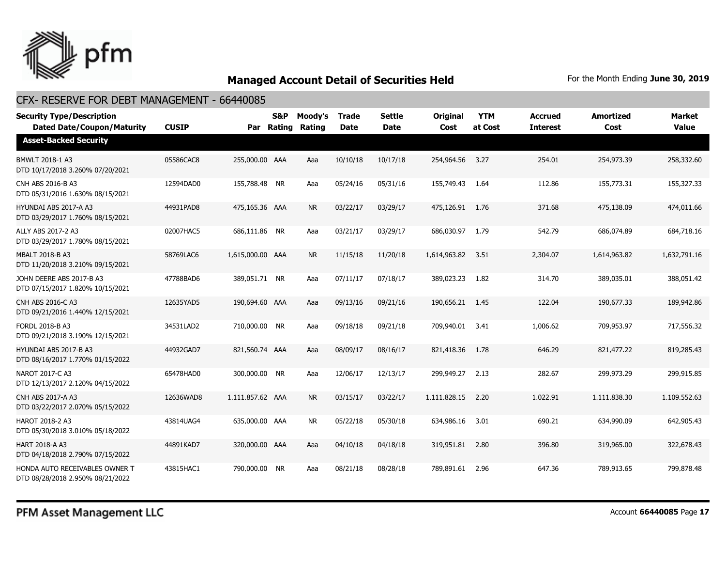

| <b>Security Type/Description</b><br><b>Dated Date/Coupon/Maturity</b> | <b>CUSIP</b> |                  | <b>S&amp;P</b><br>Par Rating | Moody's<br>Rating | <b>Trade</b><br><b>Date</b> | <b>Settle</b><br>Date | <b>Original</b><br>Cost | <b>YTM</b><br>at Cost | <b>Accrued</b><br><b>Interest</b> | <b>Amortized</b><br>Cost | <b>Market</b><br><b>Value</b> |
|-----------------------------------------------------------------------|--------------|------------------|------------------------------|-------------------|-----------------------------|-----------------------|-------------------------|-----------------------|-----------------------------------|--------------------------|-------------------------------|
| <b>Asset-Backed Security</b>                                          |              |                  |                              |                   |                             |                       |                         |                       |                                   |                          |                               |
| <b>BMWLT 2018-1 A3</b><br>DTD 10/17/2018 3.260% 07/20/2021            | 05586CAC8    | 255,000.00 AAA   |                              | Aaa               | 10/10/18                    | 10/17/18              | 254,964.56              | 3.27                  | 254.01                            | 254,973.39               | 258,332.60                    |
| CNH ABS 2016-B A3<br>DTD 05/31/2016 1.630% 08/15/2021                 | 12594DAD0    | 155,788.48 NR    |                              | Aaa               | 05/24/16                    | 05/31/16              | 155,749.43              | 1.64                  | 112.86                            | 155,773.31               | 155,327.33                    |
| HYUNDAI ABS 2017-A A3<br>DTD 03/29/2017 1.760% 08/15/2021             | 44931PAD8    | 475,165.36 AAA   |                              | <b>NR</b>         | 03/22/17                    | 03/29/17              | 475,126.91              | 1.76                  | 371.68                            | 475,138.09               | 474,011.66                    |
| ALLY ABS 2017-2 A3<br>DTD 03/29/2017 1.780% 08/15/2021                | 02007HAC5    | 686,111.86 NR    |                              | Aaa               | 03/21/17                    | 03/29/17              | 686,030.97              | 1.79                  | 542.79                            | 686,074.89               | 684,718.16                    |
| MBALT 2018-B A3<br>DTD 11/20/2018 3.210% 09/15/2021                   | 58769LAC6    | 1,615,000.00 AAA |                              | <b>NR</b>         | 11/15/18                    | 11/20/18              | 1,614,963.82            | 3.51                  | 2,304.07                          | 1,614,963.82             | 1,632,791.16                  |
| JOHN DEERE ABS 2017-B A3<br>DTD 07/15/2017 1.820% 10/15/2021          | 47788BAD6    | 389,051.71 NR    |                              | Aaa               | 07/11/17                    | 07/18/17              | 389,023.23              | 1.82                  | 314.70                            | 389,035.01               | 388,051.42                    |
| CNH ABS 2016-C A3<br>DTD 09/21/2016 1.440% 12/15/2021                 | 12635YAD5    | 190,694.60 AAA   |                              | Aaa               | 09/13/16                    | 09/21/16              | 190,656.21              | 1.45                  | 122.04                            | 190,677.33               | 189,942.86                    |
| FORDL 2018-B A3<br>DTD 09/21/2018 3.190% 12/15/2021                   | 34531LAD2    | 710,000.00 NR    |                              | Aaa               | 09/18/18                    | 09/21/18              | 709,940.01              | -3.41                 | 1,006.62                          | 709,953.97               | 717,556.32                    |
| HYUNDAI ABS 2017-B A3<br>DTD 08/16/2017 1.770% 01/15/2022             | 44932GAD7    | 821,560.74 AAA   |                              | Aaa               | 08/09/17                    | 08/16/17              | 821,418.36              | 1.78                  | 646.29                            | 821,477.22               | 819,285.43                    |
| <b>NAROT 2017-C A3</b><br>DTD 12/13/2017 2.120% 04/15/2022            | 65478HAD0    | 300,000.00 NR    |                              | Aaa               | 12/06/17                    | 12/13/17              | 299,949.27              | 2.13                  | 282.67                            | 299,973.29               | 299,915.85                    |
| <b>CNH ABS 2017-A A3</b><br>DTD 03/22/2017 2.070% 05/15/2022          | 12636WAD8    | 1.111.857.62 AAA |                              | <b>NR</b>         | 03/15/17                    | 03/22/17              | 1,111,828.15            | 2.20                  | 1,022.91                          | 1,111,838.30             | 1,109,552.63                  |
| <b>HAROT 2018-2 A3</b><br>DTD 05/30/2018 3.010% 05/18/2022            | 43814UAG4    | 635,000.00 AAA   |                              | <b>NR</b>         | 05/22/18                    | 05/30/18              | 634,986.16              | 3.01                  | 690.21                            | 634,990.09               | 642,905.43                    |
| <b>HART 2018-A A3</b><br>DTD 04/18/2018 2.790% 07/15/2022             | 44891KAD7    | 320,000.00 AAA   |                              | Aaa               | 04/10/18                    | 04/18/18              | 319,951.81              | 2.80                  | 396.80                            | 319,965.00               | 322,678.43                    |
| HONDA AUTO RECEIVABLES OWNER T<br>DTD 08/28/2018 2.950% 08/21/2022    | 43815HAC1    | 790,000.00 NR    |                              | Aaa               | 08/21/18                    | 08/28/18              | 789,891.61              | 2.96                  | 647.36                            | 789,913.65               | 799,878.48                    |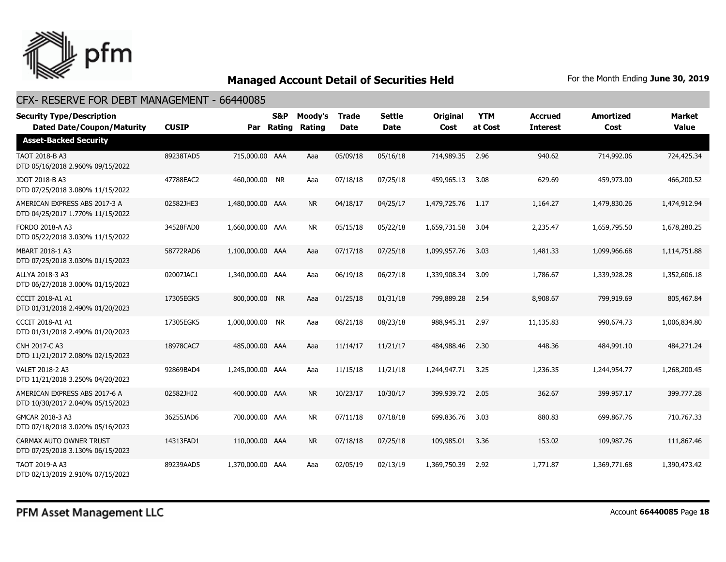

| <b>Security Type/Description</b><br><b>Dated Date/Coupon/Maturity</b> | <b>CUSIP</b> | Par              | S&P<br>Rating | Moody's<br>Rating | <b>Trade</b><br><b>Date</b> | <b>Settle</b><br><b>Date</b> | <b>Original</b><br>Cost | <b>YTM</b><br>at Cost | <b>Accrued</b><br><b>Interest</b> | <b>Amortized</b><br>Cost | <b>Market</b><br><b>Value</b> |
|-----------------------------------------------------------------------|--------------|------------------|---------------|-------------------|-----------------------------|------------------------------|-------------------------|-----------------------|-----------------------------------|--------------------------|-------------------------------|
| <b>Asset-Backed Security</b>                                          |              |                  |               |                   |                             |                              |                         |                       |                                   |                          |                               |
| TAOT 2018-B A3<br>DTD 05/16/2018 2.960% 09/15/2022                    | 89238TAD5    | 715,000.00 AAA   |               | Aaa               | 05/09/18                    | 05/16/18                     | 714,989.35 2.96         |                       | 940.62                            | 714,992.06               | 724,425.34                    |
| JDOT 2018-B A3<br>DTD 07/25/2018 3.080% 11/15/2022                    | 47788EAC2    | 460,000.00 NR    |               | Aaa               | 07/18/18                    | 07/25/18                     | 459,965.13              | 3.08                  | 629.69                            | 459,973.00               | 466,200.52                    |
| AMERICAN EXPRESS ABS 2017-3 A<br>DTD 04/25/2017 1.770% 11/15/2022     | 02582JHE3    | 1,480,000.00 AAA |               | <b>NR</b>         | 04/18/17                    | 04/25/17                     | 1,479,725.76            | 1.17                  | 1,164.27                          | 1,479,830.26             | 1,474,912.94                  |
| <b>FORDO 2018-A A3</b><br>DTD 05/22/2018 3.030% 11/15/2022            | 34528FAD0    | 1,660,000.00 AAA |               | NR.               | 05/15/18                    | 05/22/18                     | 1,659,731.58            | - 3.04                | 2,235.47                          | 1,659,795.50             | 1,678,280.25                  |
| MBART 2018-1 A3<br>DTD 07/25/2018 3.030% 01/15/2023                   | 58772RAD6    | 1,100,000.00 AAA |               | Aaa               | 07/17/18                    | 07/25/18                     | 1,099,957.76            | 3.03                  | 1,481.33                          | 1,099,966.68             | 1,114,751.88                  |
| ALLYA 2018-3 A3<br>DTD 06/27/2018 3.000% 01/15/2023                   | 02007JAC1    | 1,340,000.00 AAA |               | Aaa               | 06/19/18                    | 06/27/18                     | 1,339,908.34            | 3.09                  | 1,786.67                          | 1,339,928,28             | 1,352,606.18                  |
| <b>CCCIT 2018-A1 A1</b><br>DTD 01/31/2018 2.490% 01/20/2023           | 17305EGK5    | 800,000.00 NR    |               | Aaa               | 01/25/18                    | 01/31/18                     | 799,889.28              | 2.54                  | 8,908.67                          | 799,919.69               | 805,467.84                    |
| <b>CCCIT 2018-A1 A1</b><br>DTD 01/31/2018 2.490% 01/20/2023           | 17305EGK5    | 1,000,000.00 NR  |               | Aaa               | 08/21/18                    | 08/23/18                     | 988,945.31 2.97         |                       | 11,135.83                         | 990,674.73               | 1,006,834.80                  |
| <b>CNH 2017-C A3</b><br>DTD 11/21/2017 2.080% 02/15/2023              | 18978CAC7    | 485,000.00 AAA   |               | Aaa               | 11/14/17                    | 11/21/17                     | 484,988.46              | 2.30                  | 448.36                            | 484,991.10               | 484,271.24                    |
| VALET 2018-2 A3<br>DTD 11/21/2018 3.250% 04/20/2023                   | 92869BAD4    | 1,245,000.00 AAA |               | Aaa               | 11/15/18                    | 11/21/18                     | 1,244,947.71            | 3.25                  | 1,236.35                          | 1,244,954.77             | 1,268,200.45                  |
| AMERICAN EXPRESS ABS 2017-6 A<br>DTD 10/30/2017 2.040% 05/15/2023     | 02582JHJ2    | 400,000,00 AAA   |               | <b>NR</b>         | 10/23/17                    | 10/30/17                     | 399,939.72              | 2.05                  | 362.67                            | 399,957.17               | 399,777,28                    |
| GMCAR 2018-3 A3<br>DTD 07/18/2018 3.020% 05/16/2023                   | 36255JAD6    | 700,000.00 AAA   |               | <b>NR</b>         | 07/11/18                    | 07/18/18                     | 699,836.76              | 3.03                  | 880.83                            | 699,867.76               | 710,767.33                    |
| CARMAX AUTO OWNER TRUST<br>DTD 07/25/2018 3.130% 06/15/2023           | 14313FAD1    | 110,000.00 AAA   |               | <b>NR</b>         | 07/18/18                    | 07/25/18                     | 109,985.01              | 3.36                  | 153.02                            | 109,987.76               | 111,867.46                    |
| TAOT 2019-A A3<br>DTD 02/13/2019 2.910% 07/15/2023                    | 89239AAD5    | 1,370,000.00 AAA |               | Aaa               | 02/05/19                    | 02/13/19                     | 1,369,750.39            | 2.92                  | 1,771.87                          | 1,369,771.68             | 1,390,473.42                  |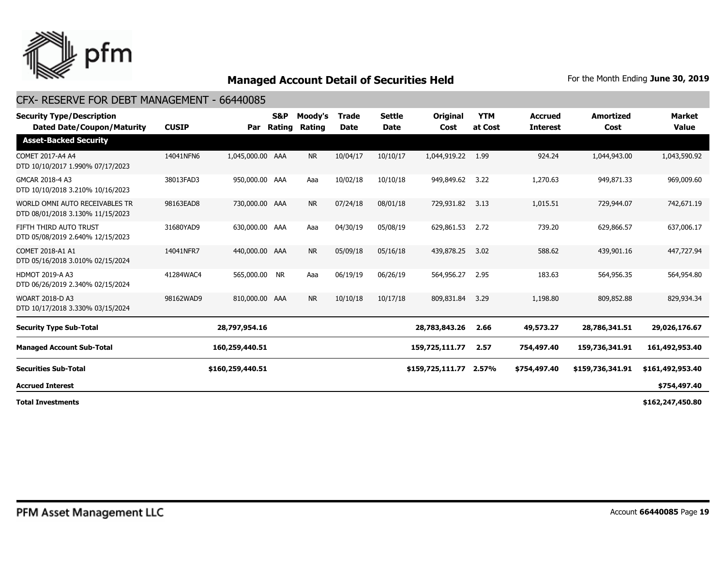

| <b>Security Type/Description</b><br><b>Dated Date/Coupon/Maturity</b> | <b>CUSIP</b> | Par              | S&P<br>Rating | Moody's<br>Rating | <b>Trade</b><br><b>Date</b> | <b>Settle</b><br><b>Date</b> | <b>Original</b><br>Cost | <b>YTM</b><br>at Cost | <b>Accrued</b><br><b>Interest</b> | <b>Amortized</b><br>Cost | Market<br><b>Value</b> |
|-----------------------------------------------------------------------|--------------|------------------|---------------|-------------------|-----------------------------|------------------------------|-------------------------|-----------------------|-----------------------------------|--------------------------|------------------------|
| <b>Asset-Backed Security</b>                                          |              |                  |               |                   |                             |                              |                         |                       |                                   |                          |                        |
| COMET 2017-A4 A4<br>DTD 10/10/2017 1.990% 07/17/2023                  | 14041NFN6    | 1,045,000.00 AAA |               | <b>NR</b>         | 10/04/17                    | 10/10/17                     | 1,044,919.22            | 1.99                  | 924.24                            | 1,044,943.00             | 1,043,590.92           |
| GMCAR 2018-4 A3<br>DTD 10/10/2018 3.210% 10/16/2023                   | 38013FAD3    | 950,000.00 AAA   |               | Aaa               | 10/02/18                    | 10/10/18                     | 949,849.62              | 3.22                  | 1,270.63                          | 949,871.33               | 969,009.60             |
| WORLD OMNI AUTO RECEIVABLES TR<br>DTD 08/01/2018 3.130% 11/15/2023    | 98163EAD8    | 730,000.00 AAA   |               | <b>NR</b>         | 07/24/18                    | 08/01/18                     | 729,931.82              | 3.13                  | 1,015.51                          | 729,944.07               | 742,671.19             |
| FIFTH THIRD AUTO TRUST<br>DTD 05/08/2019 2.640% 12/15/2023            | 31680YAD9    | 630,000.00 AAA   |               | Aaa               | 04/30/19                    | 05/08/19                     | 629,861.53              | 2.72                  | 739.20                            | 629,866.57               | 637,006.17             |
| COMET 2018-A1 A1<br>DTD 05/16/2018 3.010% 02/15/2024                  | 14041NFR7    | 440,000.00 AAA   |               | <b>NR</b>         | 05/09/18                    | 05/16/18                     | 439,878.25              | 3.02                  | 588.62                            | 439,901.16               | 447,727.94             |
| <b>HDMOT 2019-A A3</b><br>DTD 06/26/2019 2.340% 02/15/2024            | 41284WAC4    | 565,000.00 NR    |               | Aaa               | 06/19/19                    | 06/26/19                     | 564,956.27              | 2.95                  | 183.63                            | 564,956.35               | 564,954.80             |
| <b>WOART 2018-D A3</b><br>DTD 10/17/2018 3.330% 03/15/2024            | 98162WAD9    | 810,000.00 AAA   |               | <b>NR</b>         | 10/10/18                    | 10/17/18                     | 809,831.84              | 3.29                  | 1,198.80                          | 809,852.88               | 829,934.34             |
| <b>Security Type Sub-Total</b>                                        |              | 28,797,954.16    |               |                   |                             |                              | 28,783,843.26           | 2.66                  | 49,573.27                         | 28,786,341.51            | 29,026,176.67          |
| <b>Managed Account Sub-Total</b>                                      |              | 160,259,440.51   |               |                   |                             |                              | 159,725,111.77          | 2.57                  | 754,497.40                        | 159,736,341.91           | 161,492,953.40         |
| <b>Securities Sub-Total</b>                                           |              | \$160,259,440.51 |               |                   |                             |                              | \$159,725,111.77        | 2.57%                 | \$754,497.40                      | \$159,736,341.91         | \$161,492,953.40       |
| <b>Accrued Interest</b>                                               |              |                  |               |                   |                             |                              |                         |                       |                                   |                          | \$754,497.40           |
| <b>Total Investments</b>                                              |              |                  |               |                   |                             |                              |                         |                       |                                   |                          | \$162,247,450.80       |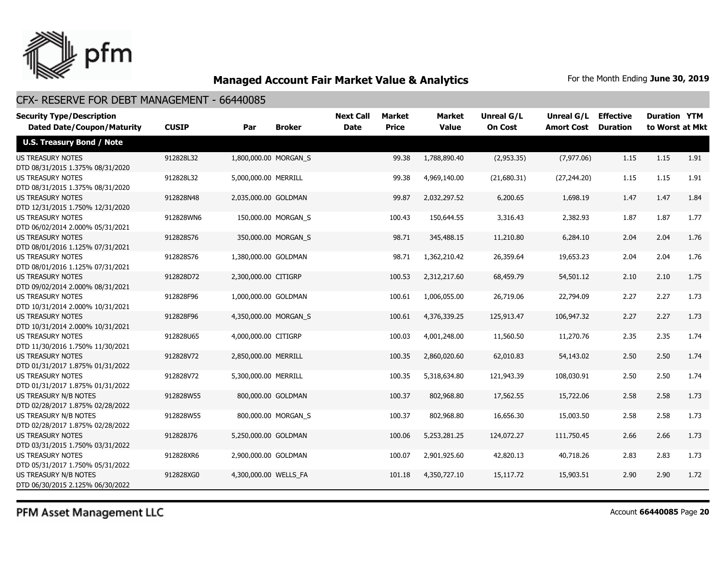

| <b>Security Type/Description</b><br><b>Dated Date/Coupon/Maturity</b> | <b>CUSIP</b> | Par                   | <b>Broker</b>       | <b>Next Call</b><br><b>Date</b> | Market<br><b>Price</b> | <b>Market</b><br><b>Value</b> | Unreal G/L<br><b>On Cost</b> | Unreal G/L<br><b>Amort Cost</b> | <b>Effective</b><br><b>Duration</b> | <b>Duration YTM</b><br>to Worst at Mkt |      |
|-----------------------------------------------------------------------|--------------|-----------------------|---------------------|---------------------------------|------------------------|-------------------------------|------------------------------|---------------------------------|-------------------------------------|----------------------------------------|------|
| <b>U.S. Treasury Bond / Note</b>                                      |              |                       |                     |                                 |                        |                               |                              |                                 |                                     |                                        |      |
| <b>US TREASURY NOTES</b><br>DTD 08/31/2015 1.375% 08/31/2020          | 912828L32    | 1,800,000.00 MORGAN S |                     |                                 | 99.38                  | 1,788,890,40                  | (2,953.35)                   | (7, 977.06)                     | 1.15                                | 1.15                                   | 1.91 |
| <b>US TREASURY NOTES</b><br>DTD 08/31/2015 1.375% 08/31/2020          | 912828L32    | 5,000,000.00 MERRILL  |                     |                                 | 99.38                  | 4,969,140.00                  | (21,680.31)                  | (27, 244.20)                    | 1.15                                | 1.15                                   | 1.91 |
| <b>US TREASURY NOTES</b><br>DTD 12/31/2015 1.750% 12/31/2020          | 912828N48    | 2,035,000.00 GOLDMAN  |                     |                                 | 99.87                  | 2,032,297.52                  | 6,200.65                     | 1,698.19                        | 1.47                                | 1.47                                   | 1.84 |
| <b>US TREASURY NOTES</b><br>DTD 06/02/2014 2.000% 05/31/2021          | 912828WN6    |                       | 150,000.00 MORGAN_S |                                 | 100.43                 | 150,644.55                    | 3,316.43                     | 2,382.93                        | 1.87                                | 1.87                                   | 1.77 |
| <b>US TREASURY NOTES</b><br>DTD 08/01/2016 1.125% 07/31/2021          | 912828S76    |                       | 350,000.00 MORGAN_S |                                 | 98.71                  | 345,488.15                    | 11,210.80                    | 6,284.10                        | 2.04                                | 2.04                                   | 1.76 |
| <b>US TREASURY NOTES</b><br>DTD 08/01/2016 1.125% 07/31/2021          | 912828S76    | 1,380,000.00 GOLDMAN  |                     |                                 | 98.71                  | 1,362,210.42                  | 26,359.64                    | 19,653.23                       | 2.04                                | 2.04                                   | 1.76 |
| <b>US TREASURY NOTES</b><br>DTD 09/02/2014 2.000% 08/31/2021          | 912828D72    | 2,300,000.00 CITIGRP  |                     |                                 | 100.53                 | 2,312,217.60                  | 68,459.79                    | 54,501.12                       | 2.10                                | 2.10                                   | 1.75 |
| <b>US TREASURY NOTES</b><br>DTD 10/31/2014 2.000% 10/31/2021          | 912828F96    | 1,000,000.00 GOLDMAN  |                     |                                 | 100.61                 | 1,006,055.00                  | 26,719.06                    | 22,794.09                       | 2.27                                | 2.27                                   | 1.73 |
| <b>US TREASURY NOTES</b><br>DTD 10/31/2014 2.000% 10/31/2021          | 912828F96    | 4,350,000.00 MORGAN S |                     |                                 | 100.61                 | 4,376,339.25                  | 125,913.47                   | 106,947.32                      | 2.27                                | 2.27                                   | 1.73 |
| <b>US TREASURY NOTES</b><br>DTD 11/30/2016 1.750% 11/30/2021          | 912828U65    | 4,000,000.00 CITIGRP  |                     |                                 | 100.03                 | 4,001,248.00                  | 11,560.50                    | 11,270.76                       | 2.35                                | 2.35                                   | 1.74 |
| <b>US TREASURY NOTES</b><br>DTD 01/31/2017 1.875% 01/31/2022          | 912828V72    | 2,850,000.00 MERRILL  |                     |                                 | 100.35                 | 2,860,020.60                  | 62,010.83                    | 54,143.02                       | 2.50                                | 2.50                                   | 1.74 |
| <b>US TREASURY NOTES</b><br>DTD 01/31/2017 1.875% 01/31/2022          | 912828V72    | 5,300,000.00 MERRILL  |                     |                                 | 100.35                 | 5,318,634.80                  | 121,943.39                   | 108,030.91                      | 2.50                                | 2.50                                   | 1.74 |
| <b>US TREASURY N/B NOTES</b><br>DTD 02/28/2017 1.875% 02/28/2022      | 912828W55    |                       | 800,000.00 GOLDMAN  |                                 | 100.37                 | 802,968.80                    | 17,562.55                    | 15,722.06                       | 2.58                                | 2.58                                   | 1.73 |
| US TREASURY N/B NOTES<br>DTD 02/28/2017 1.875% 02/28/2022             | 912828W55    |                       | 800,000.00 MORGAN_S |                                 | 100.37                 | 802,968.80                    | 16,656.30                    | 15,003.50                       | 2.58                                | 2.58                                   | 1.73 |
| <b>US TREASURY NOTES</b><br>DTD 03/31/2015 1.750% 03/31/2022          | 912828J76    | 5,250,000.00 GOLDMAN  |                     |                                 | 100.06                 | 5,253,281.25                  | 124,072.27                   | 111,750.45                      | 2.66                                | 2.66                                   | 1.73 |
| <b>US TREASURY NOTES</b><br>DTD 05/31/2017 1.750% 05/31/2022          | 912828XR6    | 2,900,000.00 GOLDMAN  |                     |                                 | 100.07                 | 2,901,925.60                  | 42,820.13                    | 40,718.26                       | 2.83                                | 2.83                                   | 1.73 |
| US TREASURY N/B NOTES<br>DTD 06/30/2015 2.125% 06/30/2022             | 912828XG0    | 4,300,000.00 WELLS_FA |                     |                                 | 101.18                 | 4,350,727.10                  | 15,117.72                    | 15,903.51                       | 2.90                                | 2.90                                   | 1.72 |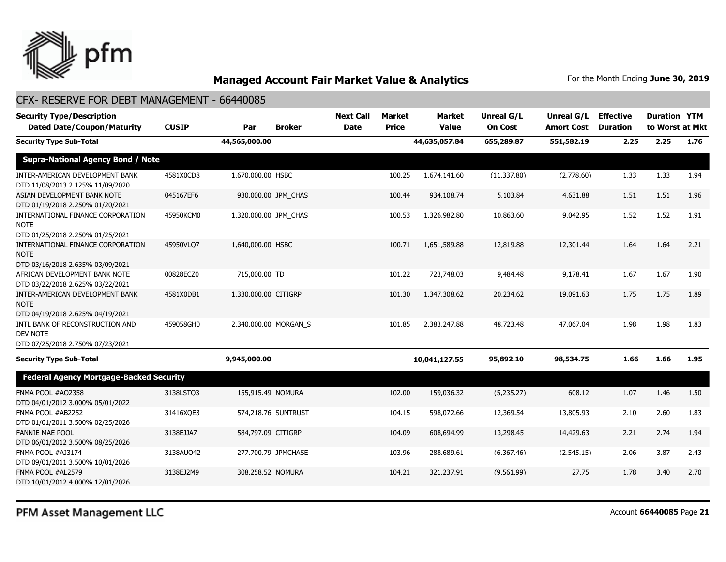

| <b>Security Type/Description</b><br><b>Dated Date/Coupon/Maturity</b>                | <b>CUSIP</b> | Par                   | <b>Broker</b>         | <b>Next Call</b><br><b>Date</b> | <b>Market</b><br><b>Price</b> | <b>Market</b><br><b>Value</b> | <b>Unreal G/L</b><br><b>On Cost</b> | Unreal G/L<br><b>Amort Cost</b> | <b>Effective</b><br><b>Duration</b> | <b>Duration YTM</b><br>to Worst at Mkt |      |
|--------------------------------------------------------------------------------------|--------------|-----------------------|-----------------------|---------------------------------|-------------------------------|-------------------------------|-------------------------------------|---------------------------------|-------------------------------------|----------------------------------------|------|
| <b>Security Type Sub-Total</b>                                                       |              | 44,565,000.00         |                       |                                 |                               | 44,635,057.84                 | 655,289.87                          | 551,582.19                      | 2.25                                | 2.25                                   | 1.76 |
| <b>Supra-National Agency Bond / Note</b>                                             |              |                       |                       |                                 |                               |                               |                                     |                                 |                                     |                                        |      |
| INTER-AMERICAN DEVELOPMENT BANK<br>DTD 11/08/2013 2.125% 11/09/2020                  | 4581X0CD8    | 1,670,000.00 HSBC     |                       |                                 | 100.25                        | 1,674,141.60                  | (11, 337.80)                        | (2,778.60)                      | 1.33                                | 1.33                                   | 1.94 |
| ASIAN DEVELOPMENT BANK NOTE<br>DTD 01/19/2018 2.250% 01/20/2021                      | 045167EF6    |                       | 930,000.00 JPM CHAS   |                                 | 100.44                        | 934,108.74                    | 5,103.84                            | 4,631.88                        | 1.51                                | 1.51                                   | 1.96 |
| INTERNATIONAL FINANCE CORPORATION<br><b>NOTE</b><br>DTD 01/25/2018 2.250% 01/25/2021 | 45950KCM0    | 1,320,000.00 JPM CHAS |                       |                                 | 100.53                        | 1,326,982.80                  | 10,863.60                           | 9,042.95                        | 1.52                                | 1.52                                   | 1.91 |
| INTERNATIONAL FINANCE CORPORATION<br><b>NOTE</b><br>DTD 03/16/2018 2.635% 03/09/2021 | 45950VLO7    | 1,640,000.00 HSBC     |                       |                                 | 100.71                        | 1,651,589.88                  | 12,819.88                           | 12,301.44                       | 1.64                                | 1.64                                   | 2.21 |
| AFRICAN DEVELOPMENT BANK NOTE<br>DTD 03/22/2018 2.625% 03/22/2021                    | 00828ECZ0    | 715,000.00 TD         |                       |                                 | 101.22                        | 723,748.03                    | 9,484.48                            | 9,178.41                        | 1.67                                | 1.67                                   | 1.90 |
| INTER-AMERICAN DEVELOPMENT BANK<br><b>NOTE</b><br>DTD 04/19/2018 2.625% 04/19/2021   | 4581X0DB1    | 1,330,000.00 CITIGRP  |                       |                                 | 101.30                        | 1,347,308.62                  | 20,234.62                           | 19,091.63                       | 1.75                                | 1.75                                   | 1.89 |
| INTL BANK OF RECONSTRUCTION AND<br>DEV NOTE                                          | 459058GH0    |                       | 2,340,000.00 MORGAN_S |                                 | 101.85                        | 2,383,247.88                  | 48,723.48                           | 47,067.04                       | 1.98                                | 1.98                                   | 1.83 |
| DTD 07/25/2018 2.750% 07/23/2021<br><b>Security Type Sub-Total</b>                   |              | 9,945,000.00          |                       |                                 |                               | 10,041,127.55                 | 95,892.10                           | 98,534.75                       | 1.66                                | 1.66                                   | 1.95 |
| <b>Federal Agency Mortgage-Backed Security</b>                                       |              |                       |                       |                                 |                               |                               |                                     |                                 |                                     |                                        |      |
| FNMA POOL #AO2358<br>DTD 04/01/2012 3.000% 05/01/2022                                | 3138LSTQ3    | 155,915.49 NOMURA     |                       |                                 | 102.00                        | 159,036.32                    | (5,235.27)                          | 608.12                          | 1.07                                | 1.46                                   | 1.50 |
| FNMA POOL #AB2252<br>DTD 01/01/2011 3.500% 02/25/2026                                | 31416XQE3    |                       | 574,218.76 SUNTRUST   |                                 | 104.15                        | 598,072.66                    | 12,369.54                           | 13,805.93                       | 2.10                                | 2.60                                   | 1.83 |
| <b>FANNIE MAE POOL</b><br>DTD 06/01/2012 3.500% 08/25/2026                           | 3138EJJA7    | 584,797.09 CITIGRP    |                       |                                 | 104.09                        | 608,694.99                    | 13,298.45                           | 14,429.63                       | 2.21                                | 2.74                                   | 1.94 |
| FNMA POOL #AJ3174<br>DTD 09/01/2011 3.500% 10/01/2026                                | 3138AUQ42    |                       | 277,700.79 JPMCHASE   |                                 | 103.96                        | 288,689.61                    | (6,367.46)                          | (2,545.15)                      | 2.06                                | 3.87                                   | 2.43 |
| FNMA POOL #AL2579<br>DTD 10/01/2012 4.000% 12/01/2026                                | 3138EJ2M9    | 308,258.52 NOMURA     |                       |                                 | 104.21                        | 321,237.91                    | (9,561.99)                          | 27.75                           | 1.78                                | 3.40                                   | 2.70 |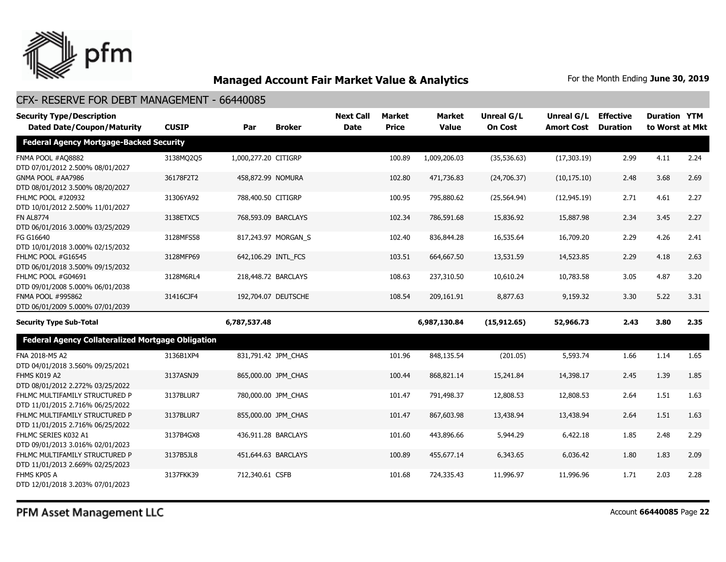

| <b>Security Type/Description</b>                                   |              |                      |                     | <b>Next Call</b> | <b>Market</b> | <b>Market</b> | Unreal G/L     | Unreal G/L        | <b>Effective</b> | <b>Duration YTM</b> |      |
|--------------------------------------------------------------------|--------------|----------------------|---------------------|------------------|---------------|---------------|----------------|-------------------|------------------|---------------------|------|
| <b>Dated Date/Coupon/Maturity</b>                                  | <b>CUSIP</b> | Par                  | <b>Broker</b>       | <b>Date</b>      | <b>Price</b>  | <b>Value</b>  | <b>On Cost</b> | <b>Amort Cost</b> | <b>Duration</b>  | to Worst at Mkt     |      |
| <b>Federal Agency Mortgage-Backed Security</b>                     |              |                      |                     |                  |               |               |                |                   |                  |                     |      |
| FNMA POOL #AQ8882<br>DTD 07/01/2012 2.500% 08/01/2027              | 3138MQ2Q5    | 1,000,277.20 CITIGRP |                     |                  | 100.89        | 1,009,206.03  | (35,536.63)    | (17, 303.19)      | 2.99             | 4.11                | 2.24 |
| GNMA POOL #AA7986<br>DTD 08/01/2012 3.500% 08/20/2027              | 36178F2T2    |                      | 458,872.99 NOMURA   |                  | 102.80        | 471,736.83    | (24,706.37)    | (10, 175.10)      | 2.48             | 3.68                | 2.69 |
| FHLMC POOL #J20932<br>DTD 10/01/2012 2.500% 11/01/2027             | 31306YA92    |                      | 788,400.50 CITIGRP  |                  | 100.95        | 795,880.62    | (25, 564.94)   | (12, 945.19)      | 2.71             | 4.61                | 2.27 |
| <b>FN AL8774</b><br>DTD 06/01/2016 3.000% 03/25/2029               | 3138ETXC5    |                      | 768,593.09 BARCLAYS |                  | 102.34        | 786,591.68    | 15,836.92      | 15,887.98         | 2.34             | 3.45                | 2.27 |
| FG G16640<br>DTD 10/01/2018 3.000% 02/15/2032                      | 3128MFS58    |                      | 817,243.97 MORGAN S |                  | 102.40        | 836,844.28    | 16,535.64      | 16,709.20         | 2.29             | 4.26                | 2.41 |
| FHLMC POOL #G16545<br>DTD 06/01/2018 3.500% 09/15/2032             | 3128MFP69    |                      | 642,106.29 INTL_FCS |                  | 103.51        | 664,667.50    | 13,531.59      | 14,523.85         | 2.29             | 4.18                | 2.63 |
| FHLMC POOL #G04691<br>DTD 09/01/2008 5.000% 06/01/2038             | 3128M6RL4    |                      | 218,448.72 BARCLAYS |                  | 108.63        | 237,310.50    | 10,610.24      | 10,783.58         | 3.05             | 4.87                | 3.20 |
| FNMA POOL #995862<br>DTD 06/01/2009 5.000% 07/01/2039              | 31416CJF4    |                      | 192,704.07 DEUTSCHE |                  | 108.54        | 209,161.91    | 8,877.63       | 9,159.32          | 3.30             | 5.22                | 3.31 |
| <b>Security Type Sub-Total</b>                                     |              | 6,787,537.48         |                     |                  |               | 6,987,130.84  | (15, 912.65)   | 52,966.73         | 2.43             | 3.80                | 2.35 |
| <b>Federal Agency Collateralized Mortgage Obligation</b>           |              |                      |                     |                  |               |               |                |                   |                  |                     |      |
| FNA 2018-M5 A2<br>DTD 04/01/2018 3.560% 09/25/2021                 | 3136B1XP4    |                      | 831,791.42 JPM CHAS |                  | 101.96        | 848,135.54    | (201.05)       | 5,593.74          | 1.66             | 1.14                | 1.65 |
| FHMS K019 A2<br>DTD 08/01/2012 2.272% 03/25/2022                   | 3137ASNJ9    |                      | 865,000.00 JPM CHAS |                  | 100.44        | 868,821.14    | 15,241.84      | 14,398.17         | 2.45             | 1.39                | 1.85 |
| FHLMC MULTIFAMILY STRUCTURED P<br>DTD 11/01/2015 2.716% 06/25/2022 | 3137BLUR7    |                      | 780,000.00 JPM CHAS |                  | 101.47        | 791,498.37    | 12,808.53      | 12,808.53         | 2.64             | 1.51                | 1.63 |
| FHLMC MULTIFAMILY STRUCTURED P<br>DTD 11/01/2015 2.716% 06/25/2022 | 3137BLUR7    |                      | 855,000.00 JPM_CHAS |                  | 101.47        | 867,603.98    | 13,438.94      | 13,438.94         | 2.64             | 1.51                | 1.63 |
| FHLMC SERIES K032 A1<br>DTD 09/01/2013 3.016% 02/01/2023           | 3137B4GX8    |                      | 436,911.28 BARCLAYS |                  | 101.60        | 443,896.66    | 5,944.29       | 6,422.18          | 1.85             | 2.48                | 2.29 |
| FHLMC MULTIFAMILY STRUCTURED P<br>DTD 11/01/2013 2.669% 02/25/2023 | 3137B5JL8    |                      | 451,644.63 BARCLAYS |                  | 100.89        | 455,677.14    | 6,343.65       | 6,036.42          | 1.80             | 1.83                | 2.09 |
| FHMS KP05 A<br>DTD 12/01/2018 3.203% 07/01/2023                    | 3137FKK39    | 712,340.61 CSFB      |                     |                  | 101.68        | 724,335.43    | 11,996.97      | 11,996.96         | 1.71             | 2.03                | 2.28 |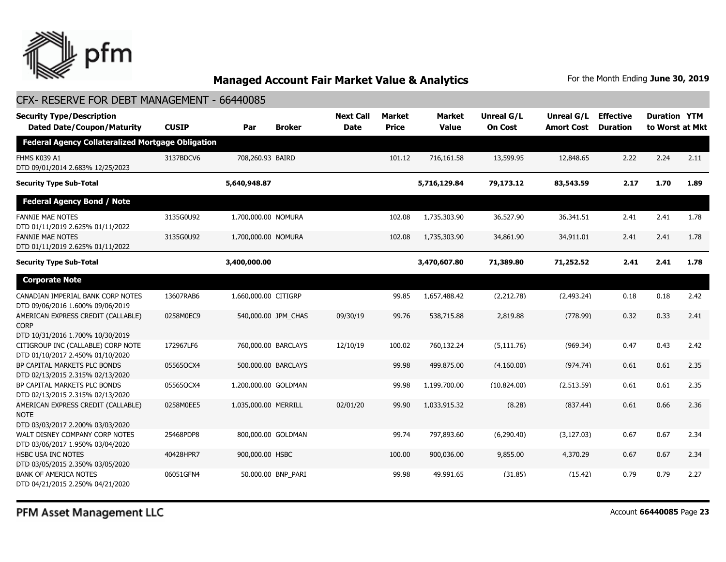

#### CFX- RESERVE FOR DEBT MANAGEMENT - 66440085

| <b>Security Type/Description</b><br><b>Dated Date/Coupon/Maturity</b>                 | <b>CUSIP</b> | Par                  | <b>Broker</b>       | <b>Next Call</b><br><b>Date</b> | <b>Market</b><br><b>Price</b> | <b>Market</b><br><b>Value</b> | <b>Unreal G/L</b><br><b>On Cost</b> | Unreal G/L<br><b>Amort Cost</b> | <b>Effective</b><br><b>Duration</b> | <b>Duration YTM</b><br>to Worst at Mkt |      |
|---------------------------------------------------------------------------------------|--------------|----------------------|---------------------|---------------------------------|-------------------------------|-------------------------------|-------------------------------------|---------------------------------|-------------------------------------|----------------------------------------|------|
| <b>Federal Agency Collateralized Mortgage Obligation</b>                              |              |                      |                     |                                 |                               |                               |                                     |                                 |                                     |                                        |      |
| FHMS K039 A1<br>DTD 09/01/2014 2.683% 12/25/2023                                      | 3137BDCV6    | 708,260.93 BAIRD     |                     |                                 | 101.12                        | 716,161.58                    | 13,599.95                           | 12,848.65                       | 2.22                                | 2.24                                   | 2.11 |
| <b>Security Type Sub-Total</b>                                                        |              | 5,640,948.87         |                     |                                 |                               | 5,716,129.84                  | 79,173.12                           | 83,543.59                       | 2.17                                | 1.70                                   | 1.89 |
| <b>Federal Agency Bond / Note</b>                                                     |              |                      |                     |                                 |                               |                               |                                     |                                 |                                     |                                        |      |
| <b>FANNIE MAE NOTES</b><br>DTD 01/11/2019 2.625% 01/11/2022                           | 3135G0U92    | 1,700,000.00 NOMURA  |                     |                                 | 102.08                        | 1,735,303.90                  | 36,527.90                           | 36,341.51                       | 2.41                                | 2.41                                   | 1.78 |
| <b>FANNIE MAE NOTES</b><br>DTD 01/11/2019 2.625% 01/11/2022                           | 3135G0U92    | 1,700,000.00 NOMURA  |                     |                                 | 102.08                        | 1,735,303.90                  | 34,861.90                           | 34,911.01                       | 2.41                                | 2.41                                   | 1.78 |
| <b>Security Type Sub-Total</b>                                                        |              | 3,400,000.00         |                     |                                 |                               | 3,470,607.80                  | 71,389.80                           | 71,252.52                       | 2.41                                | 2.41                                   | 1.78 |
| <b>Corporate Note</b>                                                                 |              |                      |                     |                                 |                               |                               |                                     |                                 |                                     |                                        |      |
| CANADIAN IMPERIAL BANK CORP NOTES<br>DTD 09/06/2016 1.600% 09/06/2019                 | 13607RAB6    | 1,660,000.00 CITIGRP |                     |                                 | 99.85                         | 1,657,488.42                  | (2,212.78)                          | (2,493.24)                      | 0.18                                | 0.18                                   | 2.42 |
| AMERICAN EXPRESS CREDIT (CALLABLE)<br><b>CORP</b><br>DTD 10/31/2016 1.700% 10/30/2019 | 0258M0EC9    |                      | 540,000.00 JPM CHAS | 09/30/19                        | 99.76                         | 538,715.88                    | 2,819.88                            | (778.99)                        | 0.32                                | 0.33                                   | 2.41 |
| CITIGROUP INC (CALLABLE) CORP NOTE<br>DTD 01/10/2017 2.450% 01/10/2020                | 172967LF6    |                      | 760,000.00 BARCLAYS | 12/10/19                        | 100.02                        | 760,132.24                    | (5, 111.76)                         | (969.34)                        | 0.47                                | 0.43                                   | 2.42 |
| BP CAPITAL MARKETS PLC BONDS<br>DTD 02/13/2015 2.315% 02/13/2020                      | 05565OCX4    |                      | 500,000.00 BARCLAYS |                                 | 99.98                         | 499,875,00                    | (4.160.00)                          | (974.74)                        | 0.61                                | 0.61                                   | 2.35 |
| BP CAPITAL MARKETS PLC BONDS<br>DTD 02/13/2015 2.315% 02/13/2020                      | 05565QCX4    | 1,200,000.00 GOLDMAN |                     |                                 | 99.98                         | 1,199,700.00                  | (10.824.00)                         | (2,513.59)                      | 0.61                                | 0.61                                   | 2.35 |
| AMERICAN EXPRESS CREDIT (CALLABLE)<br><b>NOTE</b><br>DTD 03/03/2017 2.200% 03/03/2020 | 0258M0EE5    | 1,035,000.00 MERRILL |                     | 02/01/20                        | 99.90                         | 1,033,915.32                  | (8.28)                              | (837.44)                        | 0.61                                | 0.66                                   | 2.36 |
| WALT DISNEY COMPANY CORP NOTES<br>DTD 03/06/2017 1.950% 03/04/2020                    | 25468PDP8    |                      | 800,000.00 GOLDMAN  |                                 | 99.74                         | 797,893.60                    | (6, 290.40)                         | (3, 127.03)                     | 0.67                                | 0.67                                   | 2.34 |
| <b>HSBC USA INC NOTES</b><br>DTD 03/05/2015 2.350% 03/05/2020                         | 40428HPR7    | 900,000.00 HSBC      |                     |                                 | 100.00                        | 900,036.00                    | 9,855.00                            | 4,370.29                        | 0.67                                | 0.67                                   | 2.34 |
| <b>BANK OF AMERICA NOTES</b><br>DTD 04/21/2015 2.250% 04/21/2020                      | 06051GFN4    |                      | 50,000.00 BNP PARI  |                                 | 99.98                         | 49,991.65                     | (31.85)                             | (15.42)                         | 0.79                                | 0.79                                   | 2.27 |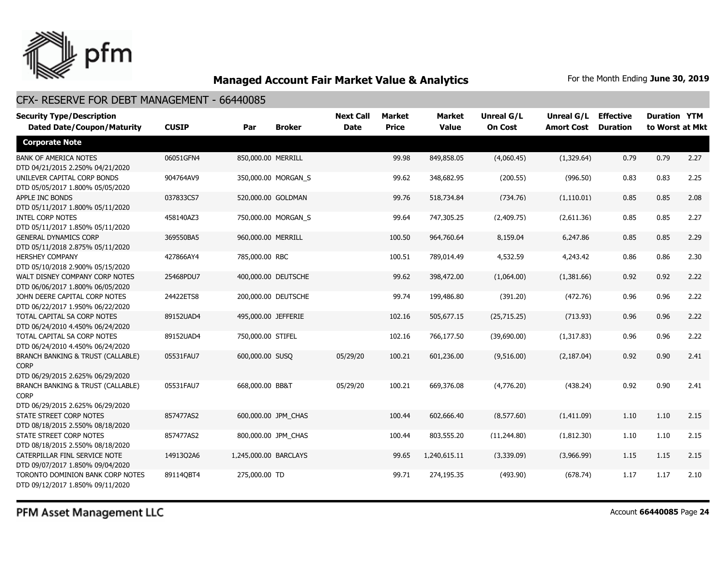

| <b>Security Type/Description</b><br><b>Dated Date/Coupon/Maturity</b>                           | <b>CUSIP</b> | Par                   | <b>Broker</b>       | <b>Next Call</b><br><b>Date</b> | <b>Market</b><br><b>Price</b> | <b>Market</b><br><b>Value</b> | Unreal G/L<br><b>On Cost</b> | Unreal G/L<br><b>Amort Cost</b> | <b>Effective</b><br><b>Duration</b> | <b>Duration YTM</b><br>to Worst at Mkt |      |
|-------------------------------------------------------------------------------------------------|--------------|-----------------------|---------------------|---------------------------------|-------------------------------|-------------------------------|------------------------------|---------------------------------|-------------------------------------|----------------------------------------|------|
| <b>Corporate Note</b>                                                                           |              |                       |                     |                                 |                               |                               |                              |                                 |                                     |                                        |      |
| <b>BANK OF AMERICA NOTES</b><br>DTD 04/21/2015 2.250% 04/21/2020                                | 06051GFN4    | 850,000.00 MERRILL    |                     |                                 | 99.98                         | 849,858.05                    | (4,060.45)                   | (1,329.64)                      | 0.79                                | 0.79                                   | 2.27 |
| UNILEVER CAPITAL CORP BONDS<br>DTD 05/05/2017 1.800% 05/05/2020                                 | 904764AV9    |                       | 350,000.00 MORGAN_S |                                 | 99.62                         | 348,682.95                    | (200.55)                     | (996.50)                        | 0.83                                | 0.83                                   | 2.25 |
| APPLE INC BONDS<br>DTD 05/11/2017 1.800% 05/11/2020                                             | 037833CS7    |                       | 520,000.00 GOLDMAN  |                                 | 99.76                         | 518,734.84                    | (734.76)                     | (1,110.01)                      | 0.85                                | 0.85                                   | 2.08 |
| <b>INTEL CORP NOTES</b><br>DTD 05/11/2017 1.850% 05/11/2020                                     | 458140AZ3    |                       | 750,000.00 MORGAN_S |                                 | 99.64                         | 747,305.25                    | (2,409.75)                   | (2,611.36)                      | 0.85                                | 0.85                                   | 2.27 |
| <b>GENERAL DYNAMICS CORP</b><br>DTD 05/11/2018 2.875% 05/11/2020                                | 369550BA5    | 960,000.00 MERRILL    |                     |                                 | 100.50                        | 964,760.64                    | 8,159.04                     | 6,247.86                        | 0.85                                | 0.85                                   | 2.29 |
| <b>HERSHEY COMPANY</b><br>DTD 05/10/2018 2.900% 05/15/2020                                      | 427866AY4    | 785,000.00 RBC        |                     |                                 | 100.51                        | 789,014.49                    | 4,532.59                     | 4,243.42                        | 0.86                                | 0.86                                   | 2.30 |
| WALT DISNEY COMPANY CORP NOTES<br>DTD 06/06/2017 1.800% 06/05/2020                              | 25468PDU7    |                       | 400,000.00 DEUTSCHE |                                 | 99.62                         | 398,472.00                    | (1,064.00)                   | (1,381.66)                      | 0.92                                | 0.92                                   | 2.22 |
| JOHN DEERE CAPITAL CORP NOTES<br>DTD 06/22/2017 1.950% 06/22/2020                               | 24422ETS8    |                       | 200,000.00 DEUTSCHE |                                 | 99.74                         | 199,486.80                    | (391.20)                     | (472.76)                        | 0.96                                | 0.96                                   | 2.22 |
| TOTAL CAPITAL SA CORP NOTES<br>DTD 06/24/2010 4.450% 06/24/2020                                 | 89152UAD4    | 495,000.00 JEFFERIE   |                     |                                 | 102.16                        | 505,677.15                    | (25,715.25)                  | (713.93)                        | 0.96                                | 0.96                                   | 2.22 |
| TOTAL CAPITAL SA CORP NOTES<br>DTD 06/24/2010 4.450% 06/24/2020                                 | 89152UAD4    | 750,000.00 STIFEL     |                     |                                 | 102.16                        | 766,177.50                    | (39,690.00)                  | (1,317.83)                      | 0.96                                | 0.96                                   | 2.22 |
| <b>BRANCH BANKING &amp; TRUST (CALLABLE)</b><br><b>CORP</b><br>DTD 06/29/2015 2.625% 06/29/2020 | 05531FAU7    | 600,000.00 SUSO       |                     | 05/29/20                        | 100.21                        | 601,236.00                    | (9,516.00)                   | (2, 187.04)                     | 0.92                                | 0.90                                   | 2.41 |
| <b>BRANCH BANKING &amp; TRUST (CALLABLE)</b><br><b>CORP</b><br>DTD 06/29/2015 2.625% 06/29/2020 | 05531FAU7    | 668,000.00 BB&T       |                     | 05/29/20                        | 100.21                        | 669,376.08                    | (4,776.20)                   | (438.24)                        | 0.92                                | 0.90                                   | 2.41 |
| STATE STREET CORP NOTES<br>DTD 08/18/2015 2.550% 08/18/2020                                     | 857477AS2    |                       | 600,000.00 JPM CHAS |                                 | 100.44                        | 602,666.40                    | (8,577.60)                   | (1,411.09)                      | 1.10                                | 1.10                                   | 2.15 |
| STATE STREET CORP NOTES<br>DTD 08/18/2015 2.550% 08/18/2020                                     | 857477AS2    |                       | 800,000.00 JPM_CHAS |                                 | 100.44                        | 803,555.20                    | (11,244.80)                  | (1,812.30)                      | 1.10                                | 1.10                                   | 2.15 |
| CATERPILLAR FINL SERVICE NOTE<br>DTD 09/07/2017 1.850% 09/04/2020                               | 14913Q2A6    | 1,245,000.00 BARCLAYS |                     |                                 | 99.65                         | 1,240,615.11                  | (3,339.09)                   | (3,966.99)                      | 1.15                                | 1.15                                   | 2.15 |
| TORONTO DOMINION BANK CORP NOTES<br>DTD 09/12/2017 1.850% 09/11/2020                            | 891140BT4    | 275,000.00 TD         |                     |                                 | 99.71                         | 274,195.35                    | (493.90)                     | (678.74)                        | 1.17                                | 1.17                                   | 2.10 |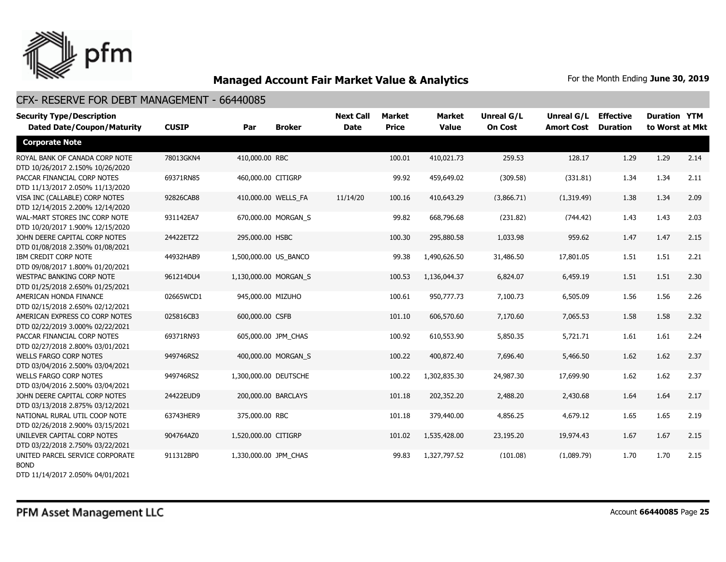

#### CFX- RESERVE FOR DEBT MANAGEMENT - 66440085

| <b>Security Type/Description</b><br><b>Dated Date/Coupon/Maturity</b> | <b>CUSIP</b> | Par                   | <b>Broker</b>       | <b>Next Call</b><br><b>Date</b> | Market<br><b>Price</b> | <b>Market</b><br><b>Value</b> | Unreal G/L<br><b>On Cost</b> | Unreal G/L<br><b>Amort Cost</b> | <b>Effective</b><br><b>Duration</b> | <b>Duration YTM</b><br>to Worst at Mkt |      |
|-----------------------------------------------------------------------|--------------|-----------------------|---------------------|---------------------------------|------------------------|-------------------------------|------------------------------|---------------------------------|-------------------------------------|----------------------------------------|------|
| <b>Corporate Note</b>                                                 |              |                       |                     |                                 |                        |                               |                              |                                 |                                     |                                        |      |
| ROYAL BANK OF CANADA CORP NOTE<br>DTD 10/26/2017 2.150% 10/26/2020    | 78013GKN4    | 410,000,00 RBC        |                     |                                 | 100.01                 | 410,021.73                    | 259.53                       | 128.17                          | 1.29                                | 1.29                                   | 2.14 |
| PACCAR FINANCIAL CORP NOTES<br>DTD 11/13/2017 2.050% 11/13/2020       | 69371RN85    | 460,000.00 CITIGRP    |                     |                                 | 99.92                  | 459,649.02                    | (309.58)                     | (331.81)                        | 1.34                                | 1.34                                   | 2.11 |
| VISA INC (CALLABLE) CORP NOTES<br>DTD 12/14/2015 2.200% 12/14/2020    | 92826CAB8    |                       | 410,000.00 WELLS FA | 11/14/20                        | 100.16                 | 410,643.29                    | (3,866.71)                   | (1,319.49)                      | 1.38                                | 1.34                                   | 2.09 |
| WAL-MART STORES INC CORP NOTE<br>DTD 10/20/2017 1.900% 12/15/2020     | 931142EA7    |                       | 670,000.00 MORGAN_S |                                 | 99.82                  | 668,796.68                    | (231.82)                     | (744.42)                        | 1.43                                | 1.43                                   | 2.03 |
| JOHN DEERE CAPITAL CORP NOTES<br>DTD 01/08/2018 2.350% 01/08/2021     | 24422ETZ2    | 295,000.00 HSBC       |                     |                                 | 100.30                 | 295,880.58                    | 1,033.98                     | 959.62                          | 1.47                                | 1.47                                   | 2.15 |
| IBM CREDIT CORP NOTE<br>DTD 09/08/2017 1.800% 01/20/2021              | 44932HAB9    | 1,500,000.00 US BANCO |                     |                                 | 99.38                  | 1,490,626.50                  | 31,486.50                    | 17,801.05                       | 1.51                                | 1.51                                   | 2.21 |
| <b>WESTPAC BANKING CORP NOTE</b><br>DTD 01/25/2018 2.650% 01/25/2021  | 961214DU4    | 1,130,000.00 MORGAN S |                     |                                 | 100.53                 | 1,136,044.37                  | 6,824.07                     | 6,459.19                        | 1.51                                | 1.51                                   | 2.30 |
| AMERICAN HONDA FINANCE<br>DTD 02/15/2018 2.650% 02/12/2021            | 02665WCD1    | 945,000.00 MIZUHO     |                     |                                 | 100.61                 | 950,777.73                    | 7,100.73                     | 6,505.09                        | 1.56                                | 1.56                                   | 2.26 |
| AMERICAN EXPRESS CO CORP NOTES<br>DTD 02/22/2019 3.000% 02/22/2021    | 025816CB3    | 600,000.00 CSFB       |                     |                                 | 101.10                 | 606,570.60                    | 7,170.60                     | 7,065.53                        | 1.58                                | 1.58                                   | 2.32 |
| PACCAR FINANCIAL CORP NOTES<br>DTD 02/27/2018 2.800% 03/01/2021       | 69371RN93    |                       | 605,000.00 JPM CHAS |                                 | 100.92                 | 610,553.90                    | 5,850.35                     | 5,721.71                        | 1.61                                | 1.61                                   | 2.24 |
| <b>WELLS FARGO CORP NOTES</b><br>DTD 03/04/2016 2.500% 03/04/2021     | 949746RS2    |                       | 400,000.00 MORGAN S |                                 | 100.22                 | 400,872.40                    | 7,696.40                     | 5,466.50                        | 1.62                                | 1.62                                   | 2.37 |
| <b>WELLS FARGO CORP NOTES</b><br>DTD 03/04/2016 2.500% 03/04/2021     | 949746RS2    | 1,300,000.00 DEUTSCHE |                     |                                 | 100.22                 | 1,302,835.30                  | 24,987.30                    | 17,699.90                       | 1.62                                | 1.62                                   | 2.37 |
| JOHN DEERE CAPITAL CORP NOTES<br>DTD 03/13/2018 2.875% 03/12/2021     | 24422EUD9    |                       | 200,000.00 BARCLAYS |                                 | 101.18                 | 202,352.20                    | 2,488.20                     | 2,430.68                        | 1.64                                | 1.64                                   | 2.17 |
| NATIONAL RURAL UTIL COOP NOTE<br>DTD 02/26/2018 2.900% 03/15/2021     | 63743HER9    | 375,000.00 RBC        |                     |                                 | 101.18                 | 379,440.00                    | 4,856.25                     | 4,679.12                        | 1.65                                | 1.65                                   | 2.19 |
| UNILEVER CAPITAL CORP NOTES<br>DTD 03/22/2018 2.750% 03/22/2021       | 904764AZ0    | 1,520,000.00 CITIGRP  |                     |                                 | 101.02                 | 1,535,428.00                  | 23,195.20                    | 19,974.43                       | 1.67                                | 1.67                                   | 2.15 |
| UNITED PARCEL SERVICE CORPORATE<br><b>BOND</b>                        | 911312BP0    | 1,330,000.00 JPM CHAS |                     |                                 | 99.83                  | 1,327,797.52                  | (101.08)                     | (1,089.79)                      | 1.70                                | 1.70                                   | 2.15 |

DTD 11/14/2017 2.050% 04/01/2021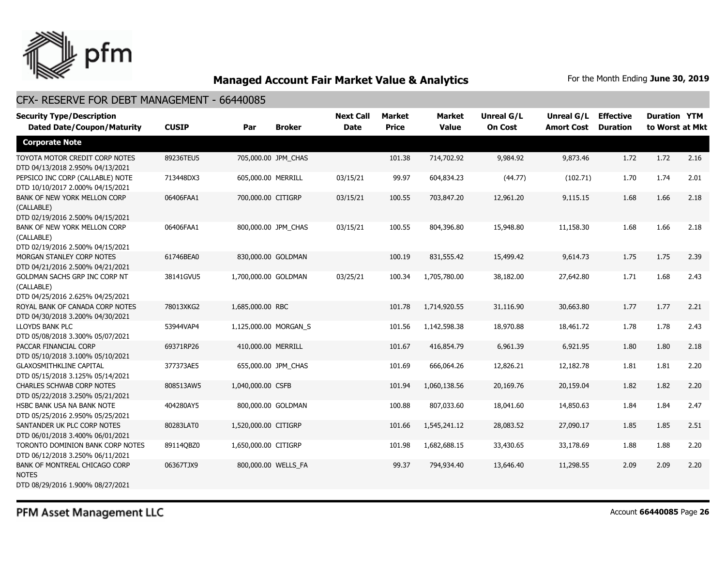

#### CFX- RESERVE FOR DEBT MANAGEMENT - 66440085

| <b>Security Type/Description</b><br><b>Dated Date/Coupon/Maturity</b>             | <b>CUSIP</b> | Par                   | <b>Broker</b>       | <b>Next Call</b><br><b>Date</b> | <b>Market</b><br><b>Price</b> | <b>Market</b><br><b>Value</b> | <b>Unreal G/L</b><br><b>On Cost</b> | Unreal G/L<br><b>Amort Cost</b> | <b>Effective</b><br><b>Duration</b> | <b>Duration YTM</b><br>to Worst at Mkt |      |
|-----------------------------------------------------------------------------------|--------------|-----------------------|---------------------|---------------------------------|-------------------------------|-------------------------------|-------------------------------------|---------------------------------|-------------------------------------|----------------------------------------|------|
| <b>Corporate Note</b>                                                             |              |                       |                     |                                 |                               |                               |                                     |                                 |                                     |                                        |      |
| TOYOTA MOTOR CREDIT CORP NOTES<br>DTD 04/13/2018 2.950% 04/13/2021                | 89236TEU5    |                       | 705,000.00 JPM CHAS |                                 | 101.38                        | 714,702.92                    | 9,984.92                            | 9,873.46                        | 1.72                                | 1.72                                   | 2.16 |
| PEPSICO INC CORP (CALLABLE) NOTE<br>DTD 10/10/2017 2.000% 04/15/2021              | 713448DX3    | 605,000.00 MERRILL    |                     | 03/15/21                        | 99.97                         | 604,834.23                    | (44.77)                             | (102.71)                        | 1.70                                | 1.74                                   | 2.01 |
| BANK OF NEW YORK MELLON CORP<br>(CALLABLE)<br>DTD 02/19/2016 2.500% 04/15/2021    | 06406FAA1    | 700,000.00 CITIGRP    |                     | 03/15/21                        | 100.55                        | 703,847.20                    | 12,961.20                           | 9,115.15                        | 1.68                                | 1.66                                   | 2.18 |
| BANK OF NEW YORK MELLON CORP<br>(CALLABLE)<br>DTD 02/19/2016 2.500% 04/15/2021    | 06406FAA1    |                       | 800,000.00 JPM_CHAS | 03/15/21                        | 100.55                        | 804,396.80                    | 15,948.80                           | 11,158.30                       | 1.68                                | 1.66                                   | 2.18 |
| MORGAN STANLEY CORP NOTES<br>DTD 04/21/2016 2.500% 04/21/2021                     | 61746BEA0    | 830,000.00 GOLDMAN    |                     |                                 | 100.19                        | 831,555.42                    | 15,499.42                           | 9,614.73                        | 1.75                                | 1.75                                   | 2.39 |
| GOLDMAN SACHS GRP INC CORP NT<br>(CALLABLE)<br>DTD 04/25/2016 2.625% 04/25/2021   | 38141GVU5    | 1,700,000.00 GOLDMAN  |                     | 03/25/21                        | 100.34                        | 1,705,780.00                  | 38,182.00                           | 27,642.80                       | 1.71                                | 1.68                                   | 2.43 |
| ROYAL BANK OF CANADA CORP NOTES<br>DTD 04/30/2018 3.200% 04/30/2021               | 78013XKG2    | 1,685,000.00 RBC      |                     |                                 | 101.78                        | 1,714,920.55                  | 31,116.90                           | 30,663,80                       | 1.77                                | 1.77                                   | 2.21 |
| LLOYDS BANK PLC<br>DTD 05/08/2018 3.300% 05/07/2021                               | 53944VAP4    | 1,125,000.00 MORGAN S |                     |                                 | 101.56                        | 1,142,598.38                  | 18,970.88                           | 18,461.72                       | 1.78                                | 1.78                                   | 2.43 |
| PACCAR FINANCIAL CORP<br>DTD 05/10/2018 3.100% 05/10/2021                         | 69371RP26    | 410,000.00 MERRILL    |                     |                                 | 101.67                        | 416,854.79                    | 6,961.39                            | 6,921.95                        | 1.80                                | 1.80                                   | 2.18 |
| <b>GLAXOSMITHKLINE CAPITAL</b><br>DTD 05/15/2018 3.125% 05/14/2021                | 377373AE5    |                       | 655,000.00 JPM CHAS |                                 | 101.69                        | 666,064.26                    | 12,826.21                           | 12,182.78                       | 1.81                                | 1.81                                   | 2.20 |
| <b>CHARLES SCHWAB CORP NOTES</b><br>DTD 05/22/2018 3.250% 05/21/2021              | 808513AW5    | 1,040,000.00 CSFB     |                     |                                 | 101.94                        | 1,060,138.56                  | 20,169.76                           | 20,159.04                       | 1.82                                | 1.82                                   | 2.20 |
| HSBC BANK USA NA BANK NOTE<br>DTD 05/25/2016 2.950% 05/25/2021                    | 404280AY5    | 800,000.00 GOLDMAN    |                     |                                 | 100.88                        | 807,033.60                    | 18,041.60                           | 14,850.63                       | 1.84                                | 1.84                                   | 2.47 |
| SANTANDER UK PLC CORP NOTES<br>DTD 06/01/2018 3.400% 06/01/2021                   | 80283LAT0    | 1,520,000.00 CITIGRP  |                     |                                 | 101.66                        | 1,545,241.12                  | 28,083.52                           | 27,090.17                       | 1.85                                | 1.85                                   | 2.51 |
| TORONTO DOMINION BANK CORP NOTES<br>DTD 06/12/2018 3.250% 06/11/2021              | 89114QBZ0    | 1,650,000.00 CITIGRP  |                     |                                 | 101.98                        | 1,682,688.15                  | 33,430.65                           | 33,178.69                       | 1.88                                | 1.88                                   | 2.20 |
| BANK OF MONTREAL CHICAGO CORP<br><b>NOTES</b><br>DTD 08/29/2016 1.900% 08/27/2021 | 06367TJX9    | 800,000.00 WELLS_FA   |                     |                                 | 99.37                         | 794,934.40                    | 13,646.40                           | 11,298.55                       | 2.09                                | 2.09                                   | 2.20 |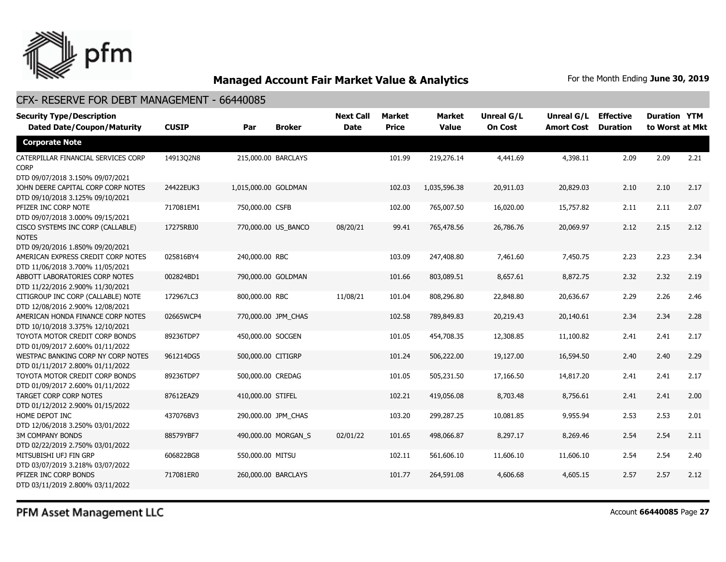

#### CFX- RESERVE FOR DEBT MANAGEMENT - 66440085

| <b>Security Type/Description</b><br><b>Dated Date/Coupon/Maturity</b>                  | <b>CUSIP</b> | Par                  | <b>Broker</b>       | <b>Next Call</b><br><b>Date</b> | Market<br><b>Price</b> | <b>Market</b><br><b>Value</b> | <b>Unreal G/L</b><br><b>On Cost</b> | Unreal G/L<br><b>Amort Cost</b> | <b>Effective</b><br><b>Duration</b> | <b>Duration YTM</b><br>to Worst at Mkt |      |
|----------------------------------------------------------------------------------------|--------------|----------------------|---------------------|---------------------------------|------------------------|-------------------------------|-------------------------------------|---------------------------------|-------------------------------------|----------------------------------------|------|
| <b>Corporate Note</b>                                                                  |              |                      |                     |                                 |                        |                               |                                     |                                 |                                     |                                        |      |
| CATERPILLAR FINANCIAL SERVICES CORP<br><b>CORP</b><br>DTD 09/07/2018 3.150% 09/07/2021 | 14913Q2N8    | 215,000.00 BARCLAYS  |                     |                                 | 101.99                 | 219,276.14                    | 4,441.69                            | 4,398.11                        | 2.09                                | 2.09                                   | 2.21 |
| JOHN DEERE CAPITAL CORP CORP NOTES<br>DTD 09/10/2018 3.125% 09/10/2021                 | 24422EUK3    | 1,015,000.00 GOLDMAN |                     |                                 | 102.03                 | 1,035,596.38                  | 20,911.03                           | 20,829.03                       | 2.10                                | 2.10                                   | 2.17 |
| PFIZER INC CORP NOTE<br>DTD 09/07/2018 3.000% 09/15/2021                               | 717081EM1    | 750,000.00 CSFB      |                     |                                 | 102.00                 | 765,007.50                    | 16,020.00                           | 15,757.82                       | 2.11                                | 2.11                                   | 2.07 |
| CISCO SYSTEMS INC CORP (CALLABLE)<br><b>NOTES</b><br>DTD 09/20/2016 1.850% 09/20/2021  | 17275RBJ0    | 770,000.00 US_BANCO  |                     | 08/20/21                        | 99.41                  | 765,478.56                    | 26,786.76                           | 20,069.97                       | 2.12                                | 2.15                                   | 2.12 |
| AMERICAN EXPRESS CREDIT CORP NOTES<br>DTD 11/06/2018 3.700% 11/05/2021                 | 025816BY4    | 240,000.00 RBC       |                     |                                 | 103.09                 | 247,408.80                    | 7,461.60                            | 7,450.75                        | 2.23                                | 2.23                                   | 2.34 |
| ABBOTT LABORATORIES CORP NOTES<br>DTD 11/22/2016 2.900% 11/30/2021                     | 002824BD1    | 790,000.00 GOLDMAN   |                     |                                 | 101.66                 | 803,089.51                    | 8,657.61                            | 8,872.75                        | 2.32                                | 2.32                                   | 2.19 |
| CITIGROUP INC CORP (CALLABLE) NOTE<br>DTD 12/08/2016 2.900% 12/08/2021                 | 172967LC3    | 800,000.00 RBC       |                     | 11/08/21                        | 101.04                 | 808,296.80                    | 22,848.80                           | 20,636,67                       | 2.29                                | 2.26                                   | 2.46 |
| AMERICAN HONDA FINANCE CORP NOTES<br>DTD 10/10/2018 3.375% 12/10/2021                  | 02665WCP4    | 770,000.00 JPM CHAS  |                     |                                 | 102.58                 | 789,849.83                    | 20,219.43                           | 20,140.61                       | 2.34                                | 2.34                                   | 2.28 |
| TOYOTA MOTOR CREDIT CORP BONDS<br>DTD 01/09/2017 2.600% 01/11/2022                     | 89236TDP7    | 450,000.00 SOCGEN    |                     |                                 | 101.05                 | 454,708.35                    | 12,308.85                           | 11,100.82                       | 2.41                                | 2.41                                   | 2.17 |
| WESTPAC BANKING CORP NY CORP NOTES<br>DTD 01/11/2017 2.800% 01/11/2022                 | 961214DG5    | 500,000.00 CITIGRP   |                     |                                 | 101.24                 | 506,222.00                    | 19,127.00                           | 16,594.50                       | 2.40                                | 2.40                                   | 2.29 |
| TOYOTA MOTOR CREDIT CORP BONDS<br>DTD 01/09/2017 2.600% 01/11/2022                     | 89236TDP7    | 500,000.00 CREDAG    |                     |                                 | 101.05                 | 505,231.50                    | 17,166.50                           | 14,817.20                       | 2.41                                | 2.41                                   | 2.17 |
| <b>TARGET CORP CORP NOTES</b><br>DTD 01/12/2012 2.900% 01/15/2022                      | 87612EAZ9    | 410,000.00 STIFEL    |                     |                                 | 102.21                 | 419,056.08                    | 8,703.48                            | 8,756.61                        | 2.41                                | 2.41                                   | 2.00 |
| HOME DEPOT INC<br>DTD 12/06/2018 3.250% 03/01/2022                                     | 437076BV3    |                      | 290,000.00 JPM_CHAS |                                 | 103.20                 | 299,287.25                    | 10,081.85                           | 9,955.94                        | 2.53                                | 2.53                                   | 2.01 |
| <b>3M COMPANY BONDS</b><br>DTD 02/22/2019 2.750% 03/01/2022                            | 88579YBF7    |                      | 490,000.00 MORGAN S | 02/01/22                        | 101.65                 | 498,066.87                    | 8,297.17                            | 8,269.46                        | 2.54                                | 2.54                                   | 2.11 |
| MITSUBISHI UFJ FIN GRP<br>DTD 03/07/2019 3.218% 03/07/2022                             | 606822BG8    | 550,000.00 MITSU     |                     |                                 | 102.11                 | 561,606.10                    | 11,606.10                           | 11,606.10                       | 2.54                                | 2.54                                   | 2.40 |
| PFIZER INC CORP BONDS<br>DTD 03/11/2019 2.800% 03/11/2022                              | 717081ER0    | 260,000.00 BARCLAYS  |                     |                                 | 101.77                 | 264,591.08                    | 4,606.68                            | 4,605.15                        | 2.57                                | 2.57                                   | 2.12 |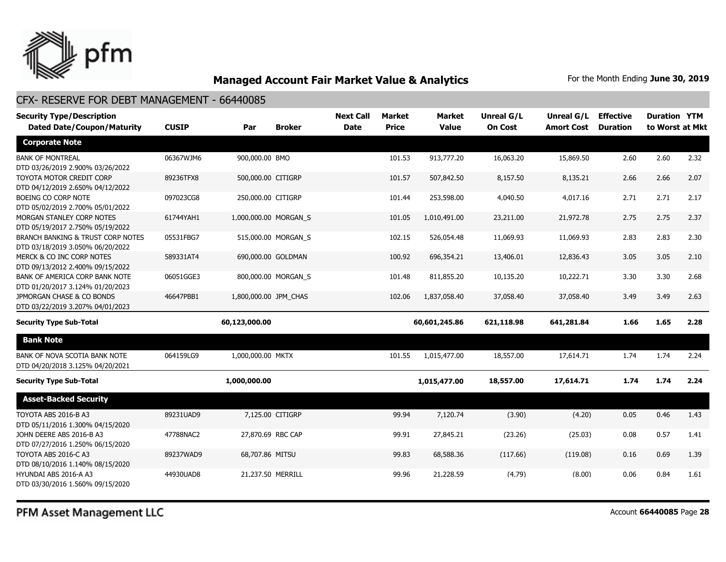

#### CFX- RESERVE FOR DEBT MANAGEMENT - 66440085

| <b>Security Type/Description</b>                                                                 |              |                       |                     | <b>Next Call</b> | <b>Market</b> | Market        | Unreal G/L     | Unreal G/L        | <b>Effective</b> | <b>Duration YTM</b> |      |
|--------------------------------------------------------------------------------------------------|--------------|-----------------------|---------------------|------------------|---------------|---------------|----------------|-------------------|------------------|---------------------|------|
| <b>Dated Date/Coupon/Maturity</b>                                                                | <b>CUSIP</b> | Par                   | <b>Broker</b>       | <b>Date</b>      | <b>Price</b>  | <b>Value</b>  | <b>On Cost</b> | <b>Amort Cost</b> | <b>Duration</b>  | to Worst at Mkt     |      |
| <b>Corporate Note</b>                                                                            |              |                       |                     |                  |               |               |                |                   |                  |                     |      |
| <b>BANK OF MONTREAL</b>                                                                          | 06367WJM6    | 900,000.00 BMO        |                     |                  | 101.53        | 913,777.20    | 16,063.20      | 15,869.50         | 2.60             | 2.60                | 2.32 |
| DTD 03/26/2019 2.900% 03/26/2022<br>TOYOTA MOTOR CREDIT CORP<br>DTD 04/12/2019 2.650% 04/12/2022 | 89236TFX8    | 500,000.00 CITIGRP    |                     |                  | 101.57        | 507,842.50    | 8,157.50       | 8,135.21          | 2.66             | 2.66                | 2.07 |
| BOEING CO CORP NOTE<br>DTD 05/02/2019 2.700% 05/01/2022                                          | 097023CG8    | 250,000.00 CITIGRP    |                     |                  | 101.44        | 253,598.00    | 4,040.50       | 4,017.16          | 2.71             | 2.71                | 2.17 |
| MORGAN STANLEY CORP NOTES<br>DTD 05/19/2017 2.750% 05/19/2022                                    | 61744YAH1    | 1,000,000.00 MORGAN_S |                     |                  | 101.05        | 1,010,491.00  | 23,211.00      | 21,972.78         | 2.75             | 2.75                | 2.37 |
| BRANCH BANKING & TRUST CORP NOTES<br>DTD 03/18/2019 3.050% 06/20/2022                            | 05531FBG7    |                       | 515,000.00 MORGAN_S |                  | 102.15        | 526,054.48    | 11,069.93      | 11,069.93         | 2.83             | 2.83                | 2.30 |
| MERCK & CO INC CORP NOTES<br>DTD 09/13/2012 2.400% 09/15/2022                                    | 589331AT4    |                       | 690,000.00 GOLDMAN  |                  | 100.92        | 696,354.21    | 13,406.01      | 12,836.43         | 3.05             | 3.05                | 2.10 |
| BANK OF AMERICA CORP BANK NOTE<br>DTD 01/20/2017 3.124% 01/20/2023                               | 06051GGE3    |                       | 800,000.00 MORGAN S |                  | 101.48        | 811,855.20    | 10,135.20      | 10,222.71         | 3.30             | 3.30                | 2.68 |
| JPMORGAN CHASE & CO BONDS<br>DTD 03/22/2019 3.207% 04/01/2023                                    | 46647PBB1    | 1,800,000.00 JPM CHAS |                     |                  | 102.06        | 1,837,058.40  | 37,058.40      | 37,058.40         | 3.49             | 3.49                | 2.63 |
| <b>Security Type Sub-Total</b>                                                                   |              | 60,123,000.00         |                     |                  |               | 60,601,245.86 | 621,118.98     | 641,281.84        | 1.66             | 1.65                | 2.28 |
| <b>Bank Note</b>                                                                                 |              |                       |                     |                  |               |               |                |                   |                  |                     |      |
| BANK OF NOVA SCOTIA BANK NOTE<br>DTD 04/20/2018 3.125% 04/20/2021                                | 064159LG9    | 1,000,000.00 MKTX     |                     |                  | 101.55        | 1,015,477.00  | 18,557.00      | 17,614.71         | 1.74             | 1.74                | 2.24 |
| <b>Security Type Sub-Total</b>                                                                   |              | 1,000,000.00          |                     |                  |               | 1,015,477.00  | 18,557.00      | 17,614.71         | 1.74             | 1.74                | 2.24 |
| <b>Asset-Backed Security</b>                                                                     |              |                       |                     |                  |               |               |                |                   |                  |                     |      |
| TOYOTA ABS 2016-B A3<br>DTD 05/11/2016 1.300% 04/15/2020                                         | 89231UAD9    |                       | 7,125.00 CITIGRP    |                  | 99.94         | 7,120.74      | (3.90)         | (4.20)            | 0.05             | 0.46                | 1.43 |
| JOHN DEERE ABS 2016-B A3<br>DTD 07/27/2016 1.250% 06/15/2020                                     | 47788NAC2    | 27,870.69 RBC CAP     |                     |                  | 99.91         | 27,845.21     | (23.26)        | (25.03)           | 0.08             | 0.57                | 1.41 |
| TOYOTA ABS 2016-C A3<br>DTD 08/10/2016 1.140% 08/15/2020                                         | 89237WAD9    | 68,707.86 MITSU       |                     |                  | 99.83         | 68,588.36     | (117.66)       | (119.08)          | 0.16             | 0.69                | 1.39 |
| HYUNDAI ABS 2016-A A3<br>DTD 03/30/2016 1.560% 09/15/2020                                        | 44930UAD8    | 21,237.50 MERRILL     |                     |                  | 99.96         | 21,228.59     | (4.79)         | (8.00)            | 0.06             | 0.84                | 1.61 |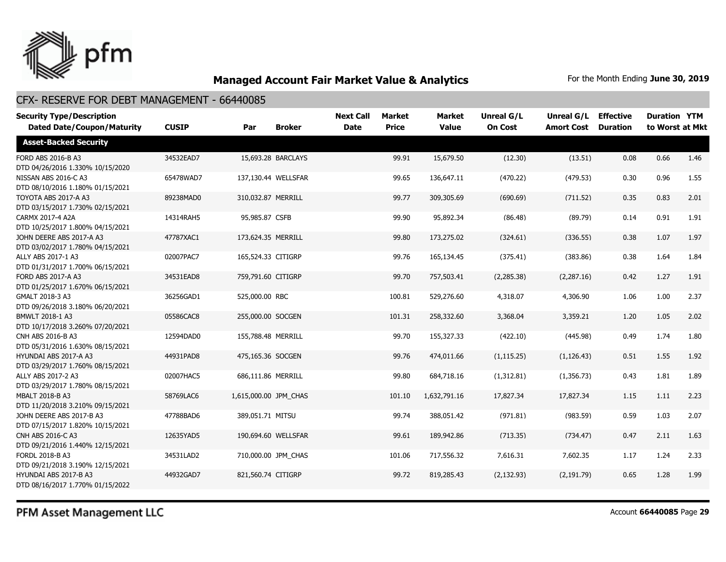

| <b>Security Type/Description</b><br><b>Dated Date/Coupon/Maturity</b> | <b>CUSIP</b> | Par                   | <b>Broker</b>       | <b>Next Call</b><br><b>Date</b> | <b>Market</b><br><b>Price</b> | <b>Market</b><br><b>Value</b> | Unreal G/L<br><b>On Cost</b> | Unreal G/L<br><b>Amort Cost</b> | <b>Effective</b><br><b>Duration</b> | <b>Duration YTM</b><br>to Worst at Mkt |      |
|-----------------------------------------------------------------------|--------------|-----------------------|---------------------|---------------------------------|-------------------------------|-------------------------------|------------------------------|---------------------------------|-------------------------------------|----------------------------------------|------|
| <b>Asset-Backed Security</b>                                          |              |                       |                     |                                 |                               |                               |                              |                                 |                                     |                                        |      |
| FORD ABS 2016-B A3<br>DTD 04/26/2016 1.330% 10/15/2020                | 34532EAD7    |                       | 15,693.28 BARCLAYS  |                                 | 99.91                         | 15,679.50                     | (12.30)                      | (13.51)                         | 0.08                                | 0.66                                   | 1.46 |
| NISSAN ABS 2016-C A3<br>DTD 08/10/2016 1.180% 01/15/2021              | 65478WAD7    |                       | 137,130.44 WELLSFAR |                                 | 99.65                         | 136,647.11                    | (470.22)                     | (479.53)                        | 0.30                                | 0.96                                   | 1.55 |
| TOYOTA ABS 2017-A A3<br>DTD 03/15/2017 1.730% 02/15/2021              | 89238MAD0    | 310.032.87 MERRILL    |                     |                                 | 99.77                         | 309,305.69                    | (690.69)                     | (711.52)                        | 0.35                                | 0.83                                   | 2.01 |
| CARMX 2017-4 A2A<br>DTD 10/25/2017 1.800% 04/15/2021                  | 14314RAH5    | 95,985.87 CSFB        |                     |                                 | 99.90                         | 95,892.34                     | (86.48)                      | (89.79)                         | 0.14                                | 0.91                                   | 1.91 |
| JOHN DEERE ABS 2017-A A3<br>DTD 03/02/2017 1.780% 04/15/2021          | 47787XAC1    | 173,624.35 MERRILL    |                     |                                 | 99.80                         | 173,275.02                    | (324.61)                     | (336.55)                        | 0.38                                | 1.07                                   | 1.97 |
| ALLY ABS 2017-1 A3<br>DTD 01/31/2017 1.700% 06/15/2021                | 02007PAC7    | 165,524.33 CITIGRP    |                     |                                 | 99.76                         | 165,134.45                    | (375.41)                     | (383.86)                        | 0.38                                | 1.64                                   | 1.84 |
| FORD ABS 2017-A A3<br>DTD 01/25/2017 1.670% 06/15/2021                | 34531EAD8    | 759,791.60 CITIGRP    |                     |                                 | 99.70                         | 757,503.41                    | (2, 285.38)                  | (2, 287.16)                     | 0.42                                | 1.27                                   | 1.91 |
| GMALT 2018-3 A3<br>DTD 09/26/2018 3.180% 06/20/2021                   | 36256GAD1    | 525,000.00 RBC        |                     |                                 | 100.81                        | 529,276.60                    | 4,318.07                     | 4,306.90                        | 1.06                                | 1.00                                   | 2.37 |
| BMWLT 2018-1 A3<br>DTD 10/17/2018 3.260% 07/20/2021                   | 05586CAC8    | 255,000.00 SOCGEN     |                     |                                 | 101.31                        | 258,332.60                    | 3,368.04                     | 3,359.21                        | 1.20                                | 1.05                                   | 2.02 |
| CNH ABS 2016-B A3<br>DTD 05/31/2016 1.630% 08/15/2021                 | 12594DAD0    | 155,788.48 MERRILL    |                     |                                 | 99.70                         | 155,327.33                    | (422.10)                     | (445.98)                        | 0.49                                | 1.74                                   | 1.80 |
| HYUNDAI ABS 2017-A A3<br>DTD 03/29/2017 1.760% 08/15/2021             | 44931PAD8    | 475,165.36 SOCGEN     |                     |                                 | 99.76                         | 474,011.66                    | (1, 115.25)                  | (1, 126.43)                     | 0.51                                | 1.55                                   | 1.92 |
| ALLY ABS 2017-2 A3<br>DTD 03/29/2017 1.780% 08/15/2021                | 02007HAC5    | 686,111.86 MERRILL    |                     |                                 | 99.80                         | 684,718.16                    | (1,312.81)                   | (1,356.73)                      | 0.43                                | 1.81                                   | 1.89 |
| MBALT 2018-B A3<br>DTD 11/20/2018 3.210% 09/15/2021                   | 58769LAC6    | 1,615,000.00 JPM_CHAS |                     |                                 | 101.10                        | 1,632,791.16                  | 17,827.34                    | 17,827.34                       | 1.15                                | 1.11                                   | 2.23 |
| JOHN DEERE ABS 2017-B A3<br>DTD 07/15/2017 1.820% 10/15/2021          | 47788BAD6    | 389,051.71 MITSU      |                     |                                 | 99.74                         | 388,051.42                    | (971.81)                     | (983.59)                        | 0.59                                | 1.03                                   | 2.07 |
| <b>CNH ABS 2016-C A3</b><br>DTD 09/21/2016 1.440% 12/15/2021          | 12635YAD5    |                       | 190,694.60 WELLSFAR |                                 | 99.61                         | 189,942.86                    | (713.35)                     | (734.47)                        | 0.47                                | 2.11                                   | 1.63 |
| FORDL 2018-B A3<br>DTD 09/21/2018 3.190% 12/15/2021                   | 34531LAD2    |                       | 710,000.00 JPM CHAS |                                 | 101.06                        | 717,556.32                    | 7,616.31                     | 7,602.35                        | 1.17                                | 1.24                                   | 2.33 |
| HYUNDAI ABS 2017-B A3<br>DTD 08/16/2017 1.770% 01/15/2022             | 44932GAD7    | 821,560.74 CITIGRP    |                     |                                 | 99.72                         | 819,285.43                    | (2, 132.93)                  | (2, 191.79)                     | 0.65                                | 1.28                                   | 1.99 |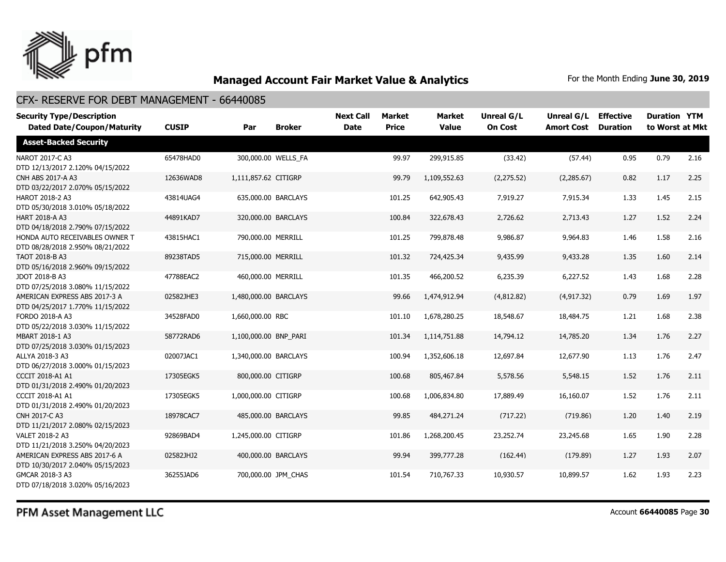

| <b>Security Type/Description</b><br><b>Dated Date/Coupon/Maturity</b> | <b>CUSIP</b> | Par                   | <b>Broker</b>       | <b>Next Call</b><br><b>Date</b> | <b>Market</b><br><b>Price</b> | <b>Market</b><br><b>Value</b> | <b>Unreal G/L</b><br><b>On Cost</b> | Unreal G/L<br><b>Amort Cost</b> | <b>Effective</b><br><b>Duration</b> | <b>Duration YTM</b><br>to Worst at Mkt |      |
|-----------------------------------------------------------------------|--------------|-----------------------|---------------------|---------------------------------|-------------------------------|-------------------------------|-------------------------------------|---------------------------------|-------------------------------------|----------------------------------------|------|
| <b>Asset-Backed Security</b>                                          |              |                       |                     |                                 |                               |                               |                                     |                                 |                                     |                                        |      |
| NAROT 2017-C A3<br>DTD 12/13/2017 2.120% 04/15/2022                   | 65478HAD0    |                       | 300,000.00 WELLS FA |                                 | 99.97                         | 299,915.85                    | (33.42)                             | (57.44)                         | 0.95                                | 0.79                                   | 2.16 |
| CNH ABS 2017-A A3<br>DTD 03/22/2017 2.070% 05/15/2022                 | 12636WAD8    | 1,111,857.62 CITIGRP  |                     |                                 | 99.79                         | 1,109,552.63                  | (2, 275.52)                         | (2,285.67)                      | 0.82                                | 1.17                                   | 2.25 |
| HAROT 2018-2 A3<br>DTD 05/30/2018 3.010% 05/18/2022                   | 43814UAG4    |                       | 635,000.00 BARCLAYS |                                 | 101.25                        | 642,905.43                    | 7,919.27                            | 7,915.34                        | 1.33                                | 1.45                                   | 2.15 |
| HART 2018-A A3<br>DTD 04/18/2018 2.790% 07/15/2022                    | 44891KAD7    |                       | 320,000.00 BARCLAYS |                                 | 100.84                        | 322,678.43                    | 2,726.62                            | 2,713.43                        | 1.27                                | 1.52                                   | 2.24 |
| HONDA AUTO RECEIVABLES OWNER T<br>DTD 08/28/2018 2.950% 08/21/2022    | 43815HAC1    | 790,000.00 MERRILL    |                     |                                 | 101.25                        | 799,878.48                    | 9,986.87                            | 9,964.83                        | 1.46                                | 1.58                                   | 2.16 |
| TAOT 2018-B A3<br>DTD 05/16/2018 2.960% 09/15/2022                    | 89238TAD5    | 715,000.00 MERRILL    |                     |                                 | 101.32                        | 724,425.34                    | 9,435.99                            | 9,433.28                        | 1.35                                | 1.60                                   | 2.14 |
| JDOT 2018-B A3<br>DTD 07/25/2018 3.080% 11/15/2022                    | 47788EAC2    | 460,000.00 MERRILL    |                     |                                 | 101.35                        | 466,200.52                    | 6,235.39                            | 6,227.52                        | 1.43                                | 1.68                                   | 2.28 |
| AMERICAN EXPRESS ABS 2017-3 A<br>DTD 04/25/2017 1.770% 11/15/2022     | 02582JHE3    | 1,480,000.00 BARCLAYS |                     |                                 | 99.66                         | 1,474,912.94                  | (4,812.82)                          | (4, 917.32)                     | 0.79                                | 1.69                                   | 1.97 |
| FORDO 2018-A A3<br>DTD 05/22/2018 3.030% 11/15/2022                   | 34528FAD0    | 1,660,000.00 RBC      |                     |                                 | 101.10                        | 1,678,280.25                  | 18,548.67                           | 18,484.75                       | 1.21                                | 1.68                                   | 2.38 |
| MBART 2018-1 A3<br>DTD 07/25/2018 3.030% 01/15/2023                   | 58772RAD6    | 1,100,000.00 BNP PARI |                     |                                 | 101.34                        | 1,114,751.88                  | 14,794.12                           | 14,785.20                       | 1.34                                | 1.76                                   | 2.27 |
| ALLYA 2018-3 A3<br>DTD 06/27/2018 3.000% 01/15/2023                   | 02007JAC1    | 1,340,000.00 BARCLAYS |                     |                                 | 100.94                        | 1,352,606.18                  | 12,697.84                           | 12,677.90                       | 1.13                                | 1.76                                   | 2.47 |
| <b>CCCIT 2018-A1 A1</b><br>DTD 01/31/2018 2.490% 01/20/2023           | 17305EGK5    | 800,000.00 CITIGRP    |                     |                                 | 100.68                        | 805,467.84                    | 5,578.56                            | 5,548.15                        | 1.52                                | 1.76                                   | 2.11 |
| <b>CCCIT 2018-A1 A1</b><br>DTD 01/31/2018 2.490% 01/20/2023           | 17305EGK5    | 1,000,000.00 CITIGRP  |                     |                                 | 100.68                        | 1,006,834.80                  | 17,889.49                           | 16,160.07                       | 1.52                                | 1.76                                   | 2.11 |
| CNH 2017-C A3<br>DTD 11/21/2017 2.080% 02/15/2023                     | 18978CAC7    |                       | 485,000.00 BARCLAYS |                                 | 99.85                         | 484,271.24                    | (717.22)                            | (719.86)                        | 1.20                                | 1.40                                   | 2.19 |
| VALET 2018-2 A3<br>DTD 11/21/2018 3.250% 04/20/2023                   | 92869BAD4    | 1,245,000.00 CITIGRP  |                     |                                 | 101.86                        | 1,268,200.45                  | 23,252.74                           | 23,245.68                       | 1.65                                | 1.90                                   | 2.28 |
| AMERICAN EXPRESS ABS 2017-6 A<br>DTD 10/30/2017 2.040% 05/15/2023     | 02582JHJ2    |                       | 400,000.00 BARCLAYS |                                 | 99.94                         | 399,777.28                    | (162.44)                            | (179.89)                        | 1.27                                | 1.93                                   | 2.07 |
| GMCAR 2018-3 A3<br>DTD 07/18/2018 3.020% 05/16/2023                   | 36255JAD6    |                       | 700,000.00 JPM CHAS |                                 | 101.54                        | 710,767.33                    | 10,930.57                           | 10,899.57                       | 1.62                                | 1.93                                   | 2.23 |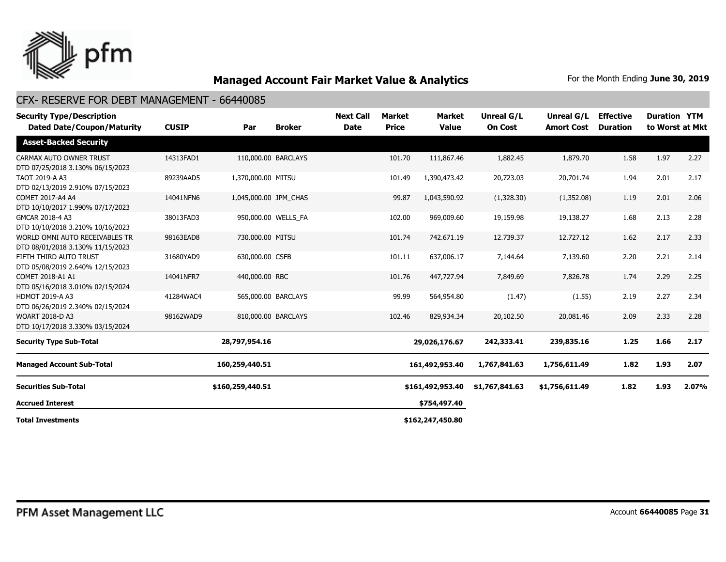

| <b>Security Type/Description</b><br><b>Dated Date/Coupon/Maturity</b> | <b>CUSIP</b> | Par                   | <b>Broker</b>       | <b>Next Call</b><br><b>Date</b> | Market<br><b>Price</b> | <b>Market</b><br><b>Value</b> | <b>Unreal G/L</b><br><b>On Cost</b> | Unreal G/L<br><b>Amort Cost</b> | <b>Effective</b><br><b>Duration</b> | <b>Duration YTM</b> | to Worst at Mkt |
|-----------------------------------------------------------------------|--------------|-----------------------|---------------------|---------------------------------|------------------------|-------------------------------|-------------------------------------|---------------------------------|-------------------------------------|---------------------|-----------------|
| <b>Asset-Backed Security</b>                                          |              |                       |                     |                                 |                        |                               |                                     |                                 |                                     |                     |                 |
| CARMAX AUTO OWNER TRUST<br>DTD 07/25/2018 3.130% 06/15/2023           | 14313FAD1    |                       | 110,000.00 BARCLAYS |                                 | 101.70                 | 111,867.46                    | 1,882.45                            | 1,879.70                        | 1.58                                | 1.97                | 2.27            |
| TAOT 2019-A A3<br>DTD 02/13/2019 2.910% 07/15/2023                    | 89239AAD5    | 1,370,000.00 MITSU    |                     |                                 | 101.49                 | 1,390,473.42                  | 20,723.03                           | 20,701.74                       | 1.94                                | 2.01                | 2.17            |
| COMET 2017-A4 A4<br>DTD 10/10/2017 1.990% 07/17/2023                  | 14041NFN6    | 1,045,000.00 JPM CHAS |                     |                                 | 99.87                  | 1,043,590.92                  | (1,328.30)                          | (1,352.08)                      | 1.19                                | 2.01                | 2.06            |
| GMCAR 2018-4 A3<br>DTD 10/10/2018 3.210% 10/16/2023                   | 38013FAD3    |                       | 950,000.00 WELLS_FA |                                 | 102.00                 | 969,009.60                    | 19,159.98                           | 19,138.27                       | 1.68                                | 2.13                | 2.28            |
| WORLD OMNI AUTO RECEIVABLES TR<br>DTD 08/01/2018 3.130% 11/15/2023    | 98163EAD8    | 730,000.00 MITSU      |                     |                                 | 101.74                 | 742,671.19                    | 12,739.37                           | 12,727.12                       | 1.62                                | 2.17                | 2.33            |
| FIFTH THIRD AUTO TRUST<br>DTD 05/08/2019 2.640% 12/15/2023            | 31680YAD9    | 630,000.00 CSFB       |                     |                                 | 101.11                 | 637,006.17                    | 7,144.64                            | 7,139.60                        | 2.20                                | 2.21                | 2.14            |
| COMET 2018-A1 A1<br>DTD 05/16/2018 3.010% 02/15/2024                  | 14041NFR7    | 440,000.00 RBC        |                     |                                 | 101.76                 | 447,727.94                    | 7,849.69                            | 7,826.78                        | 1.74                                | 2.29                | 2.25            |
| HDMOT 2019-A A3<br>DTD 06/26/2019 2.340% 02/15/2024                   | 41284WAC4    |                       | 565,000.00 BARCLAYS |                                 | 99.99                  | 564,954.80                    | (1.47)                              | (1.55)                          | 2.19                                | 2.27                | 2.34            |
| <b>WOART 2018-D A3</b><br>DTD 10/17/2018 3.330% 03/15/2024            | 98162WAD9    |                       | 810,000.00 BARCLAYS |                                 | 102.46                 | 829,934.34                    | 20,102.50                           | 20,081.46                       | 2.09                                | 2.33                | 2.28            |
| <b>Security Type Sub-Total</b>                                        |              | 28,797,954.16         |                     |                                 |                        | 29,026,176.67                 | 242,333.41                          | 239,835.16                      | 1.25                                | 1.66                | 2.17            |
| <b>Managed Account Sub-Total</b>                                      |              | 160,259,440.51        |                     |                                 |                        | 161,492,953.40                | 1,767,841.63                        | 1,756,611.49                    | 1.82                                | 1.93                | 2.07            |
| <b>Securities Sub-Total</b>                                           |              | \$160,259,440.51      |                     |                                 |                        | \$161,492,953.40              | \$1,767,841.63                      | \$1,756,611.49                  | 1.82                                | 1.93                | 2.07%           |
| <b>Accrued Interest</b>                                               |              |                       |                     |                                 |                        | \$754,497.40                  |                                     |                                 |                                     |                     |                 |
| <b>Total Investments</b>                                              |              |                       |                     |                                 |                        | \$162,247,450.80              |                                     |                                 |                                     |                     |                 |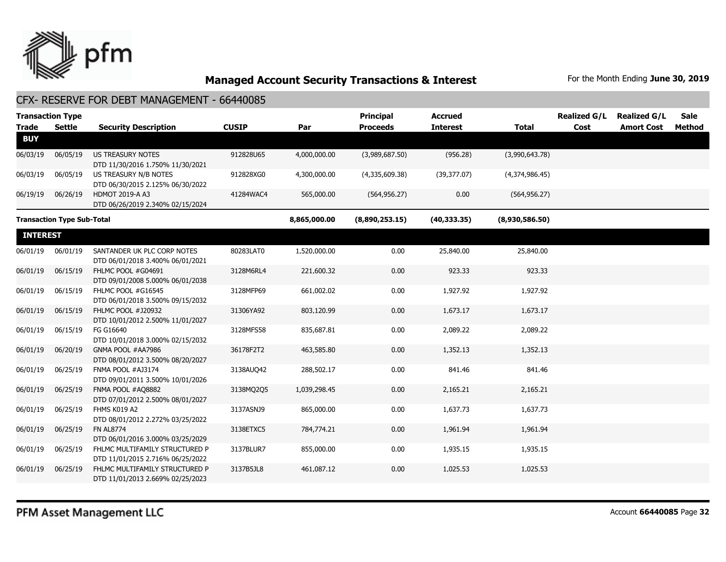

| <b>Trade</b>    | <b>Transaction Type</b><br><b>Settle</b> | <b>Security Description</b>                                        | <b>CUSIP</b> | Par          | <b>Principal</b><br><b>Proceeds</b> | <b>Accrued</b><br><b>Interest</b> | <b>Total</b>   | <b>Realized G/L</b><br>Cost | <b>Realized G/L</b><br><b>Amort Cost</b> | <b>Sale</b><br><b>Method</b> |
|-----------------|------------------------------------------|--------------------------------------------------------------------|--------------|--------------|-------------------------------------|-----------------------------------|----------------|-----------------------------|------------------------------------------|------------------------------|
| <b>BUY</b>      |                                          |                                                                    |              |              |                                     |                                   |                |                             |                                          |                              |
| 06/03/19        | 06/05/19                                 | US TREASURY NOTES<br>DTD 11/30/2016 1.750% 11/30/2021              | 912828U65    | 4,000,000.00 | (3,989,687.50)                      | (956.28)                          | (3,990,643.78) |                             |                                          |                              |
| 06/03/19        | 06/05/19                                 | US TREASURY N/B NOTES<br>DTD 06/30/2015 2.125% 06/30/2022          | 912828XG0    | 4,300,000.00 | (4,335,609.38)                      | (39,377.07)                       | (4,374,986.45) |                             |                                          |                              |
| 06/19/19        | 06/26/19                                 | HDMOT 2019-A A3<br>DTD 06/26/2019 2.340% 02/15/2024                | 41284WAC4    | 565,000.00   | (564, 956.27)                       | 0.00                              | (564, 956.27)  |                             |                                          |                              |
|                 | <b>Transaction Type Sub-Total</b>        |                                                                    |              | 8,865,000.00 | (8,890,253.15)                      | (40, 333.35)                      | (8,930,586.50) |                             |                                          |                              |
| <b>INTEREST</b> |                                          |                                                                    |              |              |                                     |                                   |                |                             |                                          |                              |
| 06/01/19        | 06/01/19                                 | SANTANDER UK PLC CORP NOTES<br>DTD 06/01/2018 3.400% 06/01/2021    | 80283LAT0    | 1,520,000.00 | 0.00                                | 25,840.00                         | 25,840.00      |                             |                                          |                              |
| 06/01/19        | 06/15/19                                 | FHLMC POOL #G04691<br>DTD 09/01/2008 5.000% 06/01/2038             | 3128M6RL4    | 221,600.32   | 0.00                                | 923.33                            | 923.33         |                             |                                          |                              |
| 06/01/19        | 06/15/19                                 | FHLMC POOL #G16545<br>DTD 06/01/2018 3.500% 09/15/2032             | 3128MFP69    | 661,002.02   | 0.00                                | 1,927.92                          | 1,927.92       |                             |                                          |                              |
| 06/01/19        | 06/15/19                                 | FHLMC POOL #J20932<br>DTD 10/01/2012 2.500% 11/01/2027             | 31306YA92    | 803,120.99   | 0.00                                | 1,673.17                          | 1,673.17       |                             |                                          |                              |
| 06/01/19        | 06/15/19                                 | FG G16640<br>DTD 10/01/2018 3.000% 02/15/2032                      | 3128MFS58    | 835,687.81   | 0.00                                | 2,089.22                          | 2,089.22       |                             |                                          |                              |
| 06/01/19        | 06/20/19                                 | GNMA POOL #AA7986<br>DTD 08/01/2012 3.500% 08/20/2027              | 36178F2T2    | 463,585.80   | 0.00                                | 1,352.13                          | 1,352.13       |                             |                                          |                              |
| 06/01/19        | 06/25/19                                 | FNMA POOL #AJ3174<br>DTD 09/01/2011 3.500% 10/01/2026              | 3138AUQ42    | 288,502.17   | 0.00                                | 841.46                            | 841.46         |                             |                                          |                              |
| 06/01/19        | 06/25/19                                 | FNMA POOL #AQ8882<br>DTD 07/01/2012 2.500% 08/01/2027              | 3138MQ205    | 1,039,298.45 | 0.00                                | 2,165.21                          | 2,165.21       |                             |                                          |                              |
| 06/01/19        | 06/25/19                                 | FHMS K019 A2<br>DTD 08/01/2012 2.272% 03/25/2022                   | 3137ASNJ9    | 865,000.00   | 0.00                                | 1,637.73                          | 1,637.73       |                             |                                          |                              |
| 06/01/19        | 06/25/19                                 | <b>FN AL8774</b><br>DTD 06/01/2016 3.000% 03/25/2029               | 3138ETXC5    | 784,774.21   | 0.00                                | 1,961.94                          | 1,961.94       |                             |                                          |                              |
| 06/01/19        | 06/25/19                                 | FHLMC MULTIFAMILY STRUCTURED P<br>DTD 11/01/2015 2.716% 06/25/2022 | 3137BLUR7    | 855,000.00   | 0.00                                | 1,935.15                          | 1,935.15       |                             |                                          |                              |
| 06/01/19        | 06/25/19                                 | FHLMC MULTIFAMILY STRUCTURED P<br>DTD 11/01/2013 2.669% 02/25/2023 | 3137B5JL8    | 461,087.12   | 0.00                                | 1,025.53                          | 1,025.53       |                             |                                          |                              |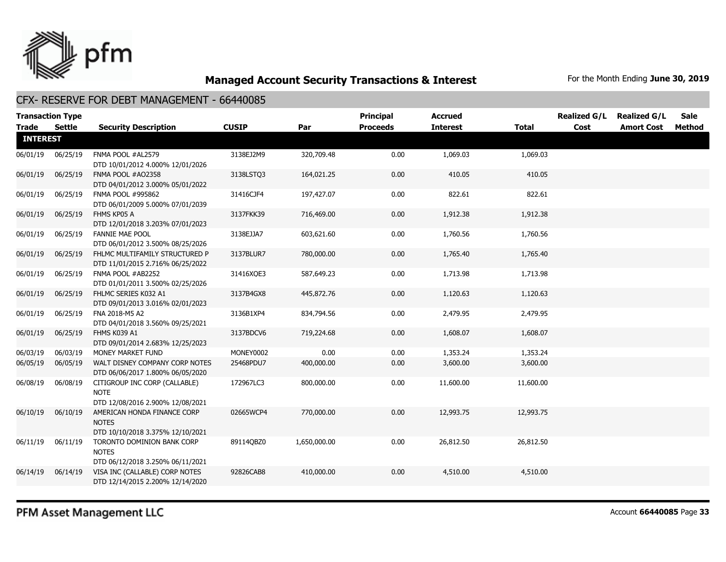

#### CFX- RESERVE FOR DEBT MANAGEMENT - 66440085

| <b>Trade</b>    | <b>Transaction Type</b><br>Settle | <b>Security Description</b>                                                      | <b>CUSIP</b> | Par          | <b>Principal</b><br><b>Proceeds</b> | <b>Accrued</b><br><b>Interest</b> | <b>Total</b> | <b>Realized G/L</b><br>Cost | <b>Realized G/L</b><br><b>Amort Cost</b> | Sale<br>Method |
|-----------------|-----------------------------------|----------------------------------------------------------------------------------|--------------|--------------|-------------------------------------|-----------------------------------|--------------|-----------------------------|------------------------------------------|----------------|
| <b>INTEREST</b> |                                   |                                                                                  |              |              |                                     |                                   |              |                             |                                          |                |
| 06/01/19        | 06/25/19                          | FNMA POOL #AL2579<br>DTD 10/01/2012 4.000% 12/01/2026                            | 3138EJ2M9    | 320,709.48   | 0.00                                | 1,069.03                          | 1,069.03     |                             |                                          |                |
| 06/01/19        | 06/25/19                          | FNMA POOL #AO2358<br>DTD 04/01/2012 3.000% 05/01/2022                            | 3138LSTO3    | 164,021.25   | 0.00                                | 410.05                            | 410.05       |                             |                                          |                |
| 06/01/19        | 06/25/19                          | FNMA POOL #995862<br>DTD 06/01/2009 5.000% 07/01/2039                            | 31416CJF4    | 197,427.07   | 0.00                                | 822.61                            | 822.61       |                             |                                          |                |
| 06/01/19        | 06/25/19                          | FHMS KP05 A<br>DTD 12/01/2018 3.203% 07/01/2023                                  | 3137FKK39    | 716,469.00   | 0.00                                | 1,912.38                          | 1,912.38     |                             |                                          |                |
| 06/01/19        | 06/25/19                          | <b>FANNIE MAE POOL</b><br>DTD 06/01/2012 3.500% 08/25/2026                       | 3138EJJA7    | 603,621.60   | 0.00                                | 1,760.56                          | 1,760.56     |                             |                                          |                |
| 06/01/19        | 06/25/19                          | FHLMC MULTIFAMILY STRUCTURED P<br>DTD 11/01/2015 2.716% 06/25/2022               | 3137BLUR7    | 780,000.00   | 0.00                                | 1,765.40                          | 1,765.40     |                             |                                          |                |
| 06/01/19        | 06/25/19                          | FNMA POOL #AB2252<br>DTD 01/01/2011 3.500% 02/25/2026                            | 31416XQE3    | 587,649.23   | 0.00                                | 1,713.98                          | 1,713.98     |                             |                                          |                |
| 06/01/19        | 06/25/19                          | FHLMC SERIES K032 A1<br>DTD 09/01/2013 3.016% 02/01/2023                         | 3137B4GX8    | 445,872.76   | 0.00                                | 1,120.63                          | 1,120.63     |                             |                                          |                |
| 06/01/19        | 06/25/19                          | FNA 2018-M5 A2<br>DTD 04/01/2018 3.560% 09/25/2021                               | 3136B1XP4    | 834,794.56   | 0.00                                | 2,479.95                          | 2,479.95     |                             |                                          |                |
| 06/01/19        | 06/25/19                          | FHMS K039 A1<br>DTD 09/01/2014 2.683% 12/25/2023                                 | 3137BDCV6    | 719,224.68   | 0.00                                | 1,608.07                          | 1,608.07     |                             |                                          |                |
| 06/03/19        | 06/03/19                          | MONEY MARKET FUND                                                                | MONEY0002    | 0.00         | 0.00                                | 1,353.24                          | 1,353.24     |                             |                                          |                |
| 06/05/19        | 06/05/19                          | WALT DISNEY COMPANY CORP NOTES<br>DTD 06/06/2017 1.800% 06/05/2020               | 25468PDU7    | 400,000.00   | 0.00                                | 3,600.00                          | 3,600.00     |                             |                                          |                |
| 06/08/19        | 06/08/19                          | CITIGROUP INC CORP (CALLABLE)<br><b>NOTE</b><br>DTD 12/08/2016 2.900% 12/08/2021 | 172967LC3    | 800,000.00   | 0.00                                | 11,600.00                         | 11,600.00    |                             |                                          |                |
| 06/10/19        | 06/10/19                          | AMERICAN HONDA FINANCE CORP<br><b>NOTES</b><br>DTD 10/10/2018 3.375% 12/10/2021  | 02665WCP4    | 770,000.00   | 0.00                                | 12,993.75                         | 12,993.75    |                             |                                          |                |
| 06/11/19        | 06/11/19                          | TORONTO DOMINION BANK CORP<br><b>NOTES</b><br>DTD 06/12/2018 3.250% 06/11/2021   | 89114QBZ0    | 1,650,000.00 | 0.00                                | 26,812.50                         | 26,812.50    |                             |                                          |                |
| 06/14/19        | 06/14/19                          | VISA INC (CALLABLE) CORP NOTES<br>DTD 12/14/2015 2.200% 12/14/2020               | 92826CAB8    | 410,000.00   | 0.00                                | 4,510.00                          | 4,510.00     |                             |                                          |                |
|                 |                                   |                                                                                  |              |              |                                     |                                   |              |                             |                                          |                |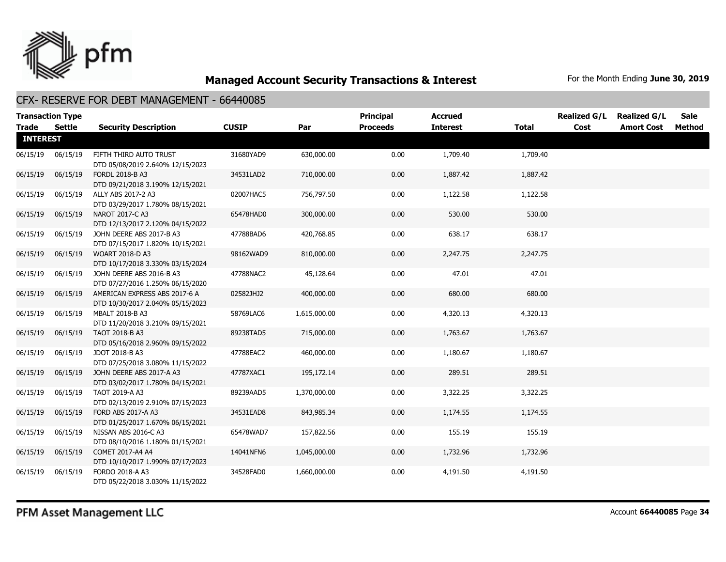

| <b>Trade</b>    | <b>Transaction Type</b><br><b>Settle</b> | <b>Security Description</b>                                       | <b>CUSIP</b> | Par          | <b>Principal</b><br><b>Proceeds</b> | <b>Accrued</b><br><b>Interest</b> | <b>Total</b> | <b>Realized G/L</b><br>Cost | <b>Realized G/L</b><br><b>Amort Cost</b> | <b>Sale</b><br>Method |
|-----------------|------------------------------------------|-------------------------------------------------------------------|--------------|--------------|-------------------------------------|-----------------------------------|--------------|-----------------------------|------------------------------------------|-----------------------|
| <b>INTEREST</b> |                                          |                                                                   |              |              |                                     |                                   |              |                             |                                          |                       |
| 06/15/19        | 06/15/19                                 | FIFTH THIRD AUTO TRUST<br>DTD 05/08/2019 2.640% 12/15/2023        | 31680YAD9    | 630,000.00   | 0.00                                | 1,709.40                          | 1,709.40     |                             |                                          |                       |
| 06/15/19        | 06/15/19                                 | <b>FORDL 2018-B A3</b><br>DTD 09/21/2018 3.190% 12/15/2021        | 34531LAD2    | 710,000.00   | 0.00                                | 1,887.42                          | 1,887.42     |                             |                                          |                       |
| 06/15/19        | 06/15/19                                 | ALLY ABS 2017-2 A3<br>DTD 03/29/2017 1.780% 08/15/2021            | 02007HAC5    | 756,797.50   | 0.00                                | 1,122.58                          | 1,122.58     |                             |                                          |                       |
| 06/15/19        | 06/15/19                                 | NAROT 2017-C A3<br>DTD 12/13/2017 2.120% 04/15/2022               | 65478HAD0    | 300,000.00   | 0.00                                | 530.00                            | 530.00       |                             |                                          |                       |
| 06/15/19        | 06/15/19                                 | JOHN DEERE ABS 2017-B A3<br>DTD 07/15/2017 1.820% 10/15/2021      | 47788BAD6    | 420,768.85   | 0.00                                | 638.17                            | 638.17       |                             |                                          |                       |
| 06/15/19        | 06/15/19                                 | <b>WOART 2018-D A3</b><br>DTD 10/17/2018 3.330% 03/15/2024        | 98162WAD9    | 810,000.00   | 0.00                                | 2,247.75                          | 2,247.75     |                             |                                          |                       |
| 06/15/19        | 06/15/19                                 | JOHN DEERE ABS 2016-B A3<br>DTD 07/27/2016 1.250% 06/15/2020      | 47788NAC2    | 45,128.64    | 0.00                                | 47.01                             | 47.01        |                             |                                          |                       |
| 06/15/19        | 06/15/19                                 | AMERICAN EXPRESS ABS 2017-6 A<br>DTD 10/30/2017 2.040% 05/15/2023 | 02582JHJ2    | 400,000.00   | 0.00                                | 680.00                            | 680.00       |                             |                                          |                       |
| 06/15/19        | 06/15/19                                 | <b>MBALT 2018-B A3</b><br>DTD 11/20/2018 3.210% 09/15/2021        | 58769LAC6    | 1,615,000.00 | 0.00                                | 4,320.13                          | 4,320.13     |                             |                                          |                       |
| 06/15/19        | 06/15/19                                 | TAOT 2018-B A3<br>DTD 05/16/2018 2.960% 09/15/2022                | 89238TAD5    | 715,000.00   | 0.00                                | 1,763.67                          | 1,763.67     |                             |                                          |                       |
| 06/15/19        | 06/15/19                                 | JDOT 2018-B A3<br>DTD 07/25/2018 3.080% 11/15/2022                | 47788EAC2    | 460,000.00   | 0.00                                | 1,180.67                          | 1,180.67     |                             |                                          |                       |
| 06/15/19        | 06/15/19                                 | JOHN DEERE ABS 2017-A A3<br>DTD 03/02/2017 1.780% 04/15/2021      | 47787XAC1    | 195,172.14   | 0.00                                | 289.51                            | 289.51       |                             |                                          |                       |
| 06/15/19        | 06/15/19                                 | TAOT 2019-A A3<br>DTD 02/13/2019 2.910% 07/15/2023                | 89239AAD5    | 1,370,000.00 | 0.00                                | 3,322.25                          | 3,322.25     |                             |                                          |                       |
| 06/15/19        | 06/15/19                                 | FORD ABS 2017-A A3<br>DTD 01/25/2017 1.670% 06/15/2021            | 34531EAD8    | 843,985.34   | 0.00                                | 1,174.55                          | 1,174.55     |                             |                                          |                       |
| 06/15/19        | 06/15/19                                 | NISSAN ABS 2016-C A3<br>DTD 08/10/2016 1.180% 01/15/2021          | 65478WAD7    | 157,822.56   | 0.00                                | 155.19                            | 155.19       |                             |                                          |                       |
| 06/15/19        | 06/15/19                                 | COMET 2017-A4 A4<br>DTD 10/10/2017 1.990% 07/17/2023              | 14041NFN6    | 1,045,000.00 | 0.00                                | 1,732.96                          | 1,732.96     |                             |                                          |                       |
| 06/15/19        | 06/15/19                                 | FORDO 2018-A A3<br>DTD 05/22/2018 3.030% 11/15/2022               | 34528FAD0    | 1,660,000.00 | 0.00                                | 4,191.50                          | 4,191.50     |                             |                                          |                       |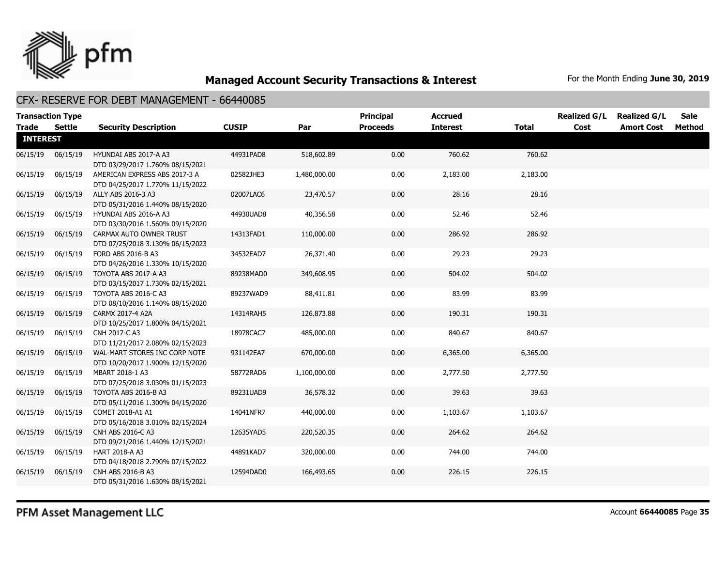

#### CFX- RESERVE FOR DEBT MANAGEMENT - 66440085

| <b>Transaction Type</b><br><b>Trade</b> | <b>Settle</b> | <b>Security Description</b>                                       | <b>CUSIP</b> | Par          | <b>Principal</b><br><b>Proceeds</b> | <b>Accrued</b><br><b>Interest</b> | <b>Total</b> | <b>Realized G/L</b><br>Cost | <b>Realized G/L</b><br><b>Amort Cost</b> | <b>Sale</b><br>Method |
|-----------------------------------------|---------------|-------------------------------------------------------------------|--------------|--------------|-------------------------------------|-----------------------------------|--------------|-----------------------------|------------------------------------------|-----------------------|
| <b>INTEREST</b>                         |               |                                                                   |              |              |                                     |                                   |              |                             |                                          |                       |
| 06/15/19                                | 06/15/19      | HYUNDAI ABS 2017-A A3<br>DTD 03/29/2017 1.760% 08/15/2021         | 44931PAD8    | 518,602.89   | 0.00                                | 760.62                            | 760.62       |                             |                                          |                       |
| 06/15/19                                | 06/15/19      | AMERICAN EXPRESS ABS 2017-3 A<br>DTD 04/25/2017 1.770% 11/15/2022 | 02582JHE3    | 1,480,000.00 | 0.00                                | 2,183.00                          | 2,183.00     |                             |                                          |                       |
| 06/15/19                                | 06/15/19      | ALLY ABS 2016-3 A3<br>DTD 05/31/2016 1.440% 08/15/2020            | 02007LAC6    | 23,470.57    | 0.00                                | 28.16                             | 28.16        |                             |                                          |                       |
| 06/15/19                                | 06/15/19      | HYUNDAI ABS 2016-A A3<br>DTD 03/30/2016 1.560% 09/15/2020         | 44930UAD8    | 40,356.58    | 0.00                                | 52.46                             | 52.46        |                             |                                          |                       |
| 06/15/19                                | 06/15/19      | CARMAX AUTO OWNER TRUST<br>DTD 07/25/2018 3.130% 06/15/2023       | 14313FAD1    | 110,000.00   | 0.00                                | 286.92                            | 286.92       |                             |                                          |                       |
| 06/15/19                                | 06/15/19      | FORD ABS 2016-B A3<br>DTD 04/26/2016 1.330% 10/15/2020            | 34532EAD7    | 26,371.40    | 0.00                                | 29.23                             | 29.23        |                             |                                          |                       |
| 06/15/19                                | 06/15/19      | TOYOTA ABS 2017-A A3<br>DTD 03/15/2017 1.730% 02/15/2021          | 89238MAD0    | 349,608.95   | 0.00                                | 504.02                            | 504.02       |                             |                                          |                       |
| 06/15/19                                | 06/15/19      | TOYOTA ABS 2016-C A3<br>DTD 08/10/2016 1.140% 08/15/2020          | 89237WAD9    | 88,411.81    | 0.00                                | 83.99                             | 83.99        |                             |                                          |                       |
| 06/15/19                                | 06/15/19      | CARMX 2017-4 A2A<br>DTD 10/25/2017 1.800% 04/15/2021              | 14314RAH5    | 126,873.88   | 0.00                                | 190.31                            | 190.31       |                             |                                          |                       |
| 06/15/19                                | 06/15/19      | CNH 2017-C A3<br>DTD 11/21/2017 2.080% 02/15/2023                 | 18978CAC7    | 485,000.00   | 0.00                                | 840.67                            | 840.67       |                             |                                          |                       |
| 06/15/19                                | 06/15/19      | WAL-MART STORES INC CORP NOTE<br>DTD 10/20/2017 1.900% 12/15/2020 | 931142EA7    | 670,000.00   | 0.00                                | 6,365.00                          | 6,365.00     |                             |                                          |                       |
| 06/15/19                                | 06/15/19      | MBART 2018-1 A3<br>DTD 07/25/2018 3.030% 01/15/2023               | 58772RAD6    | 1,100,000.00 | 0.00                                | 2,777.50                          | 2,777.50     |                             |                                          |                       |
| 06/15/19                                | 06/15/19      | TOYOTA ABS 2016-B A3<br>DTD 05/11/2016 1.300% 04/15/2020          | 89231UAD9    | 36,578.32    | 0.00                                | 39.63                             | 39.63        |                             |                                          |                       |
| 06/15/19                                | 06/15/19      | COMET 2018-A1 A1<br>DTD 05/16/2018 3.010% 02/15/2024              | 14041NFR7    | 440,000.00   | 0.00                                | 1,103.67                          | 1,103.67     |                             |                                          |                       |
| 06/15/19                                | 06/15/19      | CNH ABS 2016-C A3<br>DTD 09/21/2016 1.440% 12/15/2021             | 12635YAD5    | 220,520.35   | 0.00                                | 264.62                            | 264.62       |                             |                                          |                       |
| 06/15/19                                | 06/15/19      | <b>HART 2018-A A3</b><br>DTD 04/18/2018 2.790% 07/15/2022         | 44891KAD7    | 320,000.00   | 0.00                                | 744.00                            | 744.00       |                             |                                          |                       |
| 06/15/19                                | 06/15/19      | CNH ABS 2016-B A3<br>DTD 05/31/2016 1.630% 08/15/2021             | 12594DAD0    | 166,493.65   | 0.00                                | 226.15                            | 226.15       |                             |                                          |                       |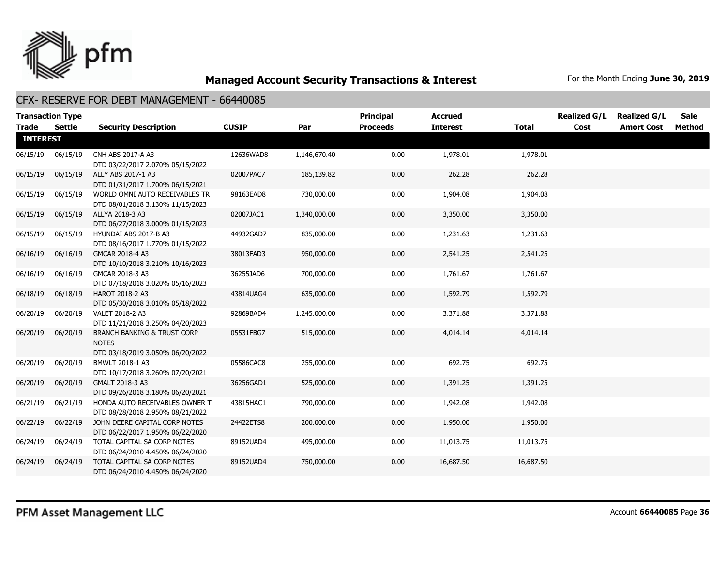

| Trade           | <b>Transaction Type</b><br><b>Settle</b> | <b>Security Description</b>                                                                | <b>CUSIP</b> | Par          | Principal<br><b>Proceeds</b> | <b>Accrued</b><br><b>Interest</b> | <b>Total</b> | <b>Realized G/L</b><br>Cost | <b>Realized G/L</b><br><b>Amort Cost</b> | <b>Sale</b><br>Method |
|-----------------|------------------------------------------|--------------------------------------------------------------------------------------------|--------------|--------------|------------------------------|-----------------------------------|--------------|-----------------------------|------------------------------------------|-----------------------|
| <b>INTEREST</b> |                                          |                                                                                            |              |              |                              |                                   |              |                             |                                          |                       |
| 06/15/19        | 06/15/19                                 | CNH ABS 2017-A A3<br>DTD 03/22/2017 2.070% 05/15/2022                                      | 12636WAD8    | 1,146,670.40 | 0.00                         | 1,978.01                          | 1,978.01     |                             |                                          |                       |
| 06/15/19        | 06/15/19                                 | ALLY ABS 2017-1 A3<br>DTD 01/31/2017 1.700% 06/15/2021                                     | 02007PAC7    | 185,139.82   | 0.00                         | 262.28                            | 262.28       |                             |                                          |                       |
| 06/15/19        | 06/15/19                                 | WORLD OMNI AUTO RECEIVABLES TR<br>DTD 08/01/2018 3.130% 11/15/2023                         | 98163EAD8    | 730,000.00   | 0.00                         | 1,904.08                          | 1,904.08     |                             |                                          |                       |
| 06/15/19        | 06/15/19                                 | ALLYA 2018-3 A3<br>DTD 06/27/2018 3.000% 01/15/2023                                        | 02007JAC1    | 1,340,000.00 | 0.00                         | 3,350.00                          | 3,350.00     |                             |                                          |                       |
| 06/15/19        | 06/15/19                                 | HYUNDAI ABS 2017-B A3<br>DTD 08/16/2017 1.770% 01/15/2022                                  | 44932GAD7    | 835,000.00   | 0.00                         | 1,231.63                          | 1,231.63     |                             |                                          |                       |
| 06/16/19        | 06/16/19                                 | GMCAR 2018-4 A3<br>DTD 10/10/2018 3.210% 10/16/2023                                        | 38013FAD3    | 950,000.00   | 0.00                         | 2,541.25                          | 2,541.25     |                             |                                          |                       |
| 06/16/19        | 06/16/19                                 | GMCAR 2018-3 A3<br>DTD 07/18/2018 3.020% 05/16/2023                                        | 36255JAD6    | 700,000.00   | 0.00                         | 1,761.67                          | 1,761.67     |                             |                                          |                       |
| 06/18/19        | 06/18/19                                 | HAROT 2018-2 A3<br>DTD 05/30/2018 3.010% 05/18/2022                                        | 43814UAG4    | 635,000.00   | 0.00                         | 1,592.79                          | 1,592.79     |                             |                                          |                       |
| 06/20/19        | 06/20/19                                 | VALET 2018-2 A3<br>DTD 11/21/2018 3.250% 04/20/2023                                        | 92869BAD4    | 1,245,000.00 | 0.00                         | 3,371.88                          | 3,371.88     |                             |                                          |                       |
| 06/20/19        | 06/20/19                                 | <b>BRANCH BANKING &amp; TRUST CORP</b><br><b>NOTES</b><br>DTD 03/18/2019 3.050% 06/20/2022 | 05531FBG7    | 515,000.00   | 0.00                         | 4,014.14                          | 4,014.14     |                             |                                          |                       |
| 06/20/19        | 06/20/19                                 | BMWLT 2018-1 A3<br>DTD 10/17/2018 3.260% 07/20/2021                                        | 05586CAC8    | 255,000.00   | 0.00                         | 692.75                            | 692.75       |                             |                                          |                       |
| 06/20/19        | 06/20/19                                 | GMALT 2018-3 A3<br>DTD 09/26/2018 3.180% 06/20/2021                                        | 36256GAD1    | 525,000.00   | 0.00                         | 1,391.25                          | 1,391.25     |                             |                                          |                       |
| 06/21/19        | 06/21/19                                 | HONDA AUTO RECEIVABLES OWNER T<br>DTD 08/28/2018 2.950% 08/21/2022                         | 43815HAC1    | 790,000.00   | 0.00                         | 1,942.08                          | 1,942.08     |                             |                                          |                       |
| 06/22/19        | 06/22/19                                 | JOHN DEERE CAPITAL CORP NOTES<br>DTD 06/22/2017 1.950% 06/22/2020                          | 24422ETS8    | 200,000.00   | 0.00                         | 1,950.00                          | 1,950.00     |                             |                                          |                       |
| 06/24/19        | 06/24/19                                 | TOTAL CAPITAL SA CORP NOTES<br>DTD 06/24/2010 4.450% 06/24/2020                            | 89152UAD4    | 495,000.00   | 0.00                         | 11,013.75                         | 11,013.75    |                             |                                          |                       |
| 06/24/19        | 06/24/19                                 | TOTAL CAPITAL SA CORP NOTES<br>DTD 06/24/2010 4.450% 06/24/2020                            | 89152UAD4    | 750,000.00   | 0.00                         | 16,687.50                         | 16,687.50    |                             |                                          |                       |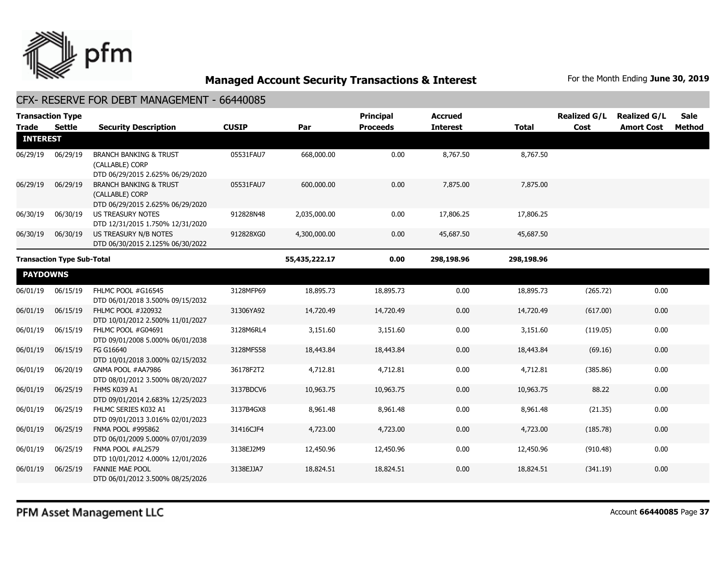

| <b>Trade</b>                      | <b>Transaction Type</b><br>Settle | <b>Security Description</b>                                                              | <b>CUSIP</b> | Par           | <b>Principal</b><br><b>Proceeds</b> | <b>Accrued</b><br><b>Interest</b> | <b>Total</b> | <b>Realized G/L</b><br>Cost | <b>Realized G/L</b><br><b>Amort Cost</b> | <b>Sale</b><br>Method |
|-----------------------------------|-----------------------------------|------------------------------------------------------------------------------------------|--------------|---------------|-------------------------------------|-----------------------------------|--------------|-----------------------------|------------------------------------------|-----------------------|
| <b>INTEREST</b>                   |                                   |                                                                                          |              |               |                                     |                                   |              |                             |                                          |                       |
| 06/29/19                          | 06/29/19                          | <b>BRANCH BANKING &amp; TRUST</b><br>(CALLABLE) CORP<br>DTD 06/29/2015 2.625% 06/29/2020 | 05531FAU7    | 668,000.00    | 0.00                                | 8,767.50                          | 8,767.50     |                             |                                          |                       |
| 06/29/19                          | 06/29/19                          | <b>BRANCH BANKING &amp; TRUST</b><br>(CALLABLE) CORP<br>DTD 06/29/2015 2.625% 06/29/2020 | 05531FAU7    | 600,000.00    | 0.00                                | 7,875.00                          | 7,875.00     |                             |                                          |                       |
| 06/30/19                          | 06/30/19                          | US TREASURY NOTES<br>DTD 12/31/2015 1.750% 12/31/2020                                    | 912828N48    | 2,035,000.00  | 0.00                                | 17,806.25                         | 17,806.25    |                             |                                          |                       |
| 06/30/19                          | 06/30/19                          | US TREASURY N/B NOTES<br>DTD 06/30/2015 2.125% 06/30/2022                                | 912828XG0    | 4,300,000.00  | 0.00                                | 45,687.50                         | 45,687.50    |                             |                                          |                       |
| <b>Transaction Type Sub-Total</b> |                                   |                                                                                          |              | 55,435,222.17 | 0.00                                | 298,198.96                        | 298,198.96   |                             |                                          |                       |
| <b>PAYDOWNS</b>                   |                                   |                                                                                          |              |               |                                     |                                   |              |                             |                                          |                       |
| 06/01/19                          | 06/15/19                          | FHLMC POOL #G16545<br>DTD 06/01/2018 3.500% 09/15/2032                                   | 3128MFP69    | 18,895.73     | 18,895.73                           | 0.00                              | 18,895.73    | (265.72)                    | 0.00                                     |                       |
| 06/01/19                          | 06/15/19                          | <b>FHLMC POOL #J20932</b><br>DTD 10/01/2012 2.500% 11/01/2027                            | 31306YA92    | 14,720.49     | 14,720.49                           | 0.00                              | 14,720.49    | (617.00)                    | 0.00                                     |                       |
| 06/01/19                          | 06/15/19                          | FHLMC POOL #G04691<br>DTD 09/01/2008 5.000% 06/01/2038                                   | 3128M6RL4    | 3,151.60      | 3,151.60                            | 0.00                              | 3,151.60     | (119.05)                    | 0.00                                     |                       |
| 06/01/19                          | 06/15/19                          | FG G16640<br>DTD 10/01/2018 3.000% 02/15/2032                                            | 3128MFS58    | 18,443.84     | 18,443.84                           | 0.00                              | 18,443.84    | (69.16)                     | 0.00                                     |                       |
| 06/01/19                          | 06/20/19                          | GNMA POOL #AA7986<br>DTD 08/01/2012 3.500% 08/20/2027                                    | 36178F2T2    | 4,712.81      | 4,712.81                            | 0.00                              | 4,712.81     | (385.86)                    | 0.00                                     |                       |
| 06/01/19                          | 06/25/19                          | FHMS K039 A1<br>DTD 09/01/2014 2.683% 12/25/2023                                         | 3137BDCV6    | 10,963.75     | 10,963.75                           | 0.00                              | 10,963.75    | 88.22                       | 0.00                                     |                       |
| 06/01/19                          | 06/25/19                          | FHLMC SERIES K032 A1<br>DTD 09/01/2013 3.016% 02/01/2023                                 | 3137B4GX8    | 8,961.48      | 8,961.48                            | 0.00                              | 8,961.48     | (21.35)                     | 0.00                                     |                       |
| 06/01/19                          | 06/25/19                          | FNMA POOL #995862<br>DTD 06/01/2009 5.000% 07/01/2039                                    | 31416CJF4    | 4,723.00      | 4,723.00                            | 0.00                              | 4,723.00     | (185.78)                    | 0.00                                     |                       |
| 06/01/19                          | 06/25/19                          | FNMA POOL #AL2579<br>DTD 10/01/2012 4.000% 12/01/2026                                    | 3138EJ2M9    | 12,450.96     | 12,450.96                           | 0.00                              | 12,450.96    | (910.48)                    | 0.00                                     |                       |
| 06/01/19                          | 06/25/19                          | <b>FANNIE MAE POOL</b><br>DTD 06/01/2012 3.500% 08/25/2026                               | 3138EJJA7    | 18,824.51     | 18,824.51                           | 0.00                              | 18,824.51    | (341.19)                    | 0.00                                     |                       |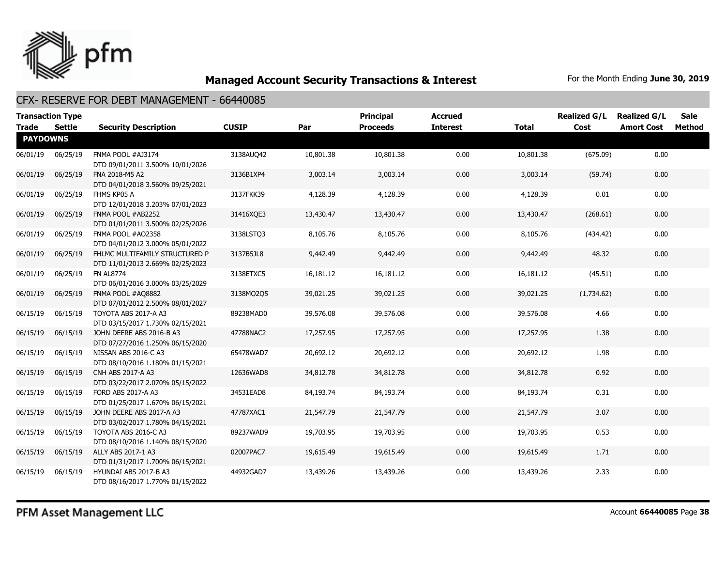

| <b>Trade</b>    | <b>Transaction Type</b><br>Settle | <b>Security Description</b>                                        | <b>CUSIP</b> | Par       | <b>Principal</b><br><b>Proceeds</b> | <b>Accrued</b><br><b>Interest</b> | <b>Total</b> | <b>Realized G/L</b><br>Cost | <b>Realized G/L</b><br><b>Amort Cost</b> | <b>Sale</b><br>Method |
|-----------------|-----------------------------------|--------------------------------------------------------------------|--------------|-----------|-------------------------------------|-----------------------------------|--------------|-----------------------------|------------------------------------------|-----------------------|
| <b>PAYDOWNS</b> |                                   |                                                                    |              |           |                                     |                                   |              |                             |                                          |                       |
| 06/01/19        | 06/25/19                          | FNMA POOL #AJ3174<br>DTD 09/01/2011 3.500% 10/01/2026              | 3138AUQ42    | 10,801.38 | 10,801.38                           | 0.00                              | 10,801.38    | (675.09)                    | 0.00                                     |                       |
| 06/01/19        | 06/25/19                          | FNA 2018-M5 A2<br>DTD 04/01/2018 3.560% 09/25/2021                 | 3136B1XP4    | 3,003.14  | 3,003.14                            | 0.00                              | 3,003.14     | (59.74)                     | 0.00                                     |                       |
| 06/01/19        | 06/25/19                          | FHMS KP05 A<br>DTD 12/01/2018 3.203% 07/01/2023                    | 3137FKK39    | 4,128.39  | 4,128.39                            | 0.00                              | 4,128.39     | 0.01                        | 0.00                                     |                       |
| 06/01/19        | 06/25/19                          | FNMA POOL #AB2252<br>DTD 01/01/2011 3.500% 02/25/2026              | 31416XQE3    | 13,430.47 | 13,430.47                           | 0.00                              | 13,430.47    | (268.61)                    | 0.00                                     |                       |
| 06/01/19        | 06/25/19                          | FNMA POOL #AO2358<br>DTD 04/01/2012 3.000% 05/01/2022              | 3138LSTQ3    | 8,105.76  | 8,105.76                            | 0.00                              | 8,105.76     | (434.42)                    | 0.00                                     |                       |
| 06/01/19        | 06/25/19                          | FHLMC MULTIFAMILY STRUCTURED P<br>DTD 11/01/2013 2.669% 02/25/2023 | 3137B5JL8    | 9,442.49  | 9,442.49                            | 0.00                              | 9,442.49     | 48.32                       | 0.00                                     |                       |
| 06/01/19        | 06/25/19                          | <b>FN AL8774</b><br>DTD 06/01/2016 3.000% 03/25/2029               | 3138ETXC5    | 16,181.12 | 16,181.12                           | 0.00                              | 16,181.12    | (45.51)                     | 0.00                                     |                       |
| 06/01/19        | 06/25/19                          | FNMA POOL #AQ8882<br>DTD 07/01/2012 2.500% 08/01/2027              | 3138MQ2Q5    | 39,021.25 | 39,021.25                           | 0.00                              | 39,021.25    | (1,734.62)                  | 0.00                                     |                       |
| 06/15/19        | 06/15/19                          | TOYOTA ABS 2017-A A3<br>DTD 03/15/2017 1.730% 02/15/2021           | 89238MAD0    | 39,576.08 | 39,576.08                           | 0.00                              | 39,576.08    | 4.66                        | 0.00                                     |                       |
| 06/15/19        | 06/15/19                          | JOHN DEERE ABS 2016-B A3<br>DTD 07/27/2016 1.250% 06/15/2020       | 47788NAC2    | 17,257.95 | 17,257.95                           | 0.00                              | 17,257.95    | 1.38                        | 0.00                                     |                       |
| 06/15/19        | 06/15/19                          | NISSAN ABS 2016-C A3<br>DTD 08/10/2016 1.180% 01/15/2021           | 65478WAD7    | 20,692.12 | 20,692.12                           | 0.00                              | 20,692.12    | 1.98                        | 0.00                                     |                       |
| 06/15/19        | 06/15/19                          | CNH ABS 2017-A A3<br>DTD 03/22/2017 2.070% 05/15/2022              | 12636WAD8    | 34,812.78 | 34,812.78                           | 0.00                              | 34,812.78    | 0.92                        | 0.00                                     |                       |
| 06/15/19        | 06/15/19                          | FORD ABS 2017-A A3<br>DTD 01/25/2017 1.670% 06/15/2021             | 34531EAD8    | 84,193.74 | 84,193.74                           | 0.00                              | 84,193.74    | 0.31                        | 0.00                                     |                       |
| 06/15/19        | 06/15/19                          | JOHN DEERE ABS 2017-A A3<br>DTD 03/02/2017 1.780% 04/15/2021       | 47787XAC1    | 21,547.79 | 21,547.79                           | 0.00                              | 21,547.79    | 3.07                        | 0.00                                     |                       |
| 06/15/19        | 06/15/19                          | TOYOTA ABS 2016-C A3<br>DTD 08/10/2016 1.140% 08/15/2020           | 89237WAD9    | 19,703.95 | 19,703.95                           | 0.00                              | 19,703.95    | 0.53                        | 0.00                                     |                       |
| 06/15/19        | 06/15/19                          | ALLY ABS 2017-1 A3<br>DTD 01/31/2017 1.700% 06/15/2021             | 02007PAC7    | 19,615.49 | 19,615.49                           | 0.00                              | 19,615.49    | 1.71                        | 0.00                                     |                       |
| 06/15/19        | 06/15/19                          | HYUNDAI ABS 2017-B A3<br>DTD 08/16/2017 1.770% 01/15/2022          | 44932GAD7    | 13,439.26 | 13,439.26                           | 0.00                              | 13,439.26    | 2.33                        | 0.00                                     |                       |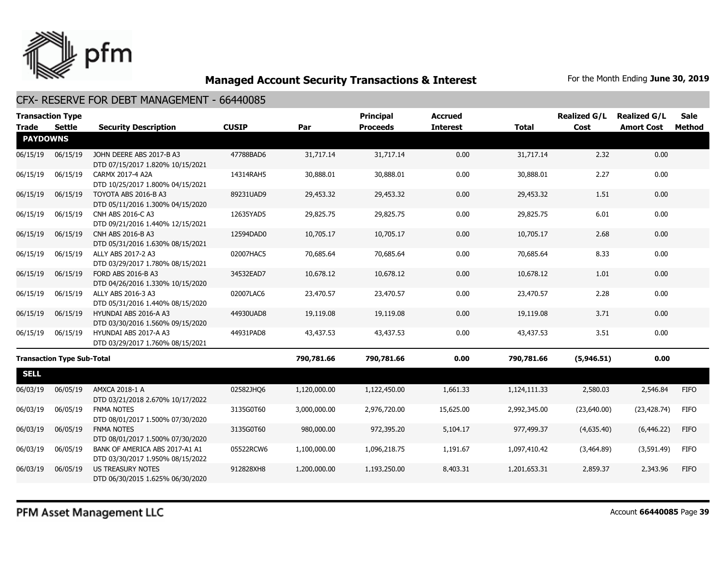

| <b>Transaction Type</b> |                                   |                                                                    |              |              | <b>Principal</b> | <b>Accrued</b>  |              | <b>Realized G/L</b> | <b>Realized G/L</b> | <b>Sale</b> |
|-------------------------|-----------------------------------|--------------------------------------------------------------------|--------------|--------------|------------------|-----------------|--------------|---------------------|---------------------|-------------|
| <b>Trade</b>            | <b>Settle</b>                     | <b>Security Description</b>                                        | <b>CUSIP</b> | Par          | <b>Proceeds</b>  | <b>Interest</b> | <b>Total</b> | Cost                | <b>Amort Cost</b>   | Method      |
| <b>PAYDOWNS</b>         |                                   |                                                                    |              |              |                  |                 |              |                     |                     |             |
| 06/15/19                | 06/15/19                          | JOHN DEERE ABS 2017-B A3<br>DTD 07/15/2017 1.820% 10/15/2021       | 47788BAD6    | 31,717.14    | 31,717.14        | 0.00            | 31,717.14    | 2.32                | 0.00                |             |
| 06/15/19                | 06/15/19                          | CARMX 2017-4 A2A<br>DTD 10/25/2017 1.800% 04/15/2021               | 14314RAH5    | 30,888.01    | 30,888.01        | 0.00            | 30,888.01    | 2.27                | 0.00                |             |
| 06/15/19                | 06/15/19                          | TOYOTA ABS 2016-B A3<br>DTD 05/11/2016 1.300% 04/15/2020           | 89231UAD9    | 29,453.32    | 29,453.32        | 0.00            | 29,453.32    | 1.51                | 0.00                |             |
| 06/15/19                | 06/15/19                          | CNH ABS 2016-C A3<br>DTD 09/21/2016 1.440% 12/15/2021              | 12635YAD5    | 29,825.75    | 29,825.75        | 0.00            | 29,825.75    | 6.01                | 0.00                |             |
| 06/15/19                | 06/15/19                          | CNH ABS 2016-B A3<br>DTD 05/31/2016 1.630% 08/15/2021              | 12594DAD0    | 10,705.17    | 10,705.17        | 0.00            | 10,705.17    | 2.68                | 0.00                |             |
| 06/15/19                | 06/15/19                          | ALLY ABS 2017-2 A3<br>DTD 03/29/2017 1.780% 08/15/2021             | 02007HAC5    | 70,685.64    | 70,685.64        | 0.00            | 70,685.64    | 8.33                | 0.00                |             |
| 06/15/19                | 06/15/19                          | FORD ABS 2016-B A3<br>DTD 04/26/2016 1.330% 10/15/2020             | 34532EAD7    | 10,678.12    | 10,678.12        | 0.00            | 10,678.12    | 1.01                | 0.00                |             |
| 06/15/19                | 06/15/19                          | ALLY ABS 2016-3 A3<br>DTD 05/31/2016 1.440% 08/15/2020             | 02007LAC6    | 23,470.57    | 23,470.57        | 0.00            | 23,470.57    | 2.28                | 0.00                |             |
| 06/15/19                | 06/15/19                          | HYUNDAI ABS 2016-A A3<br>DTD 03/30/2016 1.560% 09/15/2020          | 44930UAD8    | 19,119.08    | 19,119.08        | 0.00            | 19,119.08    | 3.71                | 0.00                |             |
| 06/15/19                | 06/15/19                          | HYUNDAI ABS 2017-A A3<br>DTD 03/29/2017 1.760% 08/15/2021          | 44931PAD8    | 43,437.53    | 43,437.53        | 0.00            | 43,437.53    | 3.51                | 0.00                |             |
|                         | <b>Transaction Type Sub-Total</b> |                                                                    |              | 790,781.66   | 790,781.66       | 0.00            | 790,781.66   | (5,946.51)          | 0.00                |             |
| <b>SELL</b>             |                                   |                                                                    |              |              |                  |                 |              |                     |                     |             |
| 06/03/19                | 06/05/19                          | AMXCA 2018-1 A<br>DTD 03/21/2018 2.670% 10/17/2022                 | 02582JHQ6    | 1,120,000.00 | 1,122,450.00     | 1,661.33        | 1,124,111.33 | 2,580.03            | 2,546.84            | <b>FIFO</b> |
| 06/03/19                | 06/05/19                          | <b>FNMA NOTES</b><br>DTD 08/01/2017 1.500% 07/30/2020              | 3135G0T60    | 3,000,000.00 | 2,976,720.00     | 15,625.00       | 2,992,345.00 | (23,640.00)         | (23, 428.74)        | <b>FIFO</b> |
| 06/03/19                | 06/05/19                          | <b>FNMA NOTES</b><br>DTD 08/01/2017 1.500% 07/30/2020              | 3135G0T60    | 980,000.00   | 972,395.20       | 5,104.17        | 977,499.37   | (4,635.40)          | (6, 446.22)         | <b>FIFO</b> |
| 06/03/19                | 06/05/19                          | BANK OF AMERICA ABS 2017-A1 A1<br>DTD 03/30/2017 1.950% 08/15/2022 | 05522RCW6    | 1,100,000.00 | 1,096,218.75     | 1,191.67        | 1,097,410.42 | (3,464.89)          | (3,591.49)          | <b>FIFO</b> |
| 06/03/19                | 06/05/19                          | US TREASURY NOTES<br>DTD 06/30/2015 1.625% 06/30/2020              | 912828XH8    | 1,200,000.00 | 1,193,250.00     | 8,403.31        | 1,201,653.31 | 2,859.37            | 2,343.96            | <b>FIFO</b> |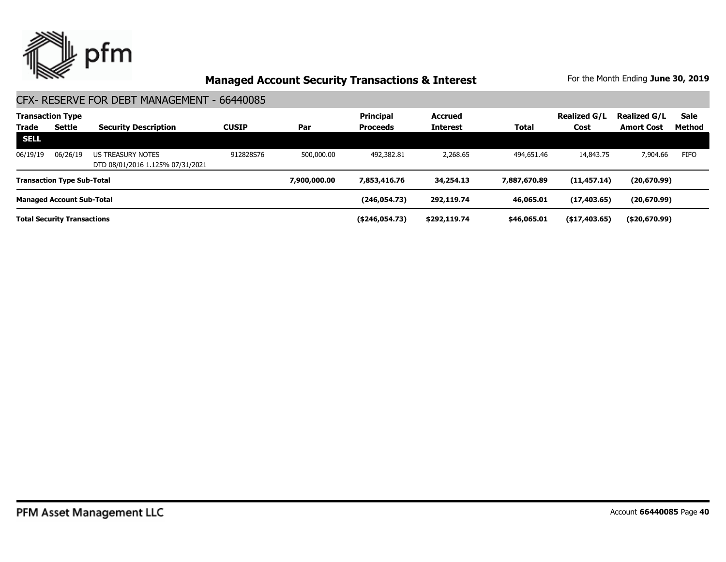

|                                    | <b>Transaction Type</b>           |                                                       |              |              | <b>Principal</b> | <b>Accrued</b>  |              | <b>Realized G/L</b> | <b>Realized G/L</b> | <b>Sale</b> |
|------------------------------------|-----------------------------------|-------------------------------------------------------|--------------|--------------|------------------|-----------------|--------------|---------------------|---------------------|-------------|
| <b>Trade</b>                       | Settle                            | <b>Security Description</b>                           | <b>CUSIP</b> | Par          | <b>Proceeds</b>  | <b>Interest</b> | Total        | Cost                | <b>Amort Cost</b>   | Method      |
| SELL                               |                                   |                                                       |              |              |                  |                 |              |                     |                     |             |
| 06/19/19                           | 06/26/19                          | US TREASURY NOTES<br>DTD 08/01/2016 1.125% 07/31/2021 | 912828S76    | 500,000.00   | 492,382.81       | 2,268.65        | 494,651.46   | 14,843,75           | 7,904.66            | <b>FIFO</b> |
|                                    | <b>Transaction Type Sub-Total</b> |                                                       |              | 7,900,000,00 | 7,853,416,76     | 34,254.13       | 7,887,670.89 | (11, 457.14)        | (20,670.99)         |             |
|                                    | <b>Managed Account Sub-Total</b>  |                                                       |              |              | (246,054.73)     | 292,119.74      | 46,065.01    | (17, 403.65)        | (20, 670.99)        |             |
| <b>Total Security Transactions</b> |                                   |                                                       |              |              | ( \$246,054.73)  | \$292,119.74    | \$46,065.01  | $($ \$17,403.65)    | ( \$20,670.99)      |             |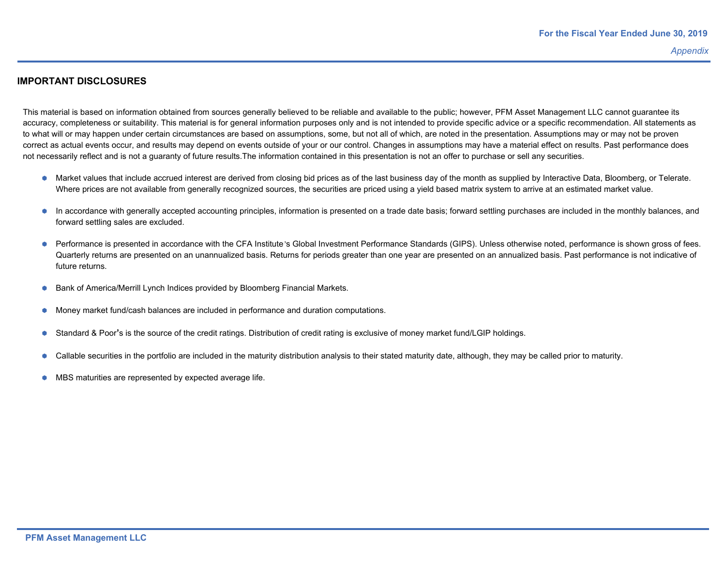#### **IMPORTANT DISCLOSURES**

This material is based on information obtained from sources generally believed to be reliable and available to the public; however, PFM Asset Management LLC cannot guarantee its accuracy, completeness or suitability. This material is for general information purposes only and is not intended to provide specific advice or a specific recommendation. All statements as to what will or may happen under certain circumstances are based on assumptions, some, but not all of which, are noted in the presentation. Assumptions may or may not be proven correct as actual events occur, and results may depend on events outside of your or our control. Changes in assumptions may have a material effect on results. Past performance does not necessarily reflect and is not a guaranty of future results.The information contained in this presentation is not an offer to purchase or sell any securities.

- Market values that include accrued interest are derived from closing bid prices as of the last business day of the month as supplied by Interactive Data, Bloomberg, or Telerate. Where prices are not available from generally recognized sources, the securities are priced using a yield based matrix system to arrive at an estimated market value.
- **•** In accordance with generally accepted accounting principles, information is presented on a trade date basis; forward settling purchases are included in the monthly balances, and forward settling sales are excluded.
- Performance is presented in accordance with the CFA Institute's Global Investment Performance Standards (GIPS). Unless otherwise noted, performance is shown gross of fees. Quarterly returns are presented on an unannualized basis. Returns for periods greater than one year are presented on an annualized basis. Past performance is not indicative of future returns.
- **Bank of America/Merrill Lynch Indices provided by Bloomberg Financial Markets.**
- Money market fund/cash balances are included in performance and duration computations.
- Standard & Poor's is the source of the credit ratings. Distribution of credit rating is exclusive of money market fund/LGIP holdings.
- Callable securities in the portfolio are included in the maturity distribution analysis to their stated maturity date, although, they may be called prior to maturity.
- $\bullet$  MBS maturities are represented by expected average life.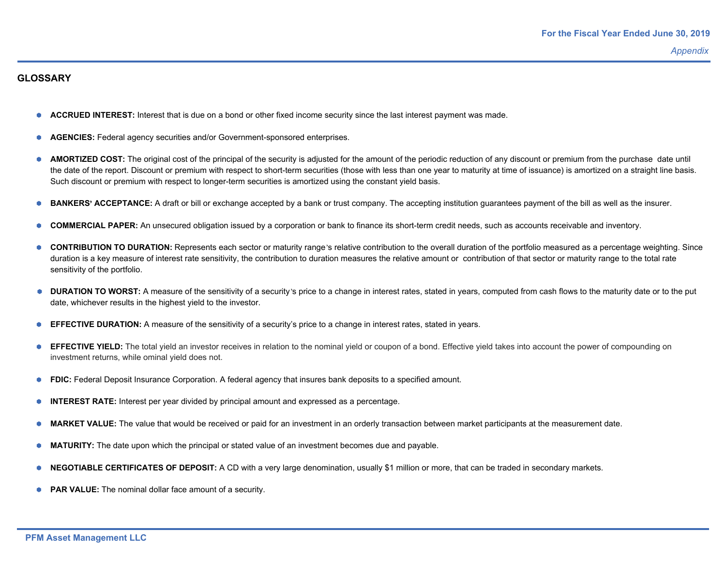#### **GLOSSARY**

- **ACCRUED INTEREST:** Interest that is due on a bond or other fixed income security since the last interest payment was made.
- **AGENCIES:** Federal agency securities and/or Government-sponsored enterprises.
- **AMORTIZED COST:** The original cost of the principal of the security is adjusted for the amount of the periodic reduction of any discount or premium from the purchase date until the date of the report. Discount or premium with respect to short-term securities (those with less than one year to maturity at time of issuance) is amortized on a straight line basis. Such discount or premium with respect to longer-term securities is amortized using the constant yield basis.
- **BANKERS' ACCEPTANCE:** A draft or bill or exchange accepted by a bank or trust company. The accepting institution guarantees payment of the bill as well as the insurer.
- **COMMERCIAL PAPER:** An unsecured obligation issued by a corporation or bank to finance its short-term credit needs, such as accounts receivable and inventory.
- **CONTRIBUTION TO DURATION:** Represents each sector or maturity range's relative contribution to the overall duration of the portfolio measured as a percentage weighting. Since duration is a key measure of interest rate sensitivity, the contribution to duration measures the relative amount or contribution of that sector or maturity range to the total rate sensitivity of the portfolio.
- **DURATION TO WORST:** A measure of the sensitivity of a security's price to a change in interest rates, stated in years, computed from cash flows to the maturity date or to the put date, whichever results in the highest yield to the investor.
- **EFFECTIVE DURATION:** A measure of the sensitivity of a security's price to a change in interest rates, stated in years.
- **EFFECTIVE YIELD:** The total yield an investor receives in relation to the nominal yield or coupon of a bond. Effective yield takes into account the power of compounding on investment returns, while ominal yield does not.
- **FDIC:** Federal Deposit Insurance Corporation. A federal agency that insures bank deposits to a specified amount.
- **INTEREST RATE:** Interest per year divided by principal amount and expressed as a percentage.
- **MARKET VALUE:** The value that would be received or paid for an investment in an orderly transaction between market participants at the measurement date.
- **MATURITY:** The date upon which the principal or stated value of an investment becomes due and payable.
- **NEGOTIABLE CERTIFICATES OF DEPOSIT:** A CD with a very large denomination, usually \$1 million or more, that can be traded in secondary markets.
- **PAR VALUE:** The nominal dollar face amount of a security.